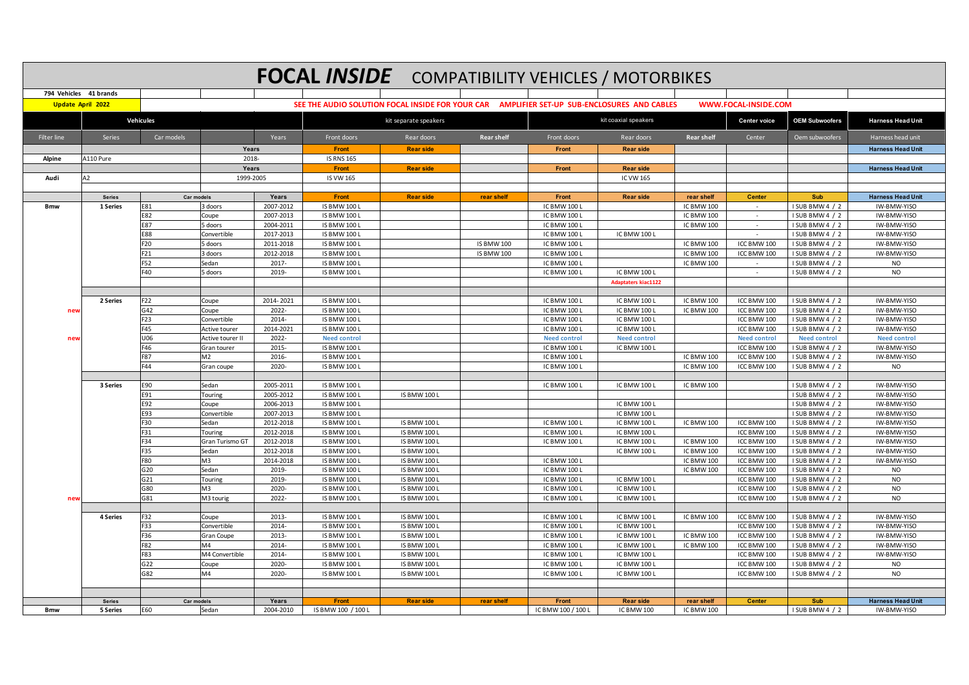|                    | <b>FOCAL INSIDE</b> COMPATIBILITY VEHICLES / MOTORBIKES<br>794 Vehicles 41 brands |                          |                      |                |                                                                                             |                                            |                   |                              |                              |                          |                            |                                    |                            |  |
|--------------------|-----------------------------------------------------------------------------------|--------------------------|----------------------|----------------|---------------------------------------------------------------------------------------------|--------------------------------------------|-------------------|------------------------------|------------------------------|--------------------------|----------------------------|------------------------------------|----------------------------|--|
|                    |                                                                                   |                          |                      |                |                                                                                             |                                            |                   |                              |                              |                          |                            |                                    |                            |  |
|                    | <b>Update April 2022</b>                                                          |                          |                      |                | SEE THE AUDIO SOLUTION FOCAL INSIDE FOR YOUR CAR AMPLIFIER SET-UP SUB-ENCLOSURES AND CABLES |                                            |                   |                              |                              |                          | WWW.FOCAL-INSIDE.COM       |                                    |                            |  |
|                    |                                                                                   | <b>Vehicules</b>         |                      |                |                                                                                             | kit separate speakers                      |                   |                              | kit coaxial speakers         |                          | <b>Center voice</b>        | <b>OEM Subwoofers</b>              | <b>Harness Head Unit</b>   |  |
| <b>Filter line</b> | Series                                                                            | Car models               |                      | Years          | Front doors                                                                                 | Rear doors                                 | <b>Rear shelf</b> | Front doors                  | Rear doors                   | <b>Rear shelf</b>        | Center                     | Oem subwoofers                     | Harness head unit          |  |
|                    |                                                                                   |                          | Years                |                | Front                                                                                       | <b>Rear side</b>                           |                   | Front                        | <b>Rear side</b>             |                          |                            |                                    | <b>Harness Head Unit</b>   |  |
| Alpine             | A110 Pure                                                                         |                          | 2018                 |                | <b>IS RNS 165</b>                                                                           |                                            |                   |                              |                              |                          |                            |                                    |                            |  |
|                    |                                                                                   |                          | Years                |                | Front                                                                                       | <b>Rear side</b>                           |                   | Front                        | <b>Rear side</b>             |                          |                            |                                    | <b>Harness Head Unit</b>   |  |
| Audi               | A2                                                                                |                          | 1999-2005            |                | <b>IS VW 165</b>                                                                            |                                            |                   |                              | IC VW 165                    |                          |                            |                                    |                            |  |
|                    |                                                                                   |                          |                      | Years          |                                                                                             |                                            |                   |                              |                              |                          |                            |                                    | <b>Harness Head Unit</b>   |  |
| <b>Bmw</b>         | <b>Series</b><br>1 Series                                                         | <b>Car models</b><br>E81 | 3 doors              | 2007-2012      | Front<br><b>IS BMW 100 L</b>                                                                | <b>Rear side</b>                           | rear shelf        | Front<br>IC BMW 100 L        | <b>Rear side</b>             | rear shelf<br>IC BMW 100 | <b>Center</b><br>$\sim$    | Sub<br>I SUB BMW 4 / 2             | IW-BMW-YISO                |  |
|                    |                                                                                   | E82                      | Coupe                | 2007-2013      | <b>IS BMW 100 L</b>                                                                         |                                            |                   | IC BMW 100 L                 |                              | IC BMW 100               | $\sim$                     | I SUB BMW 4 / 2                    | IW-BMW-YISO                |  |
|                    |                                                                                   | E87                      | 5 doors              | 2004-2011      | <b>IS BMW 100 L</b>                                                                         |                                            |                   | IC BMW 100                   |                              | IC BMW 100               | $\sim$                     | I SUB BMW 4 / 2                    | IW-BMW-YISO                |  |
|                    |                                                                                   | <b>E88</b>               | Convertible          | 2017-2013      | <b>IS BMW 100 L</b>                                                                         |                                            |                   | IC BMW 100 L                 | IC BMW 100 L                 |                          | $\sim$                     | I SUB BMW 4 / 2                    | IW-BMW-YISO                |  |
|                    |                                                                                   | F20                      | 5 doors              | 2011-2018      | <b>IS BMW 100 L</b>                                                                         |                                            | <b>IS BMW 100</b> | <b>IC BMW 1001</b>           |                              | IC BMW 100               | ICC BMW 100                | I SUB BMW 4 / 2                    | IW-BMW-YISO                |  |
|                    |                                                                                   | F21                      | 3 doors              | 2012-2018      | <b>IS BMW 100 L</b>                                                                         |                                            | <b>IS BMW 100</b> | IC BMW 100 L                 |                              | IC BMW 100               | ICC BMW 100                | I SUB BMW 4 / 2                    | IW-BMW-YISO                |  |
|                    |                                                                                   | F52                      | Sedan                | 2017-          | <b>IS BMW 100 L</b>                                                                         |                                            |                   | <b>IC BMW 1001</b>           |                              | IC BMW 100               |                            | I SUB BMW 4 / 2                    | <b>NO</b>                  |  |
|                    |                                                                                   | F40                      | 5 doors              | 2019-          | <b>IS BMW 100 L</b>                                                                         |                                            |                   | IC BMW 100 L                 | IC BMW 100 L                 |                          | $\overline{\phantom{a}}$   | I SUB BMW 4 / 2                    | <b>NO</b>                  |  |
|                    |                                                                                   |                          |                      |                |                                                                                             |                                            |                   |                              | <b>Adaptaters kiac1122</b>   |                          |                            |                                    |                            |  |
|                    |                                                                                   |                          |                      |                |                                                                                             |                                            |                   |                              |                              |                          |                            |                                    |                            |  |
|                    | 2 Series                                                                          | F22                      | Coupe                | 2014-2021      | IS BMW 100 L                                                                                |                                            |                   | IC BMW 100 L                 | IC BMW 100 L                 | IC BMW 100               | ICC BMW 100                | I SUB BMW 4 / 2                    | IW-BMW-YISO                |  |
| new                |                                                                                   | G42                      | Coupe                | 2022-          | <b>IS BMW 100 L</b>                                                                         |                                            |                   | <b>IC BMW 1001</b>           | IC BMW 100 L                 | IC BMW 100               | ICC BMW 100                | I SUB BMW 4 / 2                    | IW-BMW-YISO                |  |
|                    |                                                                                   | F23                      | Convertible          | 2014-          | <b>IS BMW 100 L</b>                                                                         |                                            |                   | IC BMW 100 L                 | IC BMW 100 L                 |                          | ICC BMW 100                | I SUB BMW 4 / 2                    | IW-BMW-YISO                |  |
|                    |                                                                                   | F45                      | Active tourer        | 2014-2021      | <b>IS BMW 100 L</b>                                                                         |                                            |                   | <b>IC BMW 100 L</b>          | <b>IC BMW 100 L</b>          |                          | ICC BMW 100                | I SUB BMW 4 / 2                    | IW-BMW-YISO                |  |
| ney                |                                                                                   | U06                      | Active tourer II     | 2022-          | <b>Need control</b>                                                                         |                                            |                   | <b>Need control</b>          | <b>Need control</b>          |                          | <b>Need control</b>        | <b>Need control</b>                | <b>Need control</b>        |  |
|                    |                                                                                   | F46                      | Gran tourer          | 2015-          | <b>IS BMW 100 L</b>                                                                         |                                            |                   | <b>IC BMW 1001</b>           | IC BMW 100 L                 |                          | ICC BMW 100                | I SUB BMW 4 / 2                    | IW-BMW-YISO                |  |
|                    |                                                                                   | <b>F87</b><br>F44        | M <sub>2</sub>       | 2016-          | <b>IS BMW 100 L</b>                                                                         |                                            |                   | IC BMW 100 L                 |                              | <b>IC BMW 100</b>        | ICC BMW 100                | I SUB BMW 4 / 2                    | IW-BMW-YISO                |  |
|                    |                                                                                   |                          | Gran coupe           | 2020-          | <b>IS BMW 100 L</b>                                                                         |                                            |                   | IC BMW 100 L                 |                              | IC BMW 100               | ICC BMW 100                | I SUB BMW 4 / 2                    | <b>NO</b>                  |  |
|                    | 3 Series                                                                          | E90                      | Sedan                | 2005-2011      | <b>IS BMW 100 L</b>                                                                         |                                            |                   | IC BMW 100 L                 | IC BMW 100 L                 | IC BMW 100               |                            | I SUB BMW 4 / 2                    | IW-BMW-YISO                |  |
|                    |                                                                                   | E91                      | Touring              | 2005-2012      | <b>IS BMW 100 L</b>                                                                         | <b>IS BMW 100 L</b>                        |                   |                              |                              |                          |                            | I SUB BMW 4 / 2                    | IW-BMW-YISO                |  |
|                    |                                                                                   | E92                      | Coupe                | 2006-2013      | <b>IS BMW 100 L</b>                                                                         |                                            |                   |                              | <b>IC BMW 100 L</b>          |                          |                            | I SUB BMW 4 / 2                    | IW-BMW-YISO                |  |
|                    |                                                                                   | E93                      | Convertible          | 2007-2013      | <b>IS BMW 100 L</b>                                                                         |                                            |                   |                              | IC BMW 100 L                 |                          |                            | I SUB BMW 4 / 2                    | IW-BMW-YISO                |  |
|                    |                                                                                   | F30                      | Sedan                | 2012-2018      | <b>IS BMW 100 L</b>                                                                         | <b>IS BMW 100 L</b>                        |                   | IC BMW 100 L                 | IC BMW 100 L                 | IC BMW 100               | ICC BMW 100                | I SUB BMW 4 / 2                    | IW-BMW-YISO                |  |
|                    |                                                                                   | F31                      | Touring              | 2012-2018      | <b>IS BMW 100 L</b>                                                                         | <b>IS BMW 100 L</b>                        |                   | <b>IC BMW 1001</b>           | <b>IC BMW 100 L</b>          |                          | ICC BMW 100                | I SUB BMW 4 / 2                    | IW-BMW-YISO                |  |
|                    |                                                                                   | F34                      | Gran Turismo GT      | 2012-2018      | <b>IS BMW 100 L</b>                                                                         | <b>IS BMW 100 L</b>                        |                   | IC BMW 100 L                 | IC BMW 100 L                 | IC BMW 100               | ICC BMW 100                | I SUB BMW 4 / 2                    | IW-BMW-YISO                |  |
|                    |                                                                                   | F35                      | Sedan                | 2012-2018      | <b>IS BMW 100 L</b>                                                                         | <b>IS BMW 100 L</b>                        |                   |                              | IC BMW 100 L                 | IC BMW 100               | ICC BMW 100                | I SUB BMW 4 / 2                    | IW-BMW-YISO                |  |
|                    |                                                                                   | <b>F80</b>               | M3                   | 2014-2018      | IS BMW 100 L                                                                                | <b>IS BMW 100 L</b>                        |                   | IC BMW 100 L                 |                              | IC BMW 100               | ICC BMW 100                | I SUB BMW 4 / 2                    | IW-BMW-YISO                |  |
|                    |                                                                                   | G20                      | Sedan                | 2019-          | <b>IS BMW 100 L</b>                                                                         | IS BMW 100 I                               |                   | <b>IC BMW 100 L</b>          |                              | IC BMW 100               | ICC BMW 100                | I SUB BMW 4 / 2                    | <b>NO</b>                  |  |
|                    |                                                                                   | G21                      | Touring              | 2019-          | <b>IS BMW 100 L</b>                                                                         | <b>IS BMW 100 L</b>                        |                   | IC BMW 100 L                 | IC BMW 100 L                 |                          | ICC BMW 100                | I SUB BMW 4 / 2                    | NO                         |  |
|                    |                                                                                   | G80                      | M <sub>3</sub>       | 2020           | <b>IS BMW 100 L</b>                                                                         | <b>IS BMW 100 I</b>                        |                   | <b>IC BMW 100 L</b>          | IC BMW 100 L                 |                          | ICC BMW 100                | I SUB BMW 4 / 2                    | <b>NO</b>                  |  |
| nev                |                                                                                   | G81                      | M3 tourig            | 2022-          | <b>IS BMW 100 L</b>                                                                         | <b>IS BMW 100 L</b>                        |                   | <b>IC BMW 1001</b>           | IC BMW 100 L                 |                          | ICC BMW 100                | I SUB BMW 4 / 2                    | <b>NO</b>                  |  |
|                    |                                                                                   |                          |                      |                |                                                                                             |                                            |                   |                              |                              | IC BMW 100               |                            |                                    |                            |  |
|                    | 4 Series                                                                          | F32<br>F33               | Coupe<br>Convertible | 2013-<br>2014- | <b>IS BMW 100 L</b><br><b>IS BMW 100 L</b>                                                  | <b>IS BMW 100 L</b><br><b>IS BMW 100 L</b> |                   | IC BMW 100 L<br>IC BMW 100 L | IC BMW 100 L<br>IC BMW 100 L |                          | ICC BMW 100<br>ICC BMW 100 | I SUB BMW 4 / 2<br>I SUB BMW 4 / 2 | IW-BMW-YISO<br>IW-BMW-YISO |  |
|                    |                                                                                   | F36                      | Gran Coupe           | 2013-          | <b>IS BMW 100 L</b>                                                                         | <b>IS BMW 100 L</b>                        |                   | <b>IC BMW 100 L</b>          | IC BMW 100 L                 | <b>IC BMW 100</b>        | ICC BMW 100                | I SUB BMW 4 / 2                    | <b>IW-BMW-YISO</b>         |  |
|                    |                                                                                   | F82                      | M4                   | 2014-          | <b>IS BMW 100 L</b>                                                                         | <b>IS BMW 100 L</b>                        |                   | IC BMW 100 L                 | IC BMW 100 L                 | IC BMW 100               | ICC BMW 100                | I SUB BMW 4 / 2                    | IW-BMW-YISO                |  |
|                    |                                                                                   | F83                      | M4 Convertible       | 2014-          | <b>IS BMW 100 L</b>                                                                         | IS BMW 100 I                               |                   | <b>IC BMW 1001</b>           | IC BMW 100 L                 |                          | ICC BMW 100                | ISUB BMW4 / 2                      | IW-BMW-YISO                |  |
|                    |                                                                                   | G22                      | Coupe                | 2020-          | IS BMW 100 L                                                                                | <b>IS BMW 100 L</b>                        |                   | IC BMW 100 L                 | IC BMW 100 L                 |                          | ICC BMW 100                | I SUB BMW 4 / 2                    | <b>NO</b>                  |  |
|                    |                                                                                   | G82                      | M <sub>4</sub>       | 2020-          | <b>IS BMW 100 L</b>                                                                         | <b>IS BMW 100 L</b>                        |                   | IC BMW 100 L                 | IC BMW 100 L                 |                          | ICC BMW 100                | I SUB BMW 4 / 2                    | N <sub>O</sub>             |  |
|                    |                                                                                   |                          |                      |                |                                                                                             |                                            |                   |                              |                              |                          |                            |                                    |                            |  |
|                    |                                                                                   |                          |                      |                |                                                                                             |                                            |                   |                              |                              |                          |                            |                                    |                            |  |
|                    | <b>Series</b>                                                                     | Car models               |                      | Years          | <b>Front</b>                                                                                | <b>Rear side</b>                           | rear shelf        | Front                        | <b>Rear side</b>             | rear shelf               | <b>Center</b>              | Sub                                | <b>Harness Head Unit</b>   |  |
| <b>Bmw</b>         | 5 Series                                                                          | E60                      | Sedan                | 2004-2010      | IS BMW 100 / 100 L                                                                          |                                            |                   | IC BMW 100 / 100 L           | IC BMW 100                   | <b>IC BMW 100</b>        |                            | I SUB BMW 4 / 2                    | IW-BMW-YISO                |  |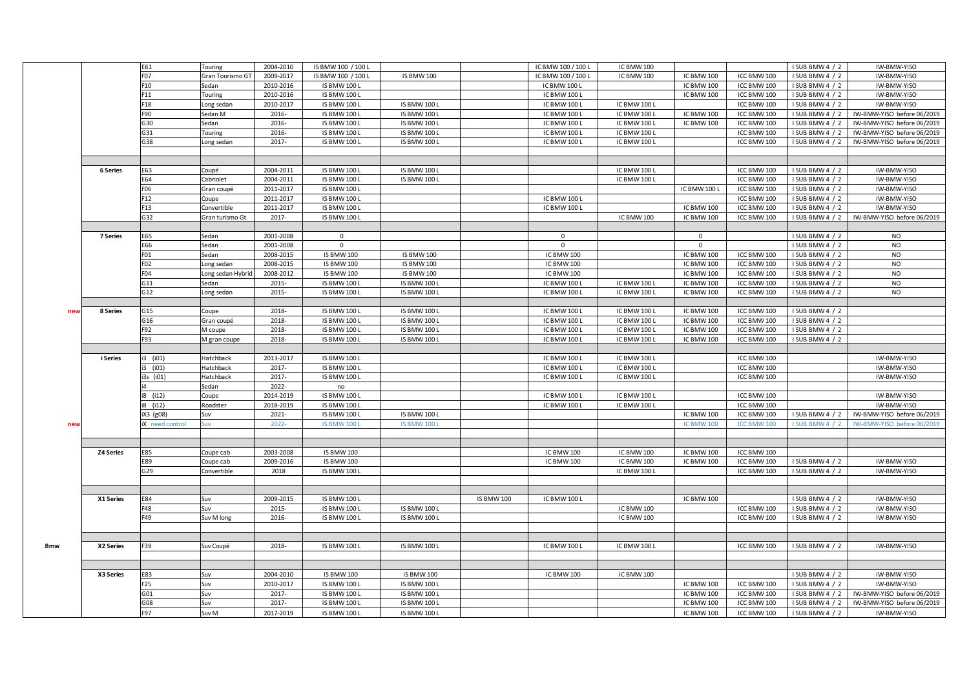|            |                  | E61             | Touring           | 2004-2010 | IS BMW 100 / 100 L  |                     |                   | IC BMW 100 / 100 L | IC BMW 100        |                 |             | I SUB BMW 4 / 2 | IW-BMW-YISO                |
|------------|------------------|-----------------|-------------------|-----------|---------------------|---------------------|-------------------|--------------------|-------------------|-----------------|-------------|-----------------|----------------------------|
|            |                  | F07             | Gran Tourismo GT  | 2009-2017 | IS BMW 100 / 100 L  | <b>IS BMW 100</b>   |                   | IC BMW 100 / 100 L | IC BMW 100        | IC BMW 100      | ICC BMW 100 | I SUB BMW 4 / 2 | IW-BMW-YISO                |
|            |                  | F10             | Sedan             | 2010-2016 | <b>IS BMW 100 L</b> |                     |                   | IC BMW 100 L       |                   | IC BMW 100      | ICC BMW 100 | I SUB BMW 4 / 2 | IW-BMW-YISO                |
|            |                  | F11             | Touring           | 2010-2016 | IS BMW 100 L        |                     |                   | IC BMW 100 L       |                   | IC BMW 100      | ICC BMW 100 | I SUB BMW 4 / 2 | IW-BMW-YISO                |
|            |                  | F18             | Long sedan        | 2010-2017 | IS BMW 100 L        | <b>IS BMW 100 L</b> |                   | IC BMW 100 L       | IC BMW 100 L      |                 | ICC BMW 100 | I SUB BMW 4 / 2 | IW-BMW-YISO                |
|            |                  | F90             | Sedan M           | 2016-     | <b>IS BMW 100 L</b> | <b>IS BMW 100 L</b> |                   | IC BMW 100 L       | IC BMW 100 L      | IC BMW 100      | ICC BMW 100 | I SUB BMW 4 / 2 | IW-BMW-YISO before 06/2019 |
|            |                  | G30             | Sedan             | 2016-     | IS BMW 100 L        | <b>IS BMW 100 L</b> |                   | IC BMW 100 L       | IC BMW 100 L      | IC BMW 100      | ICC BMW 100 | I SUB BMW 4 / 2 | IW-BMW-YISO before 06/2019 |
|            |                  | G31             |                   | 2016-     | IS BMW 100 L        | <b>IS BMW 100 L</b> |                   | IC BMW 100 L       | IC BMW 100 L      |                 | ICC BMW 100 | I SUB BMW 4 / 2 | IW-BMW-YISO before 06/2019 |
|            |                  |                 | Touring           |           |                     |                     |                   |                    |                   |                 |             |                 |                            |
|            |                  | G38             | Long sedan        | 2017-     | <b>IS BMW 100 L</b> | IS BMW 100 L        |                   | IC BMW 100 L       | IC BMW 100 L      |                 | ICC BMW 100 | I SUB BMW 4 / 2 | IW-BMW-YISO before 06/2019 |
|            |                  |                 |                   |           |                     |                     |                   |                    |                   |                 |             |                 |                            |
|            |                  |                 |                   |           |                     |                     |                   |                    |                   |                 |             |                 |                            |
|            | 6 Series         | E63             | Coupé             | 2004-2011 | <b>IS BMW 100 L</b> | <b>IS BMW 100 L</b> |                   |                    | IC BMW 100 L      |                 | ICC BMW 100 | I SUB BMW 4 / 2 | IW-BMW-YISO                |
|            |                  | E64             | Cabriolet         | 2004-2011 | <b>IS BMW 100 L</b> | <b>IS BMW 100 L</b> |                   |                    | IC BMW 100 L      |                 | ICC BMW 100 | I SUB BMW 4 / 2 | IW-BMW-YISO                |
|            |                  | F06             | Gran coupé        | 2011-2017 | IS BMW 100 L        |                     |                   |                    |                   | IC BMW 100 L    | ICC BMW 100 | I SUB BMW 4 / 2 | IW-BMW-YISO                |
|            |                  | F12             | Coupe             | 2011-2017 | <b>IS BMW 100 L</b> |                     |                   | IC BMW 100 L       |                   |                 | ICC BMW 100 | I SUB BMW 4 / 2 | IW-BMW-YISO                |
|            |                  | F13             | Convertible       | 2011-2017 | <b>IS BMW 100 L</b> |                     |                   | IC BMW 100 L       |                   | IC BMW 100      | ICC BMW 100 | I SUB BMW 4 / 2 | IW-BMW-YISO                |
|            |                  | G32             | Gran turismo Gt   | 2017-     | <b>IS BMW 100 L</b> |                     |                   |                    | IC BMW 100        | IC BMW 100      | ICC BMW 100 | I SUB BMW 4 / 2 | IW-BMW-YISO before 06/2019 |
|            |                  |                 |                   |           |                     |                     |                   |                    |                   |                 |             |                 |                            |
|            | 7 Series         | E65             | Sedan             | 2001-2008 | $\mathbf 0$         |                     |                   | $\mathbf 0$        |                   | $\mathsf 0$     |             | I SUB BMW 4 / 2 | <b>NO</b>                  |
|            |                  | E66             | Sedan             | 2001-2008 | $\mathbf{0}$        |                     |                   | $\mathbf{0}$       |                   | $\overline{0}$  |             | I SUB BMW 4 / 2 | <b>NO</b>                  |
|            |                  | FO1             | Sedan             | 2008-2015 | <b>IS BMW 100</b>   | <b>IS BMW 100</b>   |                   | IC BMW 100         |                   | IC BMW 100      | ICC BMW 100 | I SUB BMW 4 / 2 | <b>NO</b>                  |
|            |                  | FO <sub>2</sub> | Long sedan        | 2008-2015 | <b>IS BMW 100</b>   | <b>IS BMW 100</b>   |                   | <b>IC BMW 100</b>  |                   | IC BMW 100      | ICC BMW 100 | I SUB BMW 4 / 2 | <b>NO</b>                  |
|            |                  | F04             | Long sedan Hybrid | 2008-2012 | <b>IS BMW 100</b>   | <b>IS BMW 100</b>   |                   | IC BMW 100         |                   | IC BMW 100      | ICC BMW 100 | I SUB BMW 4 / 2 | <b>NO</b>                  |
|            |                  | G11             | Sedan             | 2015-     | IS BMW 100 L        | <b>IS BMW 100 L</b> |                   | IC BMW 100 L       | IC BMW 100 L      | IC BMW 100      | ICC BMW 100 | I SUB BMW 4 / 2 | <b>NO</b>                  |
|            |                  | G12             | Long sedan        | 2015-     | <b>IS BMW 100 L</b> | IS BMW 100 L        |                   | IC BMW 100 L       | IC BMW 100 L      | IC BMW 100      | ICC BMW 100 | I SUB BMW 4 / 2 | <b>NO</b>                  |
|            |                  |                 |                   |           |                     |                     |                   |                    |                   |                 |             |                 |                            |
| nev        | 8 Series         | G15             | Coupe             | 2018-     | <b>IS BMW 100 L</b> | <b>IS BMW 100 L</b> |                   | IC BMW 100 L       | IC BMW 100 L      | IC BMW 100      | ICC BMW 100 | I SUB BMW 4 / 2 |                            |
|            |                  | G16             | Gran coupé        | 2018-     | IS BMW 100 L        | <b>IS BMW 100 L</b> |                   | IC BMW 100 L       | IC BMW 100 L      | IC BMW 100      | ICC BMW 100 | I SUB BMW 4 / 2 |                            |
|            |                  | F92             | M coupe           | 2018-     | <b>IS BMW 100 L</b> | <b>IS BMW 100 L</b> |                   | IC BMW 100 L       | IC BMW 100 L      | IC BMW 100      | ICC BMW 100 | I SUB BMW 4 / 2 |                            |
|            |                  | F93             | M gran coupe      | 2018-     | <b>IS BMW 100 L</b> | <b>IS BMW 100 L</b> |                   | IC BMW 100 L       | IC BMW 100 L      | IC BMW 100      | ICC BMW 100 | I SUB BMW 4 / 2 |                            |
|            |                  |                 |                   |           |                     |                     |                   |                    |                   |                 |             |                 |                            |
|            | i Series         | i3 (i01)        | Hatchback         | 2013-2017 | <b>IS BMW 100 L</b> |                     |                   | IC BMW 100 L       | IC BMW 100 L      |                 | ICC BMW 100 |                 | IW-BMW-YISO                |
|            |                  | (i01)           | Hatchback         | 2017-     | <b>IS BMW 100 L</b> |                     |                   | IC BMW 100 L       | IC BMW 100 L      |                 | ICC BMW 100 |                 | IW-BMW-YISO                |
|            |                  | 3s (i01)        | Hatchback         | 2017-     | <b>IS BMW 100 L</b> |                     |                   | IC BMW 100 L       | IC BMW 100 L      |                 | ICC BMW 100 |                 | IW-BMW-YISO                |
|            |                  |                 | Sedan             | 2022-     | no                  |                     |                   |                    |                   |                 |             |                 |                            |
|            |                  |                 |                   |           |                     |                     |                   |                    |                   |                 |             |                 |                            |
|            |                  | (i12)           | Coupe             | 2014-2019 | <b>IS BMW 100 L</b> |                     |                   | IC BMW 100 L       | IC BMW 100 L      |                 | ICC BMW 100 |                 | IW-BMW-YISO                |
|            |                  | (i12)           | Roadster          | 2018-2019 | <b>IS BMW 100 L</b> |                     |                   | IC BMW 100 L       | IC BMW 100 L      |                 | ICC BMW 100 |                 | IW-BMW-YISO                |
|            |                  | iX3 (g08)       | Suv               | 2021-     | IS BMW 100 L        | <b>IS BMW 100 L</b> |                   |                    |                   | IC BMW 100      | ICC BMW 100 | I SUB BMW 4 / 2 | IW-BMW-YISO before 06/2019 |
| new        |                  | need control    | Suv               | $2022 -$  | <b>IS BMW 100 L</b> | <b>IS BMW 100 L</b> |                   |                    |                   | <b>ICBMW100</b> | ICC BMW 100 | I SUB BMW 4 / 2 | IW-BMW-YISO before 06/2019 |
|            |                  |                 |                   |           |                     |                     |                   |                    |                   |                 |             |                 |                            |
|            |                  |                 |                   |           |                     |                     |                   |                    |                   |                 |             |                 |                            |
|            | <b>Z4 Series</b> | E85             | Coupe cab         | 2003-2008 | <b>IS BMW 100</b>   |                     |                   | <b>IC BMW 100</b>  | IC BMW 100        | IC BMW 100      | ICC BMW 100 |                 |                            |
|            |                  | E89             | Coupe cab         | 2009-2016 | <b>IS BMW 100</b>   |                     |                   | <b>IC BMW 100</b>  | IC BMW 100        | IC BMW 100      | ICC BMW 100 | I SUB BMW 4 / 2 | IW-BMW-YISO                |
|            |                  | G29             | Convertible       | 2018      | <b>IS BMW 100 L</b> |                     |                   |                    | IC BMW 100 L      |                 | ICC BMW 100 | I SUB BMW 4 / 2 | IW-BMW-YISO                |
|            |                  |                 |                   |           |                     |                     |                   |                    |                   |                 |             |                 |                            |
|            |                  |                 |                   |           |                     |                     |                   |                    |                   |                 |             |                 |                            |
|            | X1 Series        | E84             | Suv               | 2009-2015 | <b>IS BMW 100 L</b> |                     | <b>IS BMW 100</b> | IC BMW 100 L       |                   | IC BMW 100      |             | I SUB BMW 4 / 2 | IW-BMW-YISO                |
|            |                  | F48             | Suv               | 2015-     | <b>IS BMW 100 L</b> | <b>IS BMW 100 L</b> |                   |                    | <b>IC BMW 100</b> |                 | ICC BMW 100 | I SUB BMW 4 / 2 | IW-BMW-YISO                |
|            |                  | F49             | Suv M long        | 2016-     | <b>IS BMW 100 L</b> | <b>IS BMW 100 L</b> |                   |                    | IC BMW 100        |                 | ICC BMW 100 | I SUB BMW 4 / 2 | IW-BMW-YISO                |
|            |                  |                 |                   |           |                     |                     |                   |                    |                   |                 |             |                 |                            |
|            |                  |                 |                   |           |                     |                     |                   |                    |                   |                 |             |                 |                            |
| <b>Bmw</b> | X2 Series        | F39             | Suv Coupé         | 2018-     | <b>IS BMW 100 L</b> | <b>IS BMW 100 L</b> |                   | IC BMW 100 L       | IC BMW 100 L      |                 | ICC BMW 100 | I SUB BMW 4 / 2 | IW-BMW-YISO                |
|            |                  |                 |                   |           |                     |                     |                   |                    |                   |                 |             |                 |                            |
|            |                  |                 |                   |           |                     |                     |                   |                    |                   |                 |             |                 |                            |
|            | X3 Series        | E83             | Suv               | 2004-2010 | <b>IS BMW 100</b>   | <b>IS BMW 100</b>   |                   | <b>IC BMW 100</b>  | IC BMW 100        |                 |             | I SUB BMW 4 / 2 | IW-BMW-YISO                |
|            |                  | F25             | Suv               | 2010-2017 | <b>IS BMW 100 L</b> | <b>IS BMW 100 L</b> |                   |                    |                   | IC BMW 100      | ICC BMW 100 | I SUB BMW 4 / 2 | IW-BMW-YISO                |
|            |                  | G01             | Suv               | 2017-     | <b>IS BMW 100 L</b> | <b>IS BMW 100 L</b> |                   |                    |                   | IC BMW 100      | ICC BMW 100 | I SUB BMW 4 / 2 | IW-BMW-YISO before 06/2019 |
|            |                  | G08             | Suv               | 2017-     | <b>IS BMW 100 L</b> | IS BMW 100 L        |                   |                    |                   | IC BMW 100      | ICC BMW 100 | I SUB BMW 4 / 2 | IW-BMW-YISO before 06/2019 |
|            |                  | F97             | Suv M             | 2017-2019 | <b>IS BMW 100 L</b> | <b>IS BMW 100 L</b> |                   |                    |                   | IC BMW 100      | ICC BMW 100 | I SUB BMW 4 / 2 | IW-BMW-YISO                |
|            |                  |                 |                   |           |                     |                     |                   |                    |                   |                 |             |                 |                            |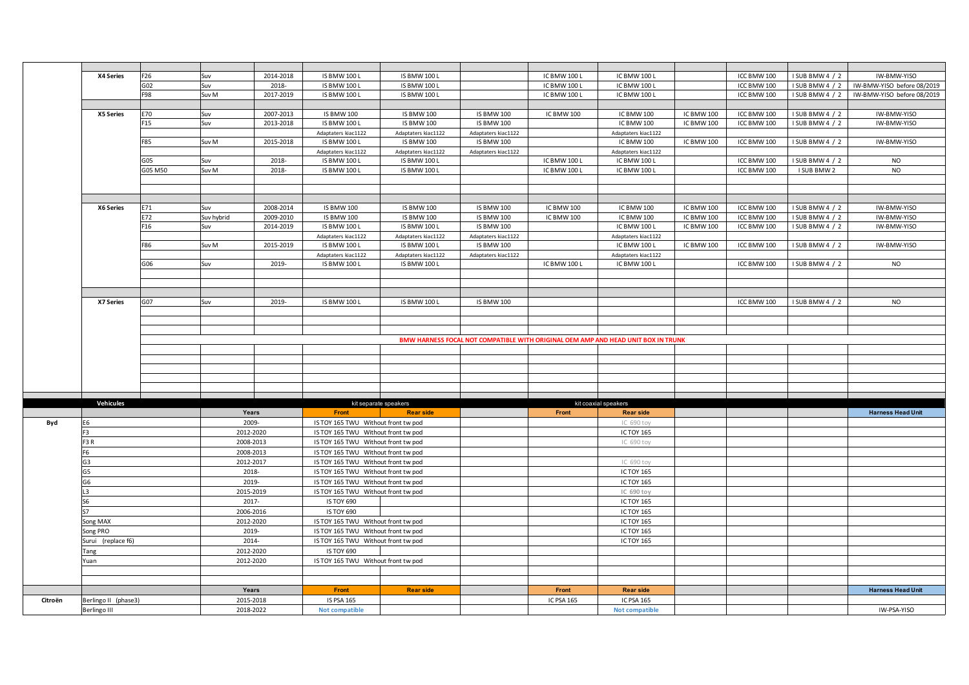|         | X4 Series            | F26             | Suv        | 2014-2018 | <b>IS BMW 100 L</b>                 | <b>IS BMW 100 L</b>   |                     | IC BMW 100 L        | <b>IC BMW 100 L</b>                                                               |                   | ICC BMW 100 | I SUB BMW 4 / 2 | IW-BMW-YISO                |
|---------|----------------------|-----------------|------------|-----------|-------------------------------------|-----------------------|---------------------|---------------------|-----------------------------------------------------------------------------------|-------------------|-------------|-----------------|----------------------------|
|         |                      | G02             | Suv        | 2018-     | <b>IS BMW 100 L</b>                 | <b>IS BMW 100 L</b>   |                     | IC BMW 100 L        | IC BMW 100 L                                                                      |                   | ICC BMW 100 | I SUB BMW 4 / 2 | IW-BMW-YISO before 08/2019 |
|         |                      | F98             | Suv M      | 2017-2019 | <b>IS BMW 100 L</b>                 | <b>IS BMW 100 L</b>   |                     | <b>IC BMW 100 L</b> | IC BMW 100 L                                                                      |                   | ICC BMW 100 | I SUB BMW 4 / 2 | IW-BMW-YISO before 08/2019 |
|         |                      |                 |            |           |                                     |                       |                     |                     |                                                                                   |                   |             |                 |                            |
|         | X5 Series            | E70             | Suv        | 2007-2013 | <b>IS BMW 100</b>                   | <b>IS BMW 100</b>     | <b>IS BMW 100</b>   | IC BMW 100          | IC BMW 100                                                                        | ICBMW100          | ICC BMW 100 | I SUB BMW 4 / 2 | IW-BMW-YISO                |
|         |                      | F <sub>15</sub> | Suv        | 2013-2018 | <b>IS BMW 100 L</b>                 | <b>IS BMW 100</b>     | <b>IS BMW 100</b>   |                     | IC BMW 100                                                                        | IC BMW 100        | ICC BMW 100 | I SUB BMW 4 / 2 | IW-BMW-YISO                |
|         |                      |                 |            |           | Adaptaters kiac1122                 | Adaptaters kiac1122   | Adaptaters kiac1122 |                     | Adaptaters kiac1122                                                               |                   |             |                 |                            |
|         |                      | F85             | Suv M      | 2015-2018 | <b>IS BMW 100 L</b>                 | <b>IS BMW 100</b>     | <b>IS BMW 100</b>   |                     | IC BMW 100                                                                        | IC BMW 100        | ICC BMW 100 | I SUB BMW 4 / 2 | IW-BMW-YISO                |
|         |                      |                 |            |           | Adaptaters kiac1122                 | Adaptaters kiac1122   | Adaptaters kiac1122 |                     | Adaptaters kiac1122                                                               |                   |             |                 |                            |
|         |                      | G05             | Suv        | 2018-     | <b>IS BMW 100 L</b>                 | IS BMW 100 L          |                     | IC BMW 100 L        | IC BMW 100 L                                                                      |                   | ICC BMW 100 | I SUB BMW 4 / 2 | <b>NO</b>                  |
|         |                      | G05 M50         | Suv M      | 2018-     | <b>IS BMW 100 L</b>                 | <b>IS BMW 100 L</b>   |                     | IC BMW 100 L        | IC BMW 100 L                                                                      |                   | ICC BMW 100 | I SUB BMW 2     | <b>NO</b>                  |
|         |                      |                 |            |           |                                     |                       |                     |                     |                                                                                   |                   |             |                 |                            |
|         |                      |                 |            |           |                                     |                       |                     |                     |                                                                                   |                   |             |                 |                            |
|         |                      |                 |            |           |                                     |                       |                     |                     |                                                                                   |                   |             |                 |                            |
|         | X6 Series            | E71             | Suv        | 2008-2014 | <b>IS BMW 100</b>                   | <b>IS BMW 100</b>     | <b>IS BMW 100</b>   | IC BMW 100          | IC BMW 100                                                                        | <b>IC BMW 100</b> | ICC BMW 100 | I SUB BMW 4 / 2 | IW-BMW-YISO                |
|         |                      | E72             | Suv hybrid | 2009-2010 | <b>IS BMW 100</b>                   | <b>IS BMW 100</b>     | <b>IS BMW 100</b>   | IC BMW 100          | IC BMW 100                                                                        | ICBMW100          | ICC BMW 100 | I SUB BMW 4 / 2 | IW-BMW-YISO                |
|         |                      | F16             | Suv        | 2014-2019 | <b>IS BMW 100 L</b>                 | <b>IS BMW 100 L</b>   | <b>IS BMW 100</b>   |                     | IC BMW 100 L                                                                      | ICBMW100          | ICC BMW 100 | I SUB BMW 4 / 2 | IW-BMW-YISO                |
|         |                      |                 |            |           |                                     |                       |                     |                     |                                                                                   |                   |             |                 |                            |
|         |                      |                 |            |           | Adaptaters kiac1122                 | Adaptaters kiac1122   | Adaptaters kiac1122 |                     | Adaptaters kiac1122                                                               |                   |             |                 |                            |
|         |                      | F86             | Suv M      | 2015-2019 | <b>IS BMW 100 L</b>                 | <b>IS BMW 100 L</b>   | <b>IS BMW 100</b>   |                     | IC BMW 100 L                                                                      | ICBMW100          | ICC BMW 100 | I SUB BMW 4 / 2 | IW-BMW-YISO                |
|         |                      |                 |            |           | Adaptaters kiac1122                 | Adaptaters kiac1122   | Adaptaters kiac1122 |                     | Adaptaters kiac1122                                                               |                   |             |                 |                            |
|         |                      | G06             | Suv        | 2019-     | <b>IS BMW 100 L</b>                 | <b>IS BMW 100 L</b>   |                     | IC BMW 100 L        | IC BMW 100 L                                                                      |                   | ICC BMW 100 | I SUB BMW 4 / 2 | <b>NO</b>                  |
|         |                      |                 |            |           |                                     |                       |                     |                     |                                                                                   |                   |             |                 |                            |
|         |                      |                 |            |           |                                     |                       |                     |                     |                                                                                   |                   |             |                 |                            |
|         |                      |                 |            |           |                                     |                       |                     |                     |                                                                                   |                   |             |                 |                            |
|         | X7 Series            | G07             | Suv        | 2019-     | IS BMW 100 L                        | IS BMW 100 L          | <b>IS BMW 100</b>   |                     |                                                                                   |                   | ICC BMW 100 | I SUB BMW 4 / 2 | <b>NO</b>                  |
|         |                      |                 |            |           |                                     |                       |                     |                     |                                                                                   |                   |             |                 |                            |
|         |                      |                 |            |           |                                     |                       |                     |                     |                                                                                   |                   |             |                 |                            |
|         |                      |                 |            |           |                                     |                       |                     |                     |                                                                                   |                   |             |                 |                            |
|         |                      |                 |            |           |                                     |                       |                     |                     | BMW HARNESS FOCAL NOT COMPATIBLE WITH ORIGINAL OEM AMP AND HEAD UNIT BOX IN TRUNK |                   |             |                 |                            |
|         |                      |                 |            |           |                                     |                       |                     |                     |                                                                                   |                   |             |                 |                            |
|         |                      |                 |            |           |                                     |                       |                     |                     |                                                                                   |                   |             |                 |                            |
|         |                      |                 |            |           |                                     |                       |                     |                     |                                                                                   |                   |             |                 |                            |
|         |                      |                 |            |           |                                     |                       |                     |                     |                                                                                   |                   |             |                 |                            |
|         |                      |                 |            |           |                                     |                       |                     |                     |                                                                                   |                   |             |                 |                            |
|         |                      |                 |            |           |                                     |                       |                     |                     |                                                                                   |                   |             |                 |                            |
|         | Vehicules            |                 |            |           |                                     | kit separate speakers |                     |                     | kit coaxial speakers                                                              |                   |             |                 |                            |
|         |                      |                 |            | Years     | Front                               | <b>Rear side</b>      |                     | Front               | <b>Rear side</b>                                                                  |                   |             |                 | <b>Harness Head Unit</b>   |
| Byd     | E6                   |                 |            | 2009-     | IS TOY 165 TWU Without front tw pod |                       |                     |                     | IC 690 toy                                                                        |                   |             |                 |                            |
|         | F <sub>3</sub>       |                 |            | 2012-2020 | IS TOY 165 TWU Without front tw pod |                       |                     |                     | <b>IC TOY 165</b>                                                                 |                   |             |                 |                            |
|         | F <sub>3</sub> R     |                 |            | 2008-2013 |                                     |                       |                     |                     |                                                                                   |                   |             |                 |                            |
|         |                      |                 |            |           | IS TOY 165 TWU Without front tw pod |                       |                     |                     | IC 690 toy                                                                        |                   |             |                 |                            |
|         | F6                   |                 |            | 2008-2013 | IS TOY 165 TWU Without front tw pod |                       |                     |                     |                                                                                   |                   |             |                 |                            |
|         | G3                   |                 |            | 2012-2017 | IS TOY 165 TWU Without front tw pod |                       |                     |                     | IC 690 toy                                                                        |                   |             |                 |                            |
|         | G5                   |                 |            | 2018-     | IS TOY 165 TWU Without front tw pod |                       |                     |                     | <b>IC TOY 165</b>                                                                 |                   |             |                 |                            |
|         | G6                   |                 |            | 2019-     | IS TOY 165 TWU Without front tw pod |                       |                     |                     | <b>IC TOY 165</b>                                                                 |                   |             |                 |                            |
|         | L3                   |                 |            | 2015-2019 | IS TOY 165 TWU Without front tw pod |                       |                     |                     | IC 690 toy                                                                        |                   |             |                 |                            |
|         | S6                   |                 |            | 2017-     | <b>IS TOY 690</b>                   |                       |                     |                     | <b>IC TOY 165</b>                                                                 |                   |             |                 |                            |
|         | S7                   |                 |            | 2006-2016 | <b>IS TOY 690</b>                   |                       |                     |                     | <b>IC TOY 165</b>                                                                 |                   |             |                 |                            |
|         | Song MAX             |                 |            | 2012-2020 | IS TOY 165 TWU Without front tw pod |                       |                     |                     | <b>IC TOY 165</b>                                                                 |                   |             |                 |                            |
|         | Song PRO             |                 |            | 2019-     | IS TOY 165 TWU Without front tw pod |                       |                     |                     | <b>IC TOY 165</b>                                                                 |                   |             |                 |                            |
|         |                      |                 |            | 2014-     | IS TOY 165 TWU Without front tw pod |                       |                     |                     | <b>IC TOY 165</b>                                                                 |                   |             |                 |                            |
|         | Surui (replace f6)   |                 |            |           |                                     |                       |                     |                     |                                                                                   |                   |             |                 |                            |
|         | Tang                 |                 |            | 2012-2020 | <b>IS TOY 690</b>                   |                       |                     |                     |                                                                                   |                   |             |                 |                            |
|         | Yuan                 |                 |            | 2012-2020 | IS TOY 165 TWU Without front tw pod |                       |                     |                     |                                                                                   |                   |             |                 |                            |
|         |                      |                 |            |           |                                     |                       |                     |                     |                                                                                   |                   |             |                 |                            |
|         |                      |                 |            |           |                                     |                       |                     |                     |                                                                                   |                   |             |                 |                            |
|         |                      |                 |            | Years     | Front                               | <b>Rear side</b>      |                     | Front               | <b>Rear side</b>                                                                  |                   |             |                 | <b>Harness Head Unit</b>   |
| Citroën | Berlingo II (phase3) |                 |            | 2015-2018 | <b>IS PSA 165</b>                   |                       |                     | <b>IC PSA 165</b>   | <b>IC PSA 165</b>                                                                 |                   |             |                 |                            |
|         | Berlingo III         |                 |            | 2018-2022 | <b>Not compatible</b>               |                       |                     |                     | Not compatible                                                                    |                   |             |                 | IW-PSA-YISO                |
|         |                      |                 |            |           |                                     |                       |                     |                     |                                                                                   |                   |             |                 |                            |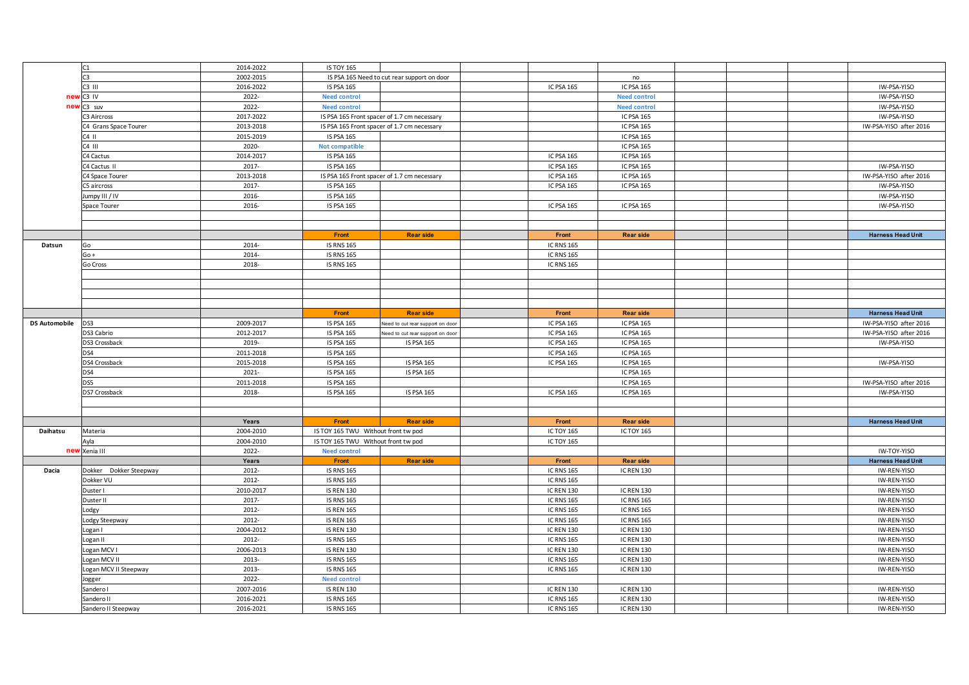|                      | C1                     | 2014-2022 | <b>IS TOY 165</b>                   |                                             |                   |                     |  |                          |
|----------------------|------------------------|-----------|-------------------------------------|---------------------------------------------|-------------------|---------------------|--|--------------------------|
|                      | C <sub>3</sub>         | 2002-2015 |                                     | IS PSA 165 Need to cut rear support on door |                   | no                  |  |                          |
|                      | C3 III                 | 2016-2022 | <b>IS PSA 165</b>                   |                                             | <b>IC PSA 165</b> | <b>IC PSA 165</b>   |  | IW-PSA-YISO              |
| new                  | C3 IV                  | 2022-     | <b>Need control</b>                 |                                             |                   | <b>Need control</b> |  | IW-PSA-YISO              |
|                      | new C3 suv             | 2022-     | <b>Need control</b>                 |                                             |                   | <b>Need control</b> |  | IW-PSA-YISO              |
|                      | C3 Aircross            | 2017-2022 |                                     | IS PSA 165 Front spacer of 1.7 cm necessary |                   | IC PSA 165          |  | IW-PSA-YISO              |
|                      | C4 Grans Space Tourer  | 2013-2018 |                                     | IS PSA 165 Front spacer of 1.7 cm necessary |                   | IC PSA 165          |  | IW-PSA-YISO after 2016   |
|                      | C4 II                  | 2015-2019 | <b>IS PSA 165</b>                   |                                             |                   | <b>IC PSA 165</b>   |  |                          |
|                      | C4 III                 | 2020-     | <b>Not compatible</b>               |                                             |                   | IC PSA 165          |  |                          |
|                      | C4 Cactus              | 2014-2017 | <b>IS PSA 165</b>                   |                                             | <b>IC PSA 165</b> | <b>IC PSA 165</b>   |  |                          |
|                      | C4 Cactus II           | 2017-     | <b>IS PSA 165</b>                   |                                             | IC PSA 165        | IC PSA 165          |  | IW-PSA-YISO              |
|                      | C4 Space Tourer        | 2013-2018 |                                     | IS PSA 165 Front spacer of 1.7 cm necessary | IC PSA 165        | <b>IC PSA 165</b>   |  | IW-PSA-YISO after 2016   |
|                      | C5 aircross            | 2017-     | <b>IS PSA 165</b>                   |                                             | IC PSA 165        | IC PSA 165          |  | IW-PSA-YISO              |
|                      | Jumpy III / IV         | 2016-     | <b>IS PSA 165</b>                   |                                             |                   |                     |  | IW-PSA-YISO              |
|                      | Space Tourer           | 2016-     | <b>IS PSA 165</b>                   |                                             | IC PSA 165        | IC PSA 165          |  | IW-PSA-YISO              |
|                      |                        |           |                                     |                                             |                   |                     |  |                          |
|                      |                        |           |                                     |                                             |                   |                     |  |                          |
|                      |                        |           | Front                               | <b>Rear side</b>                            | Front             | <b>Rear side</b>    |  | <b>Harness Head Unit</b> |
| Datsun               | Go                     | 2014-     | <b>IS RNS 165</b>                   |                                             | <b>IC RNS 165</b> |                     |  |                          |
|                      | $Go +$                 | 2014-     | <b>IS RNS 165</b>                   |                                             | <b>IC RNS 165</b> |                     |  |                          |
|                      |                        | 2018-     |                                     |                                             |                   |                     |  |                          |
|                      | Go Cross               |           | <b>IS RNS 165</b>                   |                                             | <b>IC RNS 165</b> |                     |  |                          |
|                      |                        |           |                                     |                                             |                   |                     |  |                          |
|                      |                        |           |                                     |                                             |                   |                     |  |                          |
|                      |                        |           |                                     |                                             |                   |                     |  |                          |
|                      |                        |           |                                     |                                             |                   |                     |  |                          |
|                      |                        |           | Front                               | <b>Rear side</b>                            | Front             | <b>Rear side</b>    |  | <b>Harness Head Unit</b> |
| <b>DS Automobile</b> | DS3                    | 2009-2017 | <b>IS PSA 165</b>                   | Need to cut rear support on door            | IC PSA 165        | IC PSA 165          |  | IW-PSA-YISO after 2016   |
|                      | DS3 Cabrio             | 2012-2017 | <b>IS PSA 165</b>                   | Veed to cut rear support on doo             | IC PSA 165        | <b>IC PSA 165</b>   |  | IW-PSA-YISO after 2016   |
|                      | DS3 Crossback          | 2019-     | <b>IS PSA 165</b>                   | IS PSA 165                                  | IC PSA 165        | <b>IC PSA 165</b>   |  | IW-PSA-YISO              |
|                      | DS4                    | 2011-2018 | <b>IS PSA 165</b>                   |                                             | IC PSA 165        | <b>IC PSA 165</b>   |  |                          |
|                      | DS4 Crossback          | 2015-2018 | <b>IS PSA 165</b>                   | IS PSA 165                                  | IC PSA 165        | <b>IC PSA 165</b>   |  | IW-PSA-YISO              |
|                      | DS4                    | 2021-     | <b>IS PSA 165</b>                   | <b>IS PSA 165</b>                           |                   | IC PSA 165          |  |                          |
|                      | DS5                    | 2011-2018 | <b>IS PSA 165</b>                   |                                             |                   | <b>IC PSA 165</b>   |  | IW-PSA-YISO after 2016   |
|                      | DS7 Crossback          | 2018-     | <b>IS PSA 165</b>                   | IS PSA 165                                  | IC PSA 165        | IC PSA 165          |  | IW-PSA-YISO              |
|                      |                        |           |                                     |                                             |                   |                     |  |                          |
|                      |                        |           |                                     |                                             |                   |                     |  |                          |
|                      |                        | Years     | Front                               | <b>Rear side</b>                            | Front             | <b>Rear side</b>    |  | <b>Harness Head Unit</b> |
| Daihatsu             | Materia                | 2004-2010 | IS TOY 165 TWU Without front tw pod |                                             | <b>ICTOY 165</b>  | <b>IC TOY 165</b>   |  |                          |
|                      | Ayla                   | 2004-2010 | IS TOY 165 TWU Without front tw pod |                                             | <b>ICTOY 165</b>  |                     |  |                          |
|                      | new Xenia III          | 2022-     | <b>Need control</b>                 |                                             |                   |                     |  | IW-TOY-YISO              |
|                      |                        | Years     | Front                               | <b>Rear side</b>                            | Front             | <b>Rear side</b>    |  | <b>Harness Head Unit</b> |
| Dacia                | Dokker Dokker Steepway | 2012-     | <b>IS RNS 165</b>                   |                                             | <b>IC RNS 165</b> | <b>IC REN 130</b>   |  | IW-REN-YISO              |
|                      | Dokker VU              | 2012-     | <b>IS RNS 165</b>                   |                                             | <b>IC RNS 165</b> |                     |  | IW-REN-YISO              |
|                      | Duster I               | 2010-2017 | <b>IS REN 130</b>                   |                                             | <b>IC REN 130</b> | <b>IC REN 130</b>   |  | IW-REN-YISO              |
|                      | Duster II              | 2017-     | <b>IS RNS 165</b>                   |                                             | <b>IC RNS 165</b> | <b>IC RNS 165</b>   |  | IW-REN-YISO              |
|                      | Lodgy                  | 2012-     | <b>IS REN 165</b>                   |                                             | <b>IC RNS 165</b> | <b>IC RNS 165</b>   |  | IW-REN-YISO              |
|                      | Lodgy Steepway         | 2012-     | <b>IS REN 165</b>                   |                                             | <b>IC RNS 165</b> | <b>IC RNS 165</b>   |  | IW-REN-YISO              |
|                      | Logan I                | 2004-2012 | <b>IS REN 130</b>                   |                                             | <b>IC REN 130</b> | <b>IC REN 130</b>   |  | IW-REN-YISO              |
|                      | Logan II               | 2012-     | <b>IS RNS 165</b>                   |                                             | <b>IC RNS 165</b> | <b>IC REN 130</b>   |  | IW-REN-YISO              |
|                      | Logan MCV I            | 2006-2013 | <b>IS REN 130</b>                   |                                             | <b>IC REN 130</b> | <b>IC REN 130</b>   |  | IW-REN-YISO              |
|                      | Logan MCV II           | 2013-     | <b>IS RNS 165</b>                   |                                             | <b>IC RNS 165</b> | <b>IC REN 130</b>   |  | IW-REN-YISO              |
|                      | Logan MCV II Steepway  | 2013-     | <b>IS RNS 165</b>                   |                                             | <b>IC RNS 165</b> | <b>IC REN 130</b>   |  | IW-REN-YISO              |
|                      | Jogger                 | 2022-     | <b>Need control</b>                 |                                             |                   |                     |  |                          |
|                      | Sandero I              | 2007-2016 | <b>IS REN 130</b>                   |                                             | <b>IC REN 130</b> | <b>IC REN 130</b>   |  | IW-REN-YISO              |
|                      | Sandero II             | 2016-2021 | <b>IS RNS 165</b>                   |                                             | <b>IC RNS 165</b> | <b>IC REN 130</b>   |  | IW-REN-YISO              |
|                      | Sandero II Steepway    | 2016-2021 | <b>IS RNS 165</b>                   |                                             | <b>IC RNS 165</b> | <b>IC REN 130</b>   |  | IW-REN-YISO              |
|                      |                        |           |                                     |                                             |                   |                     |  |                          |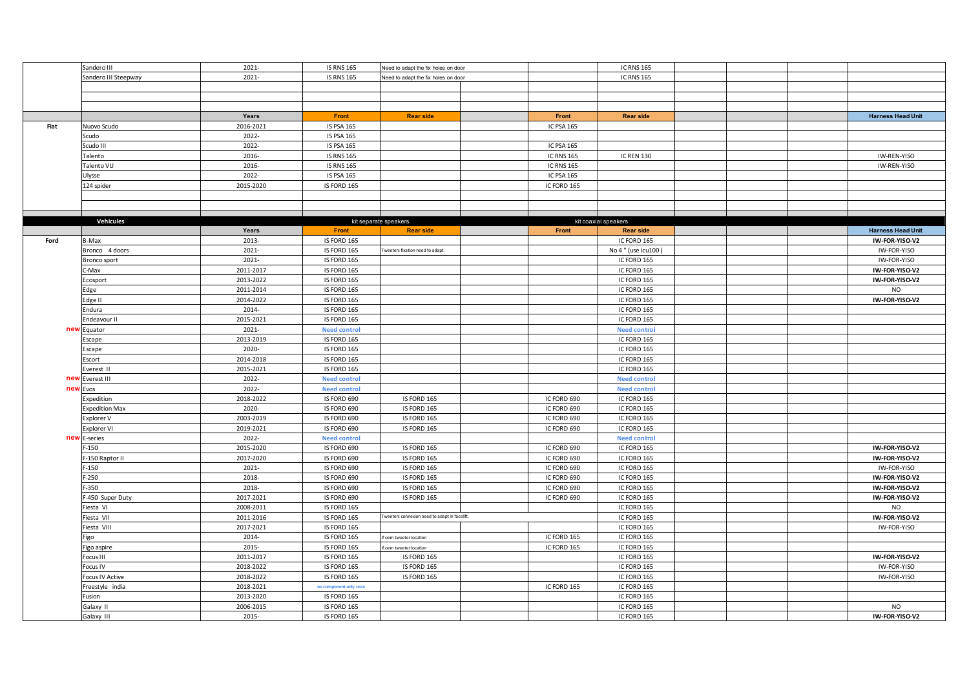|      | Sandero III           | 2021-     | <b>IS RNS 165</b>      | Need to adapt the fix holes on door          |                   | <b>IC RNS 165</b>    |  |                          |
|------|-----------------------|-----------|------------------------|----------------------------------------------|-------------------|----------------------|--|--------------------------|
|      | Sandero III Steepway  | 2021-     | <b>IS RNS 165</b>      | Need to adapt the fix holes on door          |                   | <b>IC RNS 165</b>    |  |                          |
|      |                       |           |                        |                                              |                   |                      |  |                          |
|      |                       |           |                        |                                              |                   |                      |  |                          |
|      |                       |           |                        |                                              |                   |                      |  |                          |
|      |                       | Years     | Front                  | <b>Rear side</b>                             | Front             | <b>Rear side</b>     |  | <b>Harness Head Unit</b> |
| Fiat | Nuovo Scudo           | 2016-2021 | <b>IS PSA 165</b>      |                                              | IC PSA 165        |                      |  |                          |
|      | Scudo                 | 2022-     | <b>IS PSA 165</b>      |                                              |                   |                      |  |                          |
|      | Scudo III             | 2022-     | <b>IS PSA 165</b>      |                                              | IC PSA 165        |                      |  |                          |
|      | Talento               | 2016-     | <b>IS RNS 165</b>      |                                              | <b>IC RNS 165</b> | <b>IC REN 130</b>    |  | IW-REN-YISO              |
|      | Talento VU            | 2016-     | <b>IS RNS 165</b>      |                                              | <b>IC RNS 165</b> |                      |  | IW-REN-YISO              |
|      | Ulysse                | 2022-     | <b>IS PSA 165</b>      |                                              | <b>IC PSA 165</b> |                      |  |                          |
|      | 124 spider            | 2015-2020 | IS FORD 165            |                                              | IC FORD 165       |                      |  |                          |
|      |                       |           |                        |                                              |                   |                      |  |                          |
|      |                       |           |                        |                                              |                   |                      |  |                          |
|      |                       |           |                        |                                              |                   |                      |  |                          |
|      | Vehicules             |           |                        | kit separate speakers                        |                   | kit coaxial speakers |  |                          |
|      |                       | Years     | Front                  | <b>Rear side</b>                             | Front             | <b>Rear side</b>     |  | <b>Harness Head Unit</b> |
| Ford | B-Max                 | 2013-     | IS FORD 165            |                                              |                   | IC FORD 165          |  | IW-FOR-YISO-V2           |
|      | Bronco 4 doors        | 2021-     | IS FORD 165            | weeters fixation need to adapt.              |                   | No 4 " (use icu100)  |  | IW-FOR-YISO              |
|      | Bronco sport          | 2021-     | IS FORD 165            |                                              |                   | IC FORD 165          |  | IW-FOR-YISO              |
|      | C-Max                 | 2011-2017 | IS FORD 165            |                                              |                   | IC FORD 165          |  | IW-FOR-YISO-V2           |
|      | Ecosport              | 2013-2022 | IS FORD 165            |                                              |                   | IC FORD 165          |  | IW-FOR-YISO-V2           |
|      | Edge                  | 2011-2014 | IS FORD 165            |                                              |                   | IC FORD 165          |  | <b>NO</b>                |
|      | Edge II               | 2014-2022 | IS FORD 165            |                                              |                   | IC FORD 165          |  | IW-FOR-YISO-V2           |
|      | Endura                | 2014-     | IS FORD 165            |                                              |                   | IC FORD 165          |  |                          |
|      | ndeavour II           | 2015-2021 | IS FORD 165            |                                              |                   | IC FORD 165          |  |                          |
| ney  | Equator               | 2021-     | <b>Need control</b>    |                                              |                   | <b>Need control</b>  |  |                          |
|      | Escape                | 2013-2019 | IS FORD 165            |                                              |                   | IC FORD 165          |  |                          |
|      | Escape                | 2020-     | IS FORD 165            |                                              |                   | IC FORD 165          |  |                          |
|      | Escort                | 2014-2018 | IS FORD 165            |                                              |                   | IC FORD 165          |  |                          |
|      | Everest II            | 2015-2021 | IS FORD 165            |                                              |                   | IC FORD 165          |  |                          |
| nev  |                       | 2022-     | <b>Need control</b>    |                                              |                   | <b>Need control</b>  |  |                          |
| nev  | Everest III<br>Evos   | 2022-     | <b>Need control</b>    |                                              |                   | <b>Need control</b>  |  |                          |
|      | Expedition            | 2018-2022 | IS FORD 690            | IS FORD 165                                  | IC FORD 690       | IC FORD 165          |  |                          |
|      | <b>Expedition Max</b> | 2020-     | IS FORD 690            | IS FORD 165                                  | IC FORD 690       | IC FORD 165          |  |                          |
|      |                       |           |                        |                                              |                   |                      |  |                          |
|      | Explorer V            | 2003-2019 | IS FORD 690            | IS FORD 165                                  | IC FORD 690       | IC FORD 165          |  |                          |
|      | Explorer VI           | 2019-2021 | IS FORD 690            | IS FORD 165                                  | IC FORD 690       | IC FORD 165          |  |                          |
| nev  | E-series              | 2022-     | <b>Need control</b>    |                                              |                   | <b>Need control</b>  |  |                          |
|      | $F-150$               | 2015-2020 | IS FORD 690            | IS FORD 165                                  | IC FORD 690       | IC FORD 165          |  | IW-FOR-YISO-V2           |
|      | -150 Raptor II        | 2017-2020 | IS FORD 690            | IS FORD 165                                  | IC FORD 690       | IC FORD 165          |  | IW-FOR-YISO-V2           |
|      | $-150$                | 2021-     | IS FORD 690            | IS FORD 165                                  | IC FORD 690       | IC FORD 165          |  | IW-FOR-YISO              |
|      | $F-250$               | 2018-     | IS FORD 690            | IS FORD 165                                  | IC FORD 690       | IC FORD 165          |  | IW-FOR-YISO-V2           |
|      | F-350                 | 2018-     | IS FORD 690            | IS FORD 165                                  | IC FORD 690       | IC FORD 165          |  | IW-FOR-YISO-V2           |
|      | F-450 Super Duty      | 2017-2021 | IS FORD 690            | IS FORD 165                                  | IC FORD 690       | IC FORD 165          |  | IW-FOR-YISO-V2           |
|      | Fiesta VI             | 2008-2011 | IS FORD 165            |                                              |                   | IC FORD 165          |  | <b>NO</b>                |
|      | Fiesta VII            | 2011-2016 | IS FORD 165            | weeters connexion need to adapt in facelift. |                   | IC FORD 165          |  | IW-FOR-YISO-V2           |
|      | Fiesta VIII           | 2017-2021 | IS FORD 165            |                                              |                   | IC FORD 165          |  | IW-FOR-YISO              |
|      | Figo                  | 2014-     | IS FORD 165            | f oem tweeter location                       | IC FORD 165       | IC FORD 165          |  |                          |
|      | Figo aspire           | 2015-     | IS FORD 165            | oem tweeter location                         | IC FORD 165       | IC FORD 165          |  |                          |
|      | Focus III             | 2011-2017 | IS FORD 165            | IS FORD 165                                  |                   | IC FORD 165          |  | IW-FOR-YISO-V2           |
|      | Focus IV              | 2018-2022 | IS FORD 165            | IS FORD 165                                  |                   | IC FORD 165          |  | IW-FOR-YISO              |
|      | Focus IV Active       | 2018-2022 | IS FORD 165            | IS FORD 165                                  |                   | IC FORD 165          |  | IW-FOR-YISO              |
|      | reestyle india        | 2018-2021 | no component only coax |                                              | IC FORD 165       | IC FORD 165          |  |                          |
|      | Fusion                | 2013-2020 | IS FORD 165            |                                              |                   | IC FORD 165          |  |                          |
|      | Galaxy II             | 2006-2015 | IS FORD 165            |                                              |                   | IC FORD 165          |  | <b>NO</b>                |
|      | Galaxy III            | 2015-     | IS FORD 165            |                                              |                   | IC FORD 165          |  | IW-FOR-YISO-V2           |
|      |                       |           |                        |                                              |                   |                      |  |                          |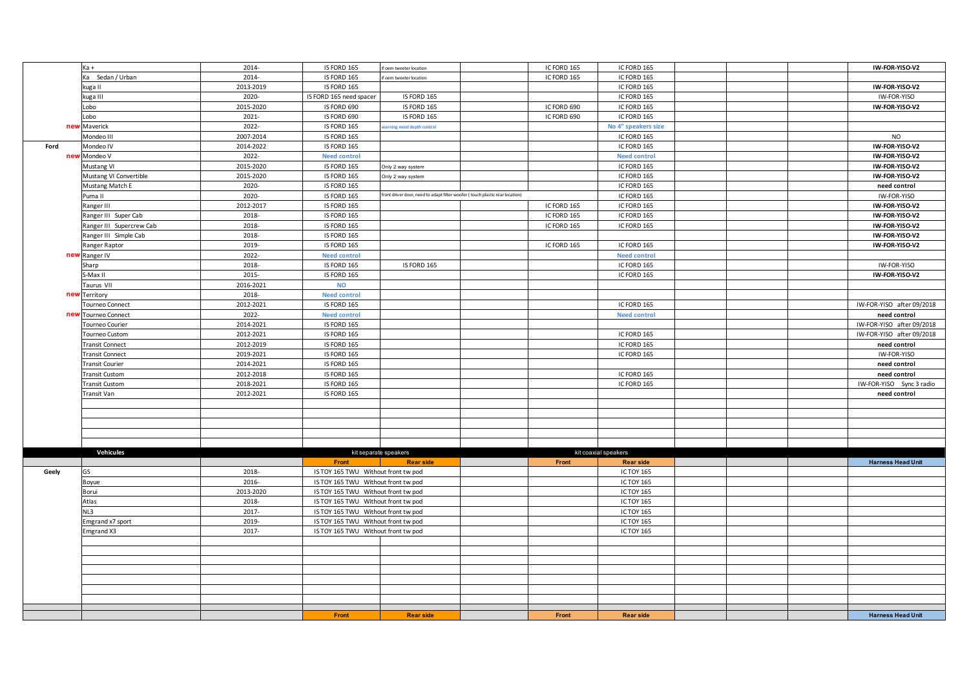|       | Ka +                     | 2014-     | IS FORD 165                         | if oem tweeter location                                                      | IC FORD 165 | IC FORD 165          |  | IW-FOR-YISO-V2            |
|-------|--------------------------|-----------|-------------------------------------|------------------------------------------------------------------------------|-------------|----------------------|--|---------------------------|
|       |                          | 2014-     | IS FORD 165                         |                                                                              |             |                      |  |                           |
|       | Ka Sedan / Urban         |           |                                     | foem tweeter location                                                        | IC FORD 165 | IC FORD 165          |  |                           |
|       | kuga II                  | 2013-2019 | IS FORD 165                         |                                                                              |             | IC FORD 165          |  | IW-FOR-YISO-V2            |
|       | kuga III                 | 2020-     | IS FORD 165 need spacer             | IS FORD 165                                                                  |             | IC FORD 165          |  | IW-FOR-YISO               |
|       | Lobo                     | 2015-2020 | IS FORD 690                         | IS FORD 165                                                                  | IC FORD 690 | IC FORD 165          |  | IW-FOR-YISO-V2            |
|       | Lobo                     | 2021-     | IS FORD 690                         | IS FORD 165                                                                  | IC FORD 690 | IC FORD 165          |  |                           |
|       | new Maverick             | 2022-     | IS FORD 165                         | rning need depth control                                                     |             | No 4" speakers size  |  |                           |
|       | Mondeo III               | 2007-2014 | IS FORD 165                         |                                                                              |             | IC FORD 165          |  | <b>NO</b>                 |
| Ford  | Mondeo IV                | 2014-2022 | IS FORD 165                         |                                                                              |             | IC FORD 165          |  | IW-FOR-YISO-V2            |
| new   | Mondeo V                 | 2022-     | <b>Need control</b>                 |                                                                              |             | <b>Need control</b>  |  | IW-FOR-YISO-V2            |
|       | Mustang VI               | 2015-2020 | IS FORD 165                         | Only 2 way system                                                            |             | IC FORD 165          |  | IW-FOR-YISO-V2            |
|       | Mustang VI Convertible   | 2015-2020 | IS FORD 165                         | Only 2 way system                                                            |             | IC FORD 165          |  | IW-FOR-YISO-V2            |
|       | Mustang Match E          | 2020-     | IS FORD 165                         |                                                                              |             | IC FORD 165          |  | need control              |
|       | Puma II                  | 2020-     | IS FORD 165                         | front driver door, need to adapt filter woofer (touch plastic rear location) |             | IC FORD 165          |  | IW-FOR-YISO               |
|       | Ranger III               | 2012-2017 | IS FORD 165                         |                                                                              | IC FORD 165 | IC FORD 165          |  | IW-FOR-YISO-V2            |
|       | Ranger III Super Cab     | 2018-     | IS FORD 165                         |                                                                              | IC FORD 165 | IC FORD 165          |  | IW-FOR-YISO-V2            |
|       | Ranger III Supercrew Cab | 2018-     | IS FORD 165                         |                                                                              | IC FORD 165 | IC FORD 165          |  | IW-FOR-YISO-V2            |
|       | Ranger III Simple Cab    | 2018-     | IS FORD 165                         |                                                                              |             |                      |  | IW-FOR-YISO-V2            |
|       | Ranger Raptor            | 2019-     | IS FORD 165                         |                                                                              | IC FORD 165 | IC FORD 165          |  | IW-FOR-YISO-V2            |
|       | new Ranger IV            | 2022-     | <b>Need control</b>                 |                                                                              |             | <b>Need control</b>  |  |                           |
|       | Sharp                    | 2018-     | IS FORD 165                         | IS FORD 165                                                                  |             | IC FORD 165          |  | IW-FOR-YISO               |
|       | S-Max II                 | 2015-     | IS FORD 165                         |                                                                              |             | IC FORD 165          |  | IW-FOR-YISO-V2            |
|       | Taurus VII               | 2016-2021 | <b>NO</b>                           |                                                                              |             |                      |  |                           |
| new   | Territory                | 2018-     | <b>Need control</b>                 |                                                                              |             |                      |  |                           |
|       | Tourneo Connect          | 2012-2021 | IS FORD 165                         |                                                                              |             | IC FORD 165          |  | IW-FOR-YISO after 09/2018 |
| new   | Tourneo Connect          | 2022-     | <b>Need control</b>                 |                                                                              |             | <b>Need control</b>  |  | need control              |
|       | Tourneo Courier          | 2014-2021 | IS FORD 165                         |                                                                              |             |                      |  | IW-FOR-YISO after 09/2018 |
|       | Tourneo Custom           | 2012-2021 | IS FORD 165                         |                                                                              |             | IC FORD 165          |  | IW-FOR-YISO after 09/2018 |
|       | <b>Transit Connect</b>   | 2012-2019 | IS FORD 165                         |                                                                              |             | IC FORD 165          |  | need control              |
|       | <b>Transit Connect</b>   | 2019-2021 | IS FORD 165                         |                                                                              |             | IC FORD 165          |  | IW-FOR-YISO               |
|       | <b>Transit Courier</b>   | 2014-2021 | IS FORD 165                         |                                                                              |             |                      |  | need control              |
|       | <b>Transit Custom</b>    | 2012-2018 | IS FORD 165                         |                                                                              |             | IC FORD 165          |  | need control              |
|       | <b>Transit Custom</b>    | 2018-2021 | IS FORD 165                         |                                                                              |             | IC FORD 165          |  | IW-FOR-YISO Sync 3 radio  |
|       | Transit Van              | 2012-2021 | IS FORD 165                         |                                                                              |             |                      |  | need control              |
|       |                          |           |                                     |                                                                              |             |                      |  |                           |
|       |                          |           |                                     |                                                                              |             |                      |  |                           |
|       |                          |           |                                     |                                                                              |             |                      |  |                           |
|       |                          |           |                                     |                                                                              |             |                      |  |                           |
|       |                          |           |                                     |                                                                              |             |                      |  |                           |
|       | Vehicules                |           |                                     | kit separate speakers                                                        |             | kit coaxial speakers |  |                           |
|       |                          |           | Front                               | <b>Rear side</b>                                                             | Front       | <b>Rear side</b>     |  | <b>Harness Head Unit</b>  |
| Geely | GS                       | 2018-     | IS TOY 165 TWU Without front tw pod |                                                                              |             | <b>IC TOY 165</b>    |  |                           |
|       | Boyue                    | 2016-     | IS TOY 165 TWU Without front tw pod |                                                                              |             | <b>IC TOY 165</b>    |  |                           |
|       | Borui                    | 2013-2020 | IS TOY 165 TWU Without front tw pod |                                                                              |             | <b>IC TOY 165</b>    |  |                           |
|       | Atlas                    | 2018-     | IS TOY 165 TWU Without front tw pod |                                                                              |             | <b>IC TOY 165</b>    |  |                           |
|       | NL3                      | 2017-     | IS TOY 165 TWU Without front tw pod |                                                                              |             | <b>IC TOY 165</b>    |  |                           |
|       | Emgrand x7 sport         | 2019-     | IS TOY 165 TWU Without front tw pod |                                                                              |             | <b>IC TOY 165</b>    |  |                           |
|       | Emgrand X3               | 2017-     | IS TOY 165 TWU Without front tw pod |                                                                              |             | IC TOY 165           |  |                           |
|       |                          |           |                                     |                                                                              |             |                      |  |                           |
|       |                          |           |                                     |                                                                              |             |                      |  |                           |
|       |                          |           |                                     |                                                                              |             |                      |  |                           |
|       |                          |           |                                     |                                                                              |             |                      |  |                           |
|       |                          |           |                                     |                                                                              |             |                      |  |                           |
|       |                          |           |                                     |                                                                              |             |                      |  |                           |
|       |                          |           |                                     |                                                                              |             |                      |  |                           |
|       |                          |           |                                     |                                                                              |             |                      |  |                           |
|       |                          |           | Front                               | <b>Rear side</b>                                                             | Front       | <b>Rear side</b>     |  | <b>Harness Head Unit</b>  |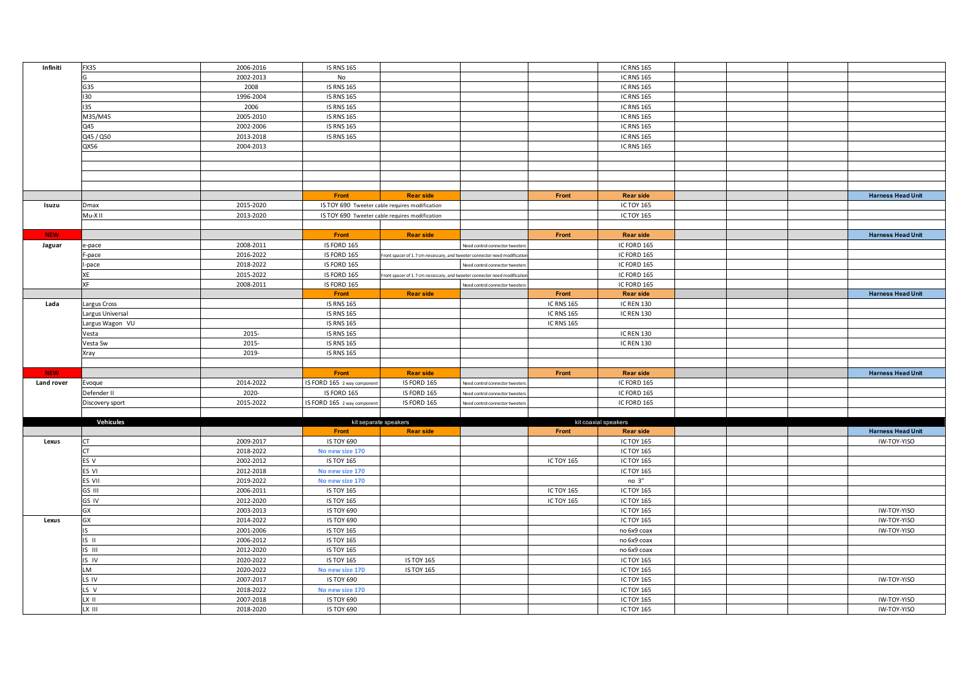| Infiniti   | <b>FX35</b>      | 2006-2016              | <b>IS RNS 165</b>                      |                                                                          |                                 |                   | <b>IC RNS 165</b>               |  |                            |
|------------|------------------|------------------------|----------------------------------------|--------------------------------------------------------------------------|---------------------------------|-------------------|---------------------------------|--|----------------------------|
|            |                  | 2002-2013              | No                                     |                                                                          |                                 |                   | <b>IC RNS 165</b>               |  |                            |
|            | G35              | 2008                   | <b>IS RNS 165</b>                      |                                                                          |                                 |                   | <b>IC RNS 165</b>               |  |                            |
|            | 130              | 1996-2004              | <b>IS RNS 165</b>                      |                                                                          |                                 |                   | <b>IC RNS 165</b>               |  |                            |
|            | 135              | 2006                   | <b>IS RNS 165</b>                      |                                                                          |                                 |                   | <b>IC RNS 165</b>               |  |                            |
|            | M35/M45          | 2005-2010              | <b>IS RNS 165</b>                      |                                                                          |                                 |                   | <b>IC RNS 165</b>               |  |                            |
|            | Q45              | 2002-2006              | <b>IS RNS 165</b>                      |                                                                          |                                 |                   | <b>IC RNS 165</b>               |  |                            |
|            | Q45 / Q50        | 2013-2018              | <b>IS RNS 165</b>                      |                                                                          |                                 |                   | <b>IC RNS 165</b>               |  |                            |
|            |                  |                        |                                        |                                                                          |                                 |                   |                                 |  |                            |
|            | QX56             | 2004-2013              |                                        |                                                                          |                                 |                   | <b>IC RNS 165</b>               |  |                            |
|            |                  |                        |                                        |                                                                          |                                 |                   |                                 |  |                            |
|            |                  |                        |                                        |                                                                          |                                 |                   |                                 |  |                            |
|            |                  |                        |                                        |                                                                          |                                 |                   |                                 |  |                            |
|            |                  |                        |                                        |                                                                          |                                 |                   |                                 |  |                            |
|            |                  |                        | Front                                  | <b>Rear side</b>                                                         |                                 | Front             | <b>Rear side</b>                |  | <b>Harness Head Unit</b>   |
| Isuzu      | Dmax             | 2015-2020              |                                        | IS TOY 690 Tweeter cable requires modification                           |                                 |                   | <b>IC TOY 165</b>               |  |                            |
|            | Mu-XII           | 2013-2020              |                                        | IS TOY 690 Tweeter cable requires modification                           |                                 |                   | <b>IC TOY 165</b>               |  |                            |
|            |                  |                        |                                        |                                                                          |                                 |                   |                                 |  |                            |
| <b>NEW</b> |                  |                        | Front                                  | <b>Rear side</b>                                                         |                                 | Front             | <b>Rear side</b>                |  | <b>Harness Head Unit</b>   |
| Jaguar     | e-pace           | 2008-2011              | IS FORD 165                            |                                                                          | Need control connector tweeters |                   | IC FORD 165                     |  |                            |
|            | F-pace           | 2016-2022              | IS FORD 165                            | ront spacer of 1.7 cm necessary, and tweeter connector need modificatio  |                                 |                   | IC FORD 165                     |  |                            |
|            | -pace            | 2018-2022              | IS FORD 165                            |                                                                          | Need control connector tweeters |                   | IC FORD 165                     |  |                            |
|            | XE               | 2015-2022              | IS FORD 165                            | ront spacer of 1.7 cm necessary, and tweeter connector need modification |                                 |                   | IC FORD 165                     |  |                            |
|            | <b>XF</b>        | 2008-2011              | IS FORD 165                            |                                                                          | Need control connector tweeter  |                   | IC FORD 165                     |  |                            |
|            |                  |                        | Front                                  | <b>Rear side</b>                                                         |                                 | Front             | <b>Rear side</b>                |  | <b>Harness Head Unit</b>   |
| Lada       | Largus Cross     |                        | <b>IS RNS 165</b>                      |                                                                          |                                 | <b>IC RNS 165</b> | <b>IC REN 130</b>               |  |                            |
|            | Largus Universal |                        | <b>IS RNS 165</b>                      |                                                                          |                                 | <b>IC RNS 165</b> | <b>IC REN 130</b>               |  |                            |
|            | Largus Wagon VU  |                        | <b>IS RNS 165</b>                      |                                                                          |                                 | <b>IC RNS 165</b> |                                 |  |                            |
|            |                  | 2015-                  | <b>IS RNS 165</b>                      |                                                                          |                                 |                   | <b>IC REN 130</b>               |  |                            |
|            | Vesta            | 2015-                  | <b>IS RNS 165</b>                      |                                                                          |                                 |                   |                                 |  |                            |
|            | Vesta Sw         |                        |                                        |                                                                          |                                 |                   | <b>IC REN 130</b>               |  |                            |
|            | Xray             | 2019-                  | <b>IS RNS 165</b>                      |                                                                          |                                 |                   |                                 |  |                            |
|            |                  |                        |                                        |                                                                          |                                 |                   |                                 |  |                            |
| <b>NEW</b> |                  |                        | Front                                  | <b>Rear side</b>                                                         |                                 | Front             | <b>Rear side</b>                |  | <b>Harness Head Unit</b>   |
| Land rover | Evoque           | 2014-2022              | IS FORD 165 2 way component            | IS FORD 165                                                              | Need control connector tweeters |                   | IC FORD 165                     |  |                            |
|            | Defender II      |                        |                                        |                                                                          | eed control connector tweeters  |                   |                                 |  |                            |
|            |                  | 2020-                  | IS FORD 165                            | IS FORD 165                                                              |                                 |                   | IC FORD 165                     |  |                            |
|            | Discovery sport  | 2015-2022              | IS FORD 165 2 way componen             | IS FORD 165                                                              | leed control connector tweeters |                   | IC FORD 165                     |  |                            |
|            |                  |                        |                                        |                                                                          |                                 |                   |                                 |  |                            |
|            | Vehicules        |                        |                                        | kit separate speakers                                                    |                                 |                   | kit coaxial speakers            |  |                            |
|            |                  |                        | Front                                  | <b>Rear side</b>                                                         |                                 | Front             | <b>Rear side</b>                |  | <b>Harness Head Unit</b>   |
| Lexus      | CT               | 2009-2017              | <b>IS TOY 690</b>                      |                                                                          |                                 |                   | <b>IC TOY 165</b>               |  | IW-TOY-YISO                |
|            | <b>CT</b>        | 2018-2022              | No new size 170                        |                                                                          |                                 |                   | <b>IC TOY 165</b>               |  |                            |
|            | ES V             | 2002-2012              | <b>IS TOY 165</b>                      |                                                                          |                                 | ICTOY 165         | <b>IC TOY 165</b>               |  |                            |
|            | ES VI            | 2012-2018              | No new size 170                        |                                                                          |                                 |                   | <b>IC TOY 165</b>               |  |                            |
|            | ES VII           | 2019-2022              | No new size 170                        |                                                                          |                                 |                   | no <sup>3</sup>                 |  |                            |
|            | GS III           | 2006-2011              | <b>IS TOY 165</b>                      |                                                                          |                                 | ICTOY 165         | <b>IC TOY 165</b>               |  |                            |
|            | GS IV            | 2012-2020              | <b>IS TOY 165</b>                      |                                                                          |                                 | <b>ICTOY 165</b>  | <b>IC TOY 165</b>               |  |                            |
|            | GX               | 2003-2013              | IS TOY 690                             |                                                                          |                                 |                   | <b>IC TOY 165</b>               |  | IW-TOY-YISO                |
| Lexus      | GX               | 2014-2022              | IS TOY 690                             |                                                                          |                                 |                   | <b>IC TOY 165</b>               |  | IW-TOY-YISO                |
|            |                  |                        |                                        |                                                                          |                                 |                   |                                 |  |                            |
|            | $IS$ $II$        | 2001-2006<br>2006-2012 | <b>IS TOY 165</b><br><b>IS TOY 165</b> |                                                                          |                                 |                   | no 6x9 coax<br>no 6x9 coax      |  | IW-TOY-YISO                |
|            | IS III           |                        |                                        |                                                                          |                                 |                   |                                 |  |                            |
|            |                  | 2012-2020              | <b>IS TOY 165</b>                      |                                                                          |                                 |                   | no 6x9 coax                     |  |                            |
|            | IS IV            | 2020-2022              | <b>IS TOY 165</b>                      | <b>IS TOY 165</b>                                                        |                                 |                   | <b>IC TOY 165</b>               |  |                            |
|            | LM               | 2020-2022              | No new size 170                        | <b>IS TOY 165</b>                                                        |                                 |                   | <b>IC TOY 165</b>               |  |                            |
|            | LS IV            | 2007-2017              | <b>IS TOY 690</b>                      |                                                                          |                                 |                   | <b>IC TOY 165</b>               |  | IW-TOY-YISO                |
|            | LS V             | 2018-2022              | No new size 170                        |                                                                          |                                 |                   | <b>IC TOY 165</b>               |  |                            |
|            | LX II<br>LX III  | 2007-2018<br>2018-2020 | <b>IS TOY 690</b><br><b>IS TOY 690</b> |                                                                          |                                 |                   | IC TOY 165<br><b>IC TOY 165</b> |  | IW-TOY-YISO<br>IW-TOY-YISO |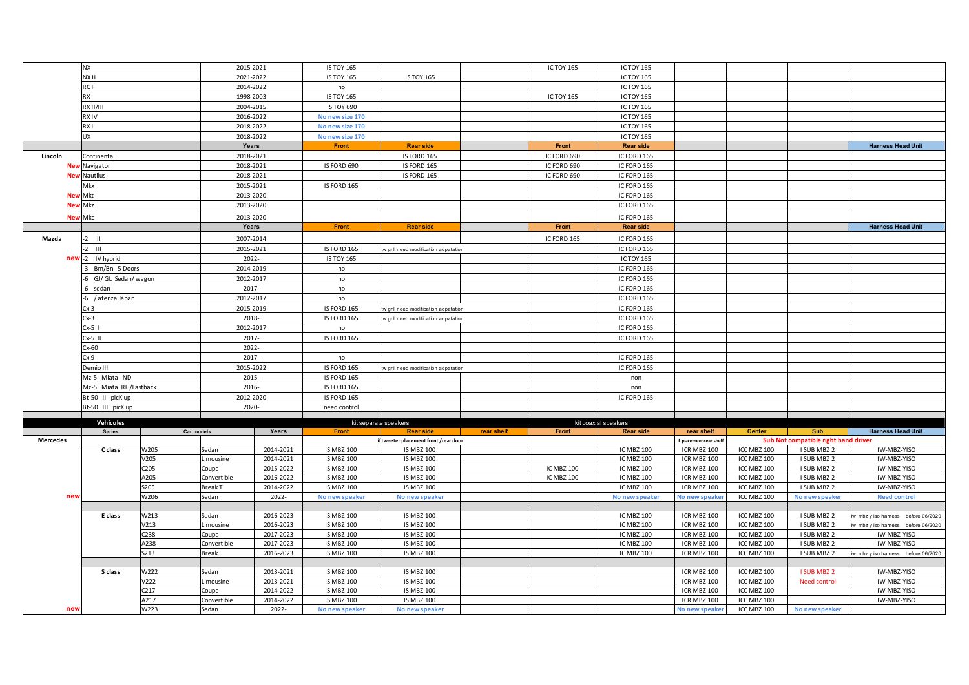|                 | <b>NX</b>              |                     |                               | 2015-2021              | <b>IS TOY 165</b>                      |                                        |            | ICTOY 165         | <b>IC TOY 165</b>                      |                            |                            |                                      |                                    |
|-----------------|------------------------|---------------------|-------------------------------|------------------------|----------------------------------------|----------------------------------------|------------|-------------------|----------------------------------------|----------------------------|----------------------------|--------------------------------------|------------------------------------|
|                 | NX II                  |                     |                               | 2021-2022              | <b>IS TOY 165</b>                      | <b>IS TOY 165</b>                      |            |                   | <b>IC TOY 165</b>                      |                            |                            |                                      |                                    |
|                 | RC F                   |                     |                               | 2014-2022              |                                        |                                        |            |                   | <b>IC TOY 165</b>                      |                            |                            |                                      |                                    |
|                 |                        |                     |                               |                        | no                                     |                                        |            |                   |                                        |                            |                            |                                      |                                    |
|                 | <b>RX</b>              |                     |                               | 1998-2003              | <b>IS TOY 165</b>                      |                                        |            | <b>ICTOY 165</b>  | <b>IC TOY 165</b>                      |                            |                            |                                      |                                    |
|                 | RXII/III               |                     |                               | 2004-2015              | <b>IS TOY 690</b>                      |                                        |            |                   | <b>IC TOY 165</b>                      |                            |                            |                                      |                                    |
|                 | <b>RXIV</b>            |                     |                               | 2016-2022              | No new size 170                        |                                        |            |                   | <b>IC TOY 165</b>                      |                            |                            |                                      |                                    |
|                 | RX <sub>L</sub>        |                     |                               | 2018-2022              | No new size 170                        |                                        |            |                   | <b>IC TOY 165</b>                      |                            |                            |                                      |                                    |
|                 | <b>UX</b>              |                     |                               | 2018-2022              | No new size 170                        |                                        |            |                   | <b>IC TOY 165</b>                      |                            |                            |                                      |                                    |
|                 |                        |                     |                               | Years                  | Front                                  | <b>Rear side</b>                       |            | Front             | <b>Rear side</b>                       |                            |                            |                                      | <b>Harness Head Unit</b>           |
| Lincoln         | Continental            |                     |                               | 2018-2021              |                                        | IS FORD 165                            |            | IC FORD 690       | IC FORD 165                            |                            |                            |                                      |                                    |
| Ne <sup>®</sup> | Navigator              |                     |                               | 2018-2021              | IS FORD 690                            | IS FORD 165                            |            | IC FORD 690       | IC FORD 165                            |                            |                            |                                      |                                    |
|                 | Nautilus               |                     |                               | 2018-2021              |                                        | IS FORD 165                            |            | IC FORD 690       | IC FORD 165                            |                            |                            |                                      |                                    |
|                 | Mkx                    |                     |                               | 2015-2021              | IS FORD 165                            |                                        |            |                   | IC FORD 165                            |                            |                            |                                      |                                    |
| <b>Ne</b>       | Mkt                    |                     |                               | 2013-2020              |                                        |                                        |            |                   | IC FORD 165                            |                            |                            |                                      |                                    |
| <b>Ne</b>       | <b>Mkz</b>             |                     |                               | 2013-2020              |                                        |                                        |            |                   | IC FORD 165                            |                            |                            |                                      |                                    |
|                 | <b>New Mkc</b>         |                     |                               | 2013-2020              |                                        |                                        |            |                   | IC FORD 165                            |                            |                            |                                      |                                    |
|                 |                        |                     |                               | Years                  | Front                                  | <b>Rear side</b>                       |            | Front             | <b>Rear side</b>                       |                            |                            |                                      | <b>Harness Head Unit</b>           |
|                 |                        |                     |                               |                        |                                        |                                        |            |                   |                                        |                            |                            |                                      |                                    |
| Mazda           | $-2$ $  $              |                     |                               | 2007-2014              |                                        |                                        |            | IC FORD 165       | IC FORD 165                            |                            |                            |                                      |                                    |
|                 | $-2$<br>$\blacksquare$ |                     |                               | 2015-2021              | IS FORD 165                            | w grill need modification adpatation   |            |                   | IC FORD 165                            |                            |                            |                                      |                                    |
| $new - 2$       | IV hybrid              |                     |                               | 2022-                  | <b>IS TOY 165</b>                      |                                        |            |                   | <b>IC TOY 165</b>                      |                            |                            |                                      |                                    |
|                 | Bm/Bn 5 Doors          |                     |                               | 2014-2019              | no                                     |                                        |            |                   | IC FORD 165                            |                            |                            |                                      |                                    |
|                 | GJ/ GL Sedan/ wagon    |                     |                               | 2012-2017              | no                                     |                                        |            |                   | IC FORD 165                            |                            |                            |                                      |                                    |
|                 | sedan                  |                     |                               | 2017-                  | no                                     |                                        |            |                   | IC FORD 165                            |                            |                            |                                      |                                    |
|                 | / atenza Japan         |                     |                               | 2012-2017              | no                                     |                                        |            |                   | IC FORD 165                            |                            |                            |                                      |                                    |
|                 | $Cx-3$                 |                     |                               | 2015-2019              | IS FORD 165                            | w grill need modification adpatation   |            |                   | IC FORD 165                            |                            |                            |                                      |                                    |
|                 | $Cx-3$                 |                     |                               | 2018-                  | IS FORD 165                            | w grill need modification adpatation   |            |                   | IC FORD 165                            |                            |                            |                                      |                                    |
|                 | $Cx-5$                 |                     |                               | 2012-2017              | no                                     |                                        |            |                   | IC FORD 165                            |                            |                            |                                      |                                    |
|                 | $Cx-5$ II              |                     |                               | 2017-                  | IS FORD 165                            |                                        |            |                   | IC FORD 165                            |                            |                            |                                      |                                    |
|                 | $Cx-60$                |                     |                               | 2022-                  |                                        |                                        |            |                   |                                        |                            |                            |                                      |                                    |
|                 | $Cx-9$                 |                     |                               | 2017-                  | no                                     |                                        |            |                   | IC FORD 165                            |                            |                            |                                      |                                    |
|                 | Demio III              |                     |                               | 2015-2022              | IS FORD 165                            | w grill need modification adpatation   |            |                   | IC FORD 165                            |                            |                            |                                      |                                    |
|                 | Mz-5 Miata ND          |                     |                               | 2015-                  | IS FORD 165                            |                                        |            |                   | non                                    |                            |                            |                                      |                                    |
|                 | Mz-5 Miata RF/Fastback |                     |                               | 2016-                  | IS FORD 165                            |                                        |            |                   | non                                    |                            |                            |                                      |                                    |
|                 | Bt-50 II picK up       |                     |                               | 2012-2020              | IS FORD 165                            |                                        |            |                   | IC FORD 165                            |                            |                            |                                      |                                    |
|                 | Bt-50 III picK up      |                     |                               | 2020-                  | need control                           |                                        |            |                   |                                        |                            |                            |                                      |                                    |
|                 |                        |                     |                               |                        |                                        |                                        |            |                   |                                        |                            |                            |                                      |                                    |
|                 | Vehicules              |                     |                               |                        |                                        | kit separate speakers                  |            |                   | kit coaxial speakers                   |                            |                            |                                      |                                    |
|                 | <b>Series</b>          | Car models          |                               | Years                  | Front                                  | <b>Rear side</b>                       | rear shelf | Front             | <b>Rear side</b>                       | rear shelf                 | <b>Center</b>              | Sub                                  | <b>Harness Head Unit</b>           |
| <b>Mercedes</b> |                        |                     |                               |                        |                                        | if tweeter placement front /rear door  |            |                   |                                        | f placement rear sheff     |                            | Sub Not compatible right hand driver |                                    |
|                 | C class                | W205                | Sedan                         | 2014-2021              | <b>IS MBZ 100</b>                      | <b>IS MBZ 100</b>                      |            |                   | <b>IC MBZ 100</b>                      | ICR MBZ 100                | ICC MBZ 100                | I SUB MBZ 2                          | IW-MBZ-YISO                        |
|                 |                        | V205<br>C205        | Limousine                     | 2014-2021<br>2015-2022 | <b>IS MBZ 100</b><br><b>IS MBZ 100</b> | <b>IS MBZ 100</b><br><b>IS MBZ 100</b> |            | <b>IC MBZ 100</b> | <b>IC MBZ 100</b><br><b>IC MBZ 100</b> | ICR MBZ 100<br>ICR MBZ 100 | ICC MBZ 100<br>ICC MBZ 100 | I SUB MBZ 2<br>I SUB MBZ 2           | IW-MBZ-YISO<br>IW-MBZ-YISO         |
|                 |                        |                     | Coupe                         |                        | <b>IS MBZ 100</b>                      |                                        |            |                   |                                        |                            |                            |                                      |                                    |
|                 |                        | A205<br><b>S205</b> | Convertible<br><b>Break T</b> | 2016-2022              | <b>IS MBZ 100</b>                      | <b>IS MBZ 100</b><br><b>IS MBZ 100</b> |            | <b>IC MBZ 100</b> | <b>IC MBZ 100</b><br><b>IC MBZ 100</b> | ICR MBZ 100<br>ICR MBZ 100 | ICC MBZ 100<br>ICC MBZ 100 | I SUB MBZ 2<br>I SUB MBZ 2           | IW-MBZ-YISO<br>IW-MBZ-YISO         |
| new             |                        | W206                | Sedan                         | 2014-2022<br>2022-     | No new speaker                         | No new speaker                         |            |                   | No new speaker                         | No new speake              | ICC MBZ 100                | No new speaker                       | <b>Need control</b>                |
|                 |                        |                     |                               |                        |                                        |                                        |            |                   |                                        |                            |                            |                                      |                                    |
|                 | E class                | W213                | Sedan                         | 2016-2023              | <b>IS MBZ 100</b>                      | <b>IS MBZ 100</b>                      |            |                   | IC MBZ 100                             | ICR MBZ 100                | ICC MBZ 100                | I SUB MBZ 2                          | iw mbz y iso hamess before 06/2020 |
|                 |                        | V213                | Limousine                     | 2016-2023              | <b>IS MBZ 100</b>                      | <b>IS MBZ 100</b>                      |            |                   | IC MBZ 100                             | ICR MBZ 100                | ICC MBZ 100                | I SUB MBZ 2                          | iw mbz y iso hamess before 06/2020 |
|                 |                        | C238                | Coupe                         | 2017-2023              | <b>IS MBZ 100</b>                      | <b>IS MBZ 100</b>                      |            |                   | <b>IC MBZ 100</b>                      | ICR MBZ 100                | ICC MBZ 100                | I SUB MBZ 2                          | IW-MBZ-YISO                        |
|                 |                        | A238                | Convertible                   | 2017-2023              | <b>IS MBZ 100</b>                      | <b>IS MBZ 100</b>                      |            |                   | ICMBZ 100                              | ICR MBZ 100                | ICC MBZ 100                | I SUB MBZ 2                          | IW-MBZ-YISO                        |
|                 |                        | <b>S213</b>         | <b>Break</b>                  | 2016-2023              | <b>IS MBZ 100</b>                      | <b>IS MBZ 100</b>                      |            |                   | <b>IC MBZ 100</b>                      | ICR MBZ 100                | ICC MBZ 100                | I SUB MBZ 2                          | iw mbz y iso hamess before 06/2020 |
|                 |                        |                     |                               |                        |                                        |                                        |            |                   |                                        |                            |                            |                                      |                                    |
|                 | S class                | W222                | Sedan                         | 2013-2021              | <b>IS MBZ 100</b>                      | <b>IS MBZ 100</b>                      |            |                   |                                        | ICR MBZ 100                | ICC MBZ 100                | I SUB MBZ 2                          | IW-MBZ-YISO                        |
|                 |                        | V222                | <i>imousine</i>               | 2013-2021              | <b>IS MBZ 100</b>                      | <b>IS MBZ 100</b>                      |            |                   |                                        | ICR MBZ 100                | ICC MBZ 100                | Need control                         | IW-MBZ-YISO                        |
|                 |                        | C <sub>217</sub>    | Coupe                         | 2014-2022              | <b>IS MBZ 100</b>                      | <b>IS MBZ 100</b>                      |            |                   |                                        | ICR MBZ 100                | ICC MBZ 100                |                                      | IW-MBZ-YISO                        |
|                 |                        | A217                | Convertible                   | 2014-2022              | <b>IS MBZ 100</b>                      | <b>IS MBZ 100</b>                      |            |                   |                                        | ICR MBZ 100                | ICC MBZ 100                |                                      | IW-MBZ-YISO                        |
|                 |                        | W223                | Sedan                         | 2022-                  | No new speaker                         | No new speaker                         |            |                   |                                        | <b>No new speaker</b>      | ICC MBZ 100                | No new speaker                       |                                    |
| new             |                        |                     |                               |                        |                                        |                                        |            |                   |                                        |                            |                            |                                      |                                    |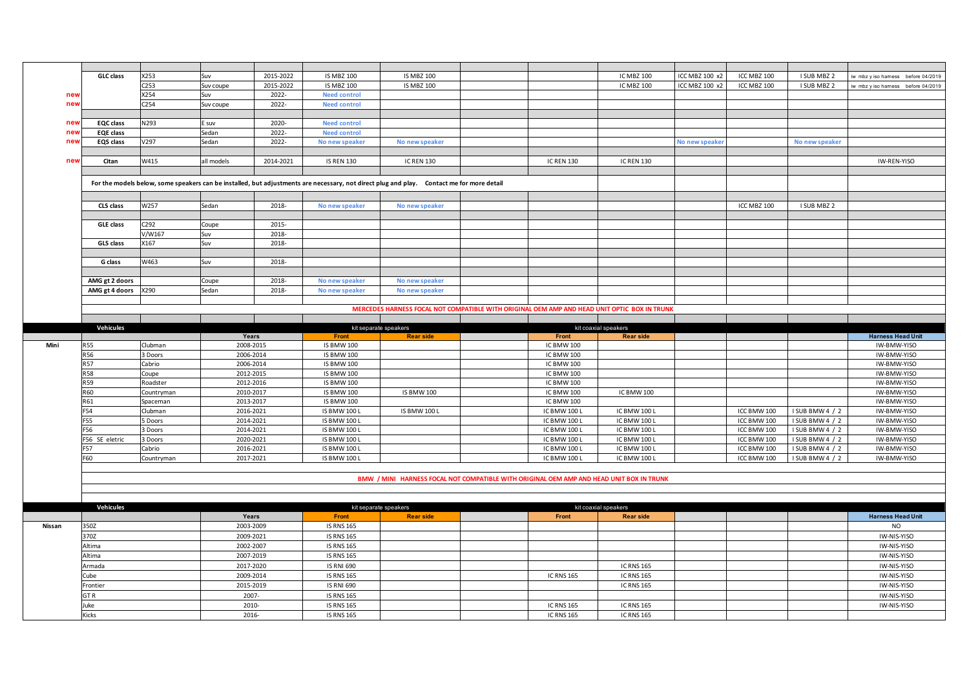|        | <b>GLC</b> class         | X253                   | Suv                    | 2015-2022 | <b>IS MBZ 100</b>                      | <b>IS MBZ 100</b>                                                                                                                         |                      |                                 | IC MBZ 100           | ICC MBZ 100 x2 | ICC MBZ 100 | I SUB MBZ 2     | iw mbz y iso hamess before 04/2019 |
|--------|--------------------------|------------------------|------------------------|-----------|----------------------------------------|-------------------------------------------------------------------------------------------------------------------------------------------|----------------------|---------------------------------|----------------------|----------------|-------------|-----------------|------------------------------------|
|        |                          | C <sub>253</sub>       | Suv coupe              | 2015-2022 | <b>IS MBZ 100</b>                      | <b>IS MBZ 100</b>                                                                                                                         |                      |                                 | <b>IC MBZ 100</b>    | ICC MBZ 100 x2 | ICC MBZ 100 | I SUB MBZ 2     | iw mbz y iso hamess before 04/2019 |
| nev    |                          | X254                   | Suv                    | 2022-     | <b>Need control</b>                    |                                                                                                                                           |                      |                                 |                      |                |             |                 |                                    |
| nev    |                          | C <sub>254</sub>       | Suv coupe              | 2022-     | <b>Need control</b>                    |                                                                                                                                           |                      |                                 |                      |                |             |                 |                                    |
|        |                          |                        |                        |           |                                        |                                                                                                                                           |                      |                                 |                      |                |             |                 |                                    |
| new    | <b>EQC</b> class         | N293                   | E suv                  | 2020-     | <b>Need control</b>                    |                                                                                                                                           |                      |                                 |                      |                |             |                 |                                    |
| nev    | EQE class                |                        | Sedan                  | 2022-     | <b>Need control</b>                    |                                                                                                                                           |                      |                                 |                      |                |             |                 |                                    |
| nev    | EQS class                | V297                   | Sedan                  | 2022-     | No new speaker                         | No new speaker                                                                                                                            |                      |                                 |                      | No new speake  |             | No new speaker  |                                    |
|        |                          |                        |                        |           |                                        |                                                                                                                                           |                      |                                 |                      |                |             |                 |                                    |
| nev    | Citan                    | W415                   | all models             | 2014-2021 | <b>IS REN 130</b>                      | <b>IC REN 130</b>                                                                                                                         |                      | <b>IC REN 130</b>               | <b>IC REN 130</b>    |                |             |                 | IW-REN-YISO                        |
|        |                          |                        |                        |           |                                        |                                                                                                                                           |                      |                                 |                      |                |             |                 |                                    |
|        |                          |                        |                        |           |                                        |                                                                                                                                           |                      |                                 |                      |                |             |                 |                                    |
|        |                          |                        |                        |           |                                        | For the models below, some speakers can be installed, but adjustments are necessary, not direct plug and play. Contact me for more detail |                      |                                 |                      |                |             |                 |                                    |
|        |                          |                        |                        |           |                                        |                                                                                                                                           |                      |                                 |                      |                |             |                 |                                    |
|        | CLS class                | W257                   | Sedan                  | 2018-     | No new speaker                         | No new speaker                                                                                                                            |                      |                                 |                      |                | ICC MBZ 100 | I SUB MBZ 2     |                                    |
|        |                          |                        |                        |           |                                        |                                                                                                                                           |                      |                                 |                      |                |             |                 |                                    |
|        | <b>GLE class</b>         | C292                   | Coupe                  | 2015-     |                                        |                                                                                                                                           |                      |                                 |                      |                |             |                 |                                    |
|        |                          | V/W167                 | Suv                    | 2018-     |                                        |                                                                                                                                           |                      |                                 |                      |                |             |                 |                                    |
|        | GLS class                | X167                   | Suv                    | 2018-     |                                        |                                                                                                                                           |                      |                                 |                      |                |             |                 |                                    |
|        |                          |                        |                        |           |                                        |                                                                                                                                           |                      |                                 |                      |                |             |                 |                                    |
|        | G class                  | W463                   | Suv                    | 2018-     |                                        |                                                                                                                                           |                      |                                 |                      |                |             |                 |                                    |
|        |                          |                        |                        |           |                                        |                                                                                                                                           |                      |                                 |                      |                |             |                 |                                    |
|        | AMG gt 2 doors           |                        | Coupe                  | 2018-     | No new speaker                         | No new speaker                                                                                                                            |                      |                                 |                      |                |             |                 |                                    |
|        | AMG gt 4 doors           | X290                   | Sedan                  | 2018-     | No new speaker                         | No new speaker                                                                                                                            |                      |                                 |                      |                |             |                 |                                    |
|        |                          |                        |                        |           |                                        |                                                                                                                                           |                      |                                 |                      |                |             |                 |                                    |
|        |                          |                        |                        |           |                                        | MERCEDES HARNESS FOCAL NOT COMPATIBLE WITH ORIGINAL OEM AMP AND HEAD UNIT OPTIC BOX IN TRUNK                                              |                      |                                 |                      |                |             |                 |                                    |
|        |                          |                        |                        |           |                                        |                                                                                                                                           |                      |                                 |                      |                |             |                 |                                    |
|        | Vehicules                |                        |                        |           | kit separate speakers                  |                                                                                                                                           |                      |                                 | kit coaxial speakers |                |             |                 |                                    |
|        |                          |                        | Years                  |           | Front                                  | <b>Rear side</b>                                                                                                                          |                      | Front                           | <b>Rear side</b>     |                |             |                 | <b>Harness Head Unit</b>           |
| Mini   | <b>R55</b><br><b>R56</b> | Clubman<br>3 Doors     | 2008-2015<br>2006-2014 |           | <b>IS BMW 100</b><br><b>IS BMW 100</b> |                                                                                                                                           |                      | IC BMW 100<br><b>IC BMW 100</b> |                      |                |             |                 | IW-BMW-YISO<br>IW-BMW-YISO         |
|        | <b>R57</b>               | Cabrio                 | 2006-2014              |           | <b>IS BMW 100</b>                      |                                                                                                                                           |                      | <b>IC BMW 100</b>               |                      |                |             |                 | IW-BMW-YISO                        |
|        | <b>R58</b>               |                        |                        |           |                                        |                                                                                                                                           |                      |                                 |                      |                |             |                 |                                    |
|        | <b>R59</b>               | Coupe                  | 2012-2015<br>2012-2016 |           | <b>IS BMW 100</b>                      |                                                                                                                                           |                      | IC BMW 100                      |                      |                |             |                 | IW-BMW-YISO                        |
|        | R60                      | Roadster               | 2010-2017              |           | <b>IS BMW 100</b>                      | <b>IS BMW 100</b>                                                                                                                         |                      | <b>IC BMW 100</b>               | <b>ICBMW100</b>      |                |             |                 | IW-BMW-YISO                        |
|        | R61                      | Countryman<br>Spaceman | 2013-2017              |           | <b>IS BMW 100</b><br><b>IS BMW 100</b> |                                                                                                                                           |                      | <b>IC BMW 100</b><br>IC BMW 100 |                      |                |             |                 | IW-BMW-YISO<br>IW-BMW-YISO         |
|        | F54                      | Clubman                | 2016-2021              |           | <b>IS BMW 100 L</b>                    | <b>IS BMW 100 L</b>                                                                                                                       |                      | IC BMW 100 L                    | IC BMW 100 L         |                | ICC BMW 100 | I SUB BMW 4 / 2 | IW-BMW-YISO                        |
|        | F55                      | Doors                  | 2014-2021              |           | <b>IS BMW 100 L</b>                    |                                                                                                                                           |                      | IC BMW 100 L                    | IC BMW 100 L         |                | ICC BMW 100 | I SUB BMW 4 / 2 | IW-BMW-YISO                        |
|        | F56                      | <b>B</b> Doors         | 2014-2021              |           | <b>IS BMW 100 L</b>                    |                                                                                                                                           |                      | IC BMW 100 L                    | IC BMW 100 L         |                | ICC BMW 100 | I SUB BMW 4 / 2 | IW-BMW-YISO                        |
|        | F56 SE eletric           | 3 Doors                | 2020-2021              |           | <b>IS BMW 100 L</b>                    |                                                                                                                                           |                      | IC BMW 100 L                    | IC BMW 100 L         |                | ICC BMW 100 | I SUB BMW 4 / 2 | IW-BMW-YISO                        |
|        | F57                      | Cabrio                 | 2016-2021              |           | <b>IS BMW 100 L</b>                    |                                                                                                                                           |                      | IC BMW 100 L                    | IC BMW 100 L         |                | ICC BMW 100 | I SUB BMW 4 / 2 | IW-BMW-YISO                        |
|        | F60                      | Countryman             | 2017-2021              |           | <b>IS BMW 100 L</b>                    |                                                                                                                                           |                      | IC BMW 100 L                    | IC BMW 100 L         |                | ICC BMW 100 | I SUB BMW 4 / 2 | IW-BMW-YISO                        |
|        |                          |                        |                        |           |                                        |                                                                                                                                           |                      |                                 |                      |                |             |                 |                                    |
|        |                          |                        |                        |           |                                        | BMW / MINI HARNESS FOCAL NOT COMPATIBLE WITH ORIGINAL OEM AMP AND HEAD UNIT BOX IN TRUNK                                                  |                      |                                 |                      |                |             |                 |                                    |
|        |                          |                        |                        |           |                                        |                                                                                                                                           |                      |                                 |                      |                |             |                 |                                    |
|        |                          |                        |                        |           |                                        |                                                                                                                                           |                      |                                 |                      |                |             |                 |                                    |
|        | Vehicules                |                        |                        |           | kit separate speakers                  |                                                                                                                                           | kit coaxial speakers |                                 |                      |                |             |                 |                                    |
|        |                          |                        | Years                  |           | Front                                  | <b>Rear side</b>                                                                                                                          |                      | Front                           | <b>Rear side</b>     |                |             |                 | <b>Harness Head Unit</b>           |
| Nissan | 350Z                     |                        | 2003-2009              |           | <b>IS RNS 165</b>                      |                                                                                                                                           |                      |                                 |                      |                |             |                 | <b>NO</b>                          |
|        | 370Z                     |                        | 2009-2021              |           | <b>IS RNS 165</b>                      |                                                                                                                                           |                      |                                 |                      |                |             |                 | IW-NIS-YISO                        |
|        | Altima                   |                        | 2002-2007              |           | <b>IS RNS 165</b>                      |                                                                                                                                           |                      |                                 |                      |                |             |                 | IW-NIS-YISO                        |
|        | Altima                   |                        | 2007-2019              |           | <b>IS RNS 165</b>                      |                                                                                                                                           |                      |                                 |                      |                |             |                 | IW-NIS-YISO                        |
|        | Armada                   |                        | 2017-2020              |           | <b>IS RNI 690</b>                      |                                                                                                                                           |                      |                                 | <b>IC RNS 165</b>    |                |             |                 | IW-NIS-YISO                        |
|        | Cube                     |                        | 2009-2014              |           | <b>IS RNS 165</b>                      |                                                                                                                                           |                      | <b>IC RNS 165</b>               | <b>IC RNS 165</b>    |                |             |                 | IW-NIS-YISO                        |
|        | Frontier                 |                        | 2015-2019              |           | <b>IS RNI 690</b>                      |                                                                                                                                           |                      |                                 | <b>IC RNS 165</b>    |                |             |                 | IW-NIS-YISO                        |
|        | GTR                      |                        | 2007-                  |           | <b>IS RNS 165</b>                      |                                                                                                                                           |                      |                                 |                      |                |             |                 | IW-NIS-YISO                        |
|        | Juke                     |                        | 2010-                  |           | <b>IS RNS 165</b>                      |                                                                                                                                           |                      | <b>IC RNS 165</b>               | <b>IC RNS 165</b>    |                |             |                 | IW-NIS-YISO                        |
|        |                          |                        |                        |           |                                        |                                                                                                                                           |                      |                                 |                      |                |             |                 |                                    |
|        | Kicks                    |                        | 2016-                  |           | <b>IS RNS 165</b>                      |                                                                                                                                           |                      | <b>IC RNS 165</b>               | <b>IC RNS 165</b>    |                |             |                 |                                    |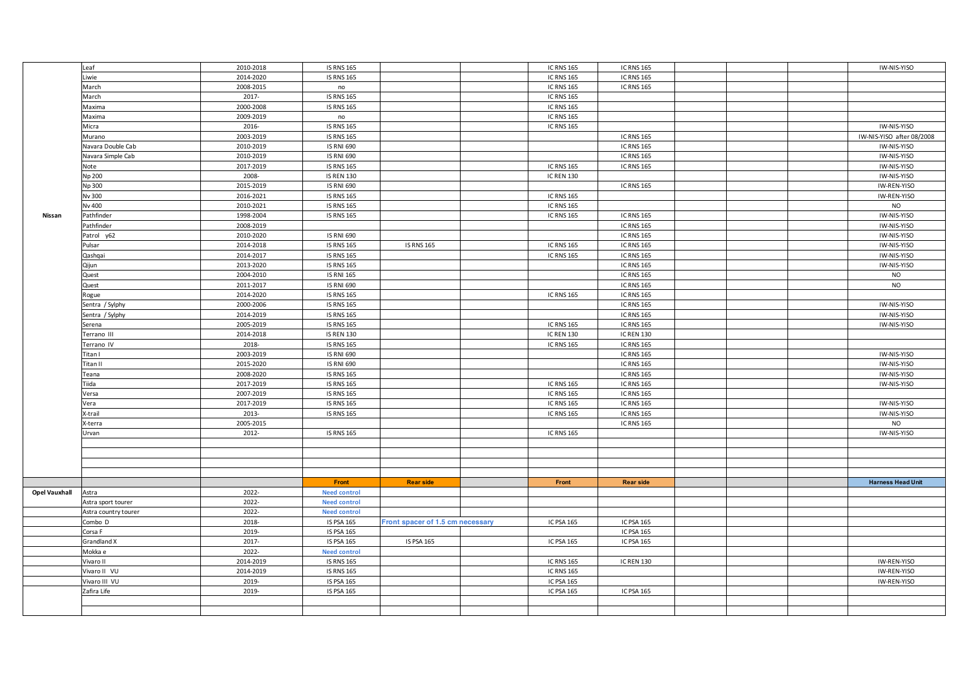|               | Leaf                 | 2010-2018 | <b>IS RNS 165</b>   |                                  | <b>IC RNS 165</b> | <b>IC RNS 165</b> |  | IW-NIS-YISO               |
|---------------|----------------------|-----------|---------------------|----------------------------------|-------------------|-------------------|--|---------------------------|
|               | Liwie                | 2014-2020 | <b>IS RNS 165</b>   |                                  | <b>IC RNS 165</b> | <b>IC RNS 165</b> |  |                           |
|               | March                | 2008-2015 | no                  |                                  | <b>IC RNS 165</b> | <b>IC RNS 165</b> |  |                           |
|               | March                | 2017-     | <b>IS RNS 165</b>   |                                  | <b>IC RNS 165</b> |                   |  |                           |
|               | Maxima               | 2000-2008 | <b>IS RNS 165</b>   |                                  | <b>IC RNS 165</b> |                   |  |                           |
|               | Maxima               | 2009-2019 | no                  |                                  | <b>IC RNS 165</b> |                   |  |                           |
|               | Micra                | 2016-     | <b>IS RNS 165</b>   |                                  | <b>IC RNS 165</b> |                   |  | IW-NIS-YISO               |
|               | Murano               | 2003-2019 | <b>IS RNS 165</b>   |                                  |                   | <b>IC RNS 165</b> |  | IW-NIS-YISO after 08/2008 |
|               | Navara Double Cab    | 2010-2019 | <b>IS RNI 690</b>   |                                  |                   | <b>IC RNS 165</b> |  | IW-NIS-YISO               |
|               | Navara Simple Cab    | 2010-2019 | <b>IS RNI 690</b>   |                                  |                   | <b>IC RNS 165</b> |  | IW-NIS-YISO               |
|               | Note                 | 2017-2019 | <b>IS RNS 165</b>   |                                  | <b>IC RNS 165</b> | <b>IC RNS 165</b> |  | IW-NIS-YISO               |
|               | Np 200               | 2008-     | <b>IS REN 130</b>   |                                  | <b>IC REN 130</b> |                   |  | IW-NIS-YISO               |
|               | Np 300               | 2015-2019 | <b>IS RNI 690</b>   |                                  |                   | <b>IC RNS 165</b> |  | IW-REN-YISO               |
|               | Nv 300               | 2016-2021 | <b>IS RNS 165</b>   |                                  | <b>IC RNS 165</b> |                   |  | IW-REN-YISO               |
|               |                      |           |                     |                                  |                   |                   |  | <b>NO</b>                 |
|               | Nv 400               | 2010-2021 | <b>IS RNS 165</b>   |                                  | <b>IC RNS 165</b> |                   |  |                           |
| <b>Nissan</b> | Pathfinder           | 1998-2004 | <b>IS RNS 165</b>   |                                  | <b>IC RNS 165</b> | <b>IC RNS 165</b> |  | IW-NIS-YISO               |
|               | Pathfinder           | 2008-2019 |                     |                                  |                   | <b>IC RNS 165</b> |  | IW-NIS-YISO               |
|               | Patrol y62           | 2010-2020 | <b>IS RNI 690</b>   |                                  |                   | <b>IC RNS 165</b> |  | IW-NIS-YISO               |
|               | Pulsar               | 2014-2018 | <b>IS RNS 165</b>   | <b>IS RNS 165</b>                | <b>IC RNS 165</b> | <b>IC RNS 165</b> |  | IW-NIS-YISO               |
|               | Qashqai              | 2014-2017 | <b>IS RNS 165</b>   |                                  | <b>IC RNS 165</b> | <b>IC RNS 165</b> |  | IW-NIS-YISO               |
|               | Qijun                | 2013-2020 | <b>IS RNS 165</b>   |                                  |                   | <b>IC RNS 165</b> |  | IW-NIS-YISO               |
|               | Quest                | 2004-2010 | <b>IS RNI 165</b>   |                                  |                   | <b>IC RNS 165</b> |  | <b>NO</b>                 |
|               | Quest                | 2011-2017 | <b>IS RNI 690</b>   |                                  |                   | <b>IC RNS 165</b> |  | <b>NO</b>                 |
|               | Rogue                | 2014-2020 | <b>IS RNS 165</b>   |                                  | <b>IC RNS 165</b> | <b>IC RNS 165</b> |  |                           |
|               | Sentra / Sylphy      | 2000-2006 | <b>IS RNS 165</b>   |                                  |                   | <b>IC RNS 165</b> |  | IW-NIS-YISO               |
|               | Sentra / Sylphy      | 2014-2019 | <b>IS RNS 165</b>   |                                  |                   | <b>IC RNS 165</b> |  | IW-NIS-YISO               |
|               | Serena               | 2005-2019 | <b>IS RNS 165</b>   |                                  | <b>IC RNS 165</b> | <b>IC RNS 165</b> |  | IW-NIS-YISO               |
|               | Terrano III          | 2014-2018 | <b>IS REN 130</b>   |                                  | <b>IC REN 130</b> | <b>IC REN 130</b> |  |                           |
|               | Terrano IV           | 2018-     | <b>IS RNS 165</b>   |                                  | <b>IC RNS 165</b> | <b>IC RNS 165</b> |  |                           |
|               | Titan I              | 2003-2019 | <b>IS RNI 690</b>   |                                  |                   | <b>IC RNS 165</b> |  | IW-NIS-YISO               |
|               | Titan II             | 2015-2020 | <b>IS RNI 690</b>   |                                  |                   | <b>IC RNS 165</b> |  | IW-NIS-YISO               |
|               | Teana                | 2008-2020 | <b>IS RNS 165</b>   |                                  |                   | <b>IC RNS 165</b> |  | IW-NIS-YISO               |
|               | Tiida                | 2017-2019 | <b>IS RNS 165</b>   |                                  | <b>IC RNS 165</b> | <b>IC RNS 165</b> |  | IW-NIS-YISO               |
|               | Versa                | 2007-2019 | <b>IS RNS 165</b>   |                                  | <b>IC RNS 165</b> | <b>IC RNS 165</b> |  |                           |
|               | Vera                 | 2017-2019 | <b>IS RNS 165</b>   |                                  | <b>IC RNS 165</b> | <b>IC RNS 165</b> |  | IW-NIS-YISO               |
|               | X-trail              | 2013-     | <b>IS RNS 165</b>   |                                  | <b>IC RNS 165</b> | <b>IC RNS 165</b> |  | IW-NIS-YISO               |
|               | X-terra              | 2005-2015 |                     |                                  |                   | <b>IC RNS 165</b> |  | <b>NO</b>                 |
|               | Urvan                | 2012-     | <b>IS RNS 165</b>   |                                  | <b>IC RNS 165</b> |                   |  | IW-NIS-YISO               |
|               |                      |           |                     |                                  |                   |                   |  |                           |
|               |                      |           |                     |                                  |                   |                   |  |                           |
|               |                      |           |                     |                                  |                   |                   |  |                           |
|               |                      |           |                     |                                  |                   |                   |  |                           |
|               |                      |           | Front               | <b>Rear side</b>                 | Front             | <b>Rear side</b>  |  | <b>Harness Head Unit</b>  |
| Opel Vauxhall | Astra                | 2022-     | <b>Need control</b> |                                  |                   |                   |  |                           |
|               | Astra sport tourer   | 2022-     | <b>Need control</b> |                                  |                   |                   |  |                           |
|               | Astra country tourer | 2022-     | <b>Need control</b> |                                  |                   |                   |  |                           |
|               | Combo D              | 2018-     | <b>IS PSA 165</b>   | Front spacer of 1.5 cm necessary | IC PSA 165        | IC PSA 165        |  |                           |
|               | Corsa F              | 2019-     | <b>IS PSA 165</b>   |                                  |                   | IC PSA 165        |  |                           |
|               | Grandland X          | 2017-     | <b>IS PSA 165</b>   | <b>IS PSA 165</b>                | IC PSA 165        | <b>IC PSA 165</b> |  |                           |
|               | Mokka e              | 2022-     | <b>Need control</b> |                                  |                   |                   |  |                           |
|               |                      |           |                     |                                  |                   |                   |  |                           |
|               | Vivaro II            | 2014-2019 | <b>IS RNS 165</b>   |                                  | <b>IC RNS 165</b> | <b>IC REN 130</b> |  | IW-REN-YISO               |
|               | Vivaro II VU         | 2014-2019 | <b>IS RNS 165</b>   |                                  | <b>IC RNS 165</b> |                   |  | IW-REN-YISO               |
|               | Vivaro III VU        | 2019-     | <b>IS PSA 165</b>   |                                  | IC PSA 165        |                   |  | IW-REN-YISO               |
|               | Zafira Life          | 2019-     | <b>IS PSA 165</b>   |                                  | IC PSA 165        | IC PSA 165        |  |                           |
|               |                      |           |                     |                                  |                   |                   |  |                           |
|               |                      |           |                     |                                  |                   |                   |  |                           |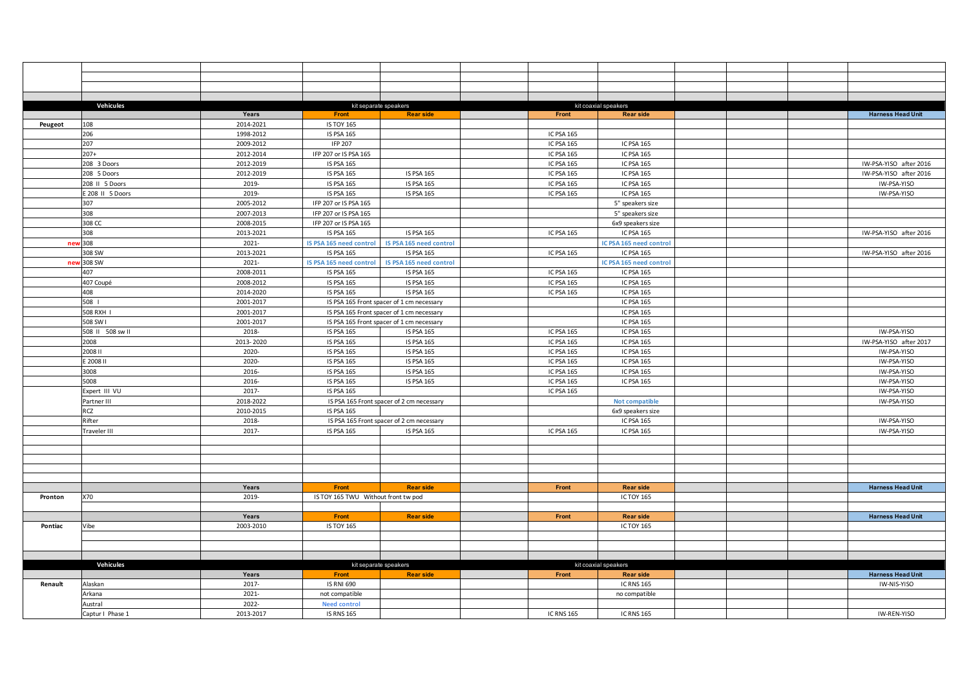|         | Vehicules        | Years     | Front                               | kit separate speakers<br><b>Rear side</b>       | Front             | kit coaxial speakers<br><b>Rear side</b> |  | <b>Harness Head Unit</b> |
|---------|------------------|-----------|-------------------------------------|-------------------------------------------------|-------------------|------------------------------------------|--|--------------------------|
|         | 108              | 2014-2021 | <b>IS TOY 165</b>                   |                                                 |                   |                                          |  |                          |
| Peugeot | 206              | 1998-2012 | <b>IS PSA 165</b>                   |                                                 | <b>IC PSA 165</b> |                                          |  |                          |
|         | 207              | 2009-2012 | <b>IFP 207</b>                      |                                                 |                   | <b>IC PSA 165</b>                        |  |                          |
|         | $207+$           | 2012-2014 |                                     |                                                 | IC PSA 165        | <b>IC PSA 165</b>                        |  |                          |
|         |                  |           | IFP 207 or IS PSA 165               |                                                 | IC PSA 165        |                                          |  |                          |
|         | 208 3 Doors      | 2012-2019 | <b>IS PSA 165</b>                   |                                                 | IC PSA 165        | <b>IC PSA 165</b>                        |  | IW-PSA-YISO after 2016   |
|         | 208 5 Doors      | 2012-2019 | <b>IS PSA 165</b>                   | <b>IS PSA 165</b>                               | <b>IC PSA 165</b> | <b>IC PSA 165</b>                        |  | IW-PSA-YISO after 2016   |
|         | 208 II 5 Doors   | 2019-     | <b>IS PSA 165</b>                   | IS PSA 165                                      | IC PSA 165        | IC PSA 165                               |  | IW-PSA-YISO              |
|         | E 208 II 5 Doors | 2019-     | <b>IS PSA 165</b>                   | IS PSA 165                                      | IC PSA 165        | <b>IC PSA 165</b>                        |  | IW-PSA-YISO              |
|         | 307              | 2005-2012 | IFP 207 or IS PSA 165               |                                                 |                   | 5" speakers size                         |  |                          |
|         | 308              | 2007-2013 | IFP 207 or IS PSA 165               |                                                 |                   | 5" speakers size                         |  |                          |
|         | 308 CC           | 2008-2015 | IFP 207 or IS PSA 165               |                                                 |                   | 6x9 speakers size                        |  |                          |
|         | 308              | 2013-2021 | <b>IS PSA 165</b>                   | <b>IS PSA 165</b>                               | <b>IC PSA 165</b> | IC PSA 165                               |  | IW-PSA-YISO after 2016   |
| new     | 308              | 2021-     |                                     | IS PSA 165 need control IS PSA 165 need control |                   | IC PSA 165 need control                  |  |                          |
|         | 308 SW           | 2013-2021 | <b>IS PSA 165</b>                   | <b>IS PSA 165</b>                               | IC PSA 165        | IC PSA 165                               |  | IW-PSA-YISO after 2016   |
| nev     | 308 SW           | $2021 -$  | IS PSA 165 need control             | IS PSA 165 need control                         |                   | IC PSA 165 need control                  |  |                          |
|         | 407              | 2008-2011 | <b>IS PSA 165</b>                   | <b>IS PSA 165</b>                               | IC PSA 165        | <b>IC PSA 165</b>                        |  |                          |
|         | 407 Coupé        | 2008-2012 | <b>IS PSA 165</b>                   | <b>IS PSA 165</b>                               | <b>IC PSA 165</b> | <b>IC PSA 165</b>                        |  |                          |
|         | 408              | 2014-2020 | <b>IS PSA 165</b>                   | <b>IS PSA 165</b>                               | <b>IC PSA 165</b> | <b>IC PSA 165</b>                        |  |                          |
|         | 508              | 2001-2017 |                                     | IS PSA 165 Front spacer of 1 cm necessary       |                   | IC PSA 165                               |  |                          |
|         | 508 RXH I        | 2001-2017 |                                     | IS PSA 165 Front spacer of 1 cm necessary       |                   | <b>IC PSA 165</b>                        |  |                          |
|         | 508 SW I         | 2001-2017 |                                     | IS PSA 165 Front spacer of 1 cm necessary       |                   | <b>IC PSA 165</b>                        |  |                          |
|         | 508 II 508 sw II | 2018-     | <b>IS PSA 165</b>                   | <b>IS PSA 165</b>                               | <b>IC PSA 165</b> | <b>IC PSA 165</b>                        |  | IW-PSA-YISO              |
|         | 2008             | 2013-2020 | <b>IS PSA 165</b>                   | <b>IS PSA 165</b>                               | IC PSA 165        | <b>IC PSA 165</b>                        |  | IW-PSA-YISO after 2017   |
|         | 2008 II          | 2020-     | <b>IS PSA 165</b>                   | <b>IS PSA 165</b>                               | <b>IC PSA 165</b> | IC PSA 165                               |  | IW-PSA-YISO              |
|         | E 2008 II        | 2020-     | <b>IS PSA 165</b>                   | <b>IS PSA 165</b>                               | IC PSA 165        | <b>IC PSA 165</b>                        |  | IW-PSA-YISO              |
|         | 3008             | 2016-     | <b>IS PSA 165</b>                   | <b>IS PSA 165</b>                               | IC PSA 165        | IC PSA 165                               |  | IW-PSA-YISO              |
|         | 5008             | 2016-     | <b>IS PSA 165</b>                   | <b>IS PSA 165</b>                               | IC PSA 165        | IC PSA 165                               |  | IW-PSA-YISO              |
|         | Expert III VU    | 2017-     | <b>IS PSA 165</b>                   |                                                 | IC PSA 165        |                                          |  | IW-PSA-YISO              |
|         | Partner III      | 2018-2022 |                                     | IS PSA 165 Front spacer of 2 cm necessary       |                   | Not compatible                           |  | IW-PSA-YISO              |
|         | <b>RCZ</b>       | 2010-2015 | <b>IS PSA 165</b>                   |                                                 |                   | 6x9 speakers size                        |  |                          |
|         | Rifter           | 2018-     |                                     | IS PSA 165 Front spacer of 2 cm necessary       |                   | IC PSA 165                               |  | IW-PSA-YISO              |
|         | Traveler III     | 2017-     | <b>IS PSA 165</b>                   | <b>IS PSA 165</b>                               | <b>IC PSA 165</b> | <b>IC PSA 165</b>                        |  | IW-PSA-YISO              |
|         |                  |           |                                     |                                                 |                   |                                          |  |                          |
|         |                  |           |                                     |                                                 |                   |                                          |  |                          |
|         |                  |           |                                     |                                                 |                   |                                          |  |                          |
|         |                  |           |                                     |                                                 |                   |                                          |  |                          |
|         |                  |           |                                     |                                                 |                   |                                          |  |                          |
|         |                  | Years     | Front                               | <b>Rear side</b>                                | Front             | <b>Rear side</b>                         |  | <b>Harness Head Unit</b> |
| Pronton | X70              | 2019-     | IS TOY 165 TWU Without front tw pod |                                                 |                   | <b>IC TOY 165</b>                        |  |                          |
|         |                  |           |                                     |                                                 |                   |                                          |  |                          |
|         |                  | Years     | Front                               | <b>Rear side</b>                                | Front             | <b>Rear side</b>                         |  | <b>Harness Head Unit</b> |
| Pontiac | Vibe             | 2003-2010 | <b>IS TOY 165</b>                   |                                                 |                   | <b>IC TOY 165</b>                        |  |                          |
|         |                  |           |                                     |                                                 |                   |                                          |  |                          |
|         |                  |           |                                     |                                                 |                   |                                          |  |                          |
|         |                  |           |                                     |                                                 |                   |                                          |  |                          |
|         | Vehicules        |           |                                     | kit separate speakers                           |                   | kit coaxial speakers                     |  |                          |
|         |                  | Years     | Front                               | <b>Rear side</b>                                | Front             | <b>Rear side</b>                         |  | <b>Harness Head Unit</b> |
| Renault | Alaskan          | 2017-     | <b>IS RNI 690</b>                   |                                                 |                   | <b>IC RNS 165</b>                        |  | IW-NIS-YISO              |
|         | Arkana           | 2021-     | not compatible                      |                                                 |                   | no compatible                            |  |                          |
|         | Austral          | 2022-     | <b>Need control</b>                 |                                                 |                   |                                          |  |                          |
|         | Captur I Phase 1 | 2013-2017 | <b>IS RNS 165</b>                   |                                                 | <b>IC RNS 165</b> | <b>IC RNS 165</b>                        |  | IW-REN-YISO              |
|         |                  |           |                                     |                                                 |                   |                                          |  |                          |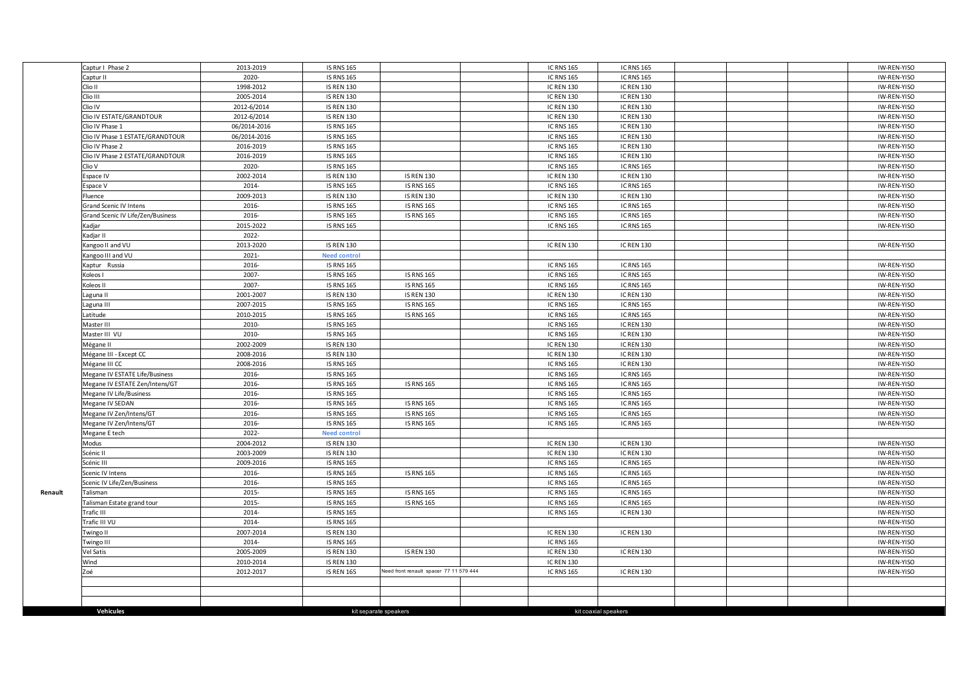|         | Captur I Phase 2                  | 2013-2019    | <b>IS RNS 165</b>   |                                         | <b>IC RNS 165</b> | <b>IC RNS 165</b>    |  | IW-REN-YISO |
|---------|-----------------------------------|--------------|---------------------|-----------------------------------------|-------------------|----------------------|--|-------------|
|         | Captur II                         | 2020-        | <b>IS RNS 165</b>   |                                         | <b>IC RNS 165</b> | <b>IC RNS 165</b>    |  | IW-REN-YISO |
|         | Clio II                           | 1998-2012    | <b>IS REN 130</b>   |                                         | <b>IC REN 130</b> | <b>IC REN 130</b>    |  | IW-REN-YISO |
|         | Clio III                          | 2005-2014    | <b>IS REN 130</b>   |                                         | <b>IC REN 130</b> | <b>IC REN 130</b>    |  | IW-REN-YISO |
|         | Clio IV                           | 2012-6/2014  | <b>IS REN 130</b>   |                                         | <b>IC REN 130</b> | <b>IC REN 130</b>    |  | IW-REN-YISO |
|         | Clio IV ESTATE/GRANDTOUR          | 2012-6/2014  | <b>IS REN 130</b>   |                                         | <b>IC REN 130</b> | <b>IC REN 130</b>    |  | IW-REN-YISO |
|         | Clio IV Phase 1                   | 06/2014-2016 | <b>IS RNS 165</b>   |                                         | <b>IC RNS 165</b> | <b>IC REN 130</b>    |  | IW-REN-YISO |
|         | Clio IV Phase 1 ESTATE/GRANDTOUR  | 06/2014-2016 | <b>IS RNS 165</b>   |                                         | <b>IC RNS 165</b> | <b>IC REN 130</b>    |  | IW-REN-YISO |
|         | Clio IV Phase 2                   | 2016-2019    | <b>IS RNS 165</b>   |                                         | <b>IC RNS 165</b> | <b>IC REN 130</b>    |  | IW-REN-YISO |
|         | Clio IV Phase 2 ESTATE/GRANDTOUR  | 2016-2019    | <b>IS RNS 165</b>   |                                         | <b>IC RNS 165</b> | <b>IC REN 130</b>    |  | IW-REN-YISO |
|         | Clio V                            | 2020-        | <b>IS RNS 165</b>   |                                         | <b>IC RNS 165</b> | <b>IC RNS 165</b>    |  | IW-REN-YISO |
|         | Espace IV                         | 2002-2014    | <b>IS REN 130</b>   | <b>IS REN 130</b>                       | <b>IC REN 130</b> | <b>IC REN 130</b>    |  | IW-REN-YISO |
|         | Espace V                          | 2014-        | <b>IS RNS 165</b>   | <b>IS RNS 165</b>                       | <b>IC RNS 165</b> | <b>IC RNS 165</b>    |  | IW-REN-YISO |
|         | Fluence                           | 2009-2013    | <b>IS REN 130</b>   | <b>IS REN 130</b>                       | <b>IC REN 130</b> | <b>IC REN 130</b>    |  | IW-REN-YISO |
|         | Grand Scenic IV Intens            | 2016-        | <b>IS RNS 165</b>   | <b>IS RNS 165</b>                       | <b>IC RNS 165</b> | <b>IC RNS 165</b>    |  | IW-REN-YISO |
|         | Grand Scenic IV Life/Zen/Business | 2016-        | <b>IS RNS 165</b>   | <b>IS RNS 165</b>                       | <b>IC RNS 165</b> | <b>IC RNS 165</b>    |  | IW-REN-YISO |
|         | Kadjar                            | 2015-2022    | <b>IS RNS 165</b>   |                                         | <b>IC RNS 165</b> | <b>IC RNS 165</b>    |  | IW-REN-YISO |
|         | Kadiar II                         | 2022-        |                     |                                         |                   |                      |  |             |
|         | Kangoo II and VU                  | 2013-2020    | <b>IS REN 130</b>   |                                         | <b>IC REN 130</b> | <b>IC REN 130</b>    |  | IW-REN-YISO |
|         | Kangoo III and VU                 | 2021-        | <b>Need control</b> |                                         |                   |                      |  |             |
|         | Kaptur Russia                     | 2016-        | <b>IS RNS 165</b>   |                                         | <b>IC RNS 165</b> | <b>IC RNS 165</b>    |  | IW-REN-YISO |
|         | Koleos I                          | 2007-        | <b>IS RNS 165</b>   | <b>IS RNS 165</b>                       | <b>IC RNS 165</b> | <b>IC RNS 165</b>    |  | IW-REN-YISO |
|         | Koleos II                         | 2007-        | <b>IS RNS 165</b>   | <b>IS RNS 165</b>                       | <b>IC RNS 165</b> | <b>IC RNS 165</b>    |  | IW-REN-YISO |
|         | aguna II                          | 2001-2007    | <b>IS REN 130</b>   | <b>IS REN 130</b>                       | <b>IC REN 130</b> | <b>IC REN 130</b>    |  | IW-REN-YISO |
|         | Laguna III                        | 2007-2015    | <b>IS RNS 165</b>   | <b>IS RNS 165</b>                       | <b>IC RNS 165</b> | <b>IC RNS 165</b>    |  | IW-REN-YISO |
|         | Latitude                          | 2010-2015    | <b>IS RNS 165</b>   | <b>IS RNS 165</b>                       | <b>IC RNS 165</b> | <b>IC RNS 165</b>    |  | IW-REN-YISO |
|         | Master III                        | 2010-        | <b>IS RNS 165</b>   |                                         | <b>IC RNS 165</b> | <b>IC REN 130</b>    |  | IW-REN-YISO |
|         | Master III VU                     | 2010-        | <b>IS RNS 165</b>   |                                         | <b>IC RNS 165</b> | <b>IC REN 130</b>    |  | IW-REN-YISO |
|         | Mégane II                         | 2002-2009    | <b>IS REN 130</b>   |                                         | <b>IC REN 130</b> | <b>IC REN 130</b>    |  | IW-REN-YISO |
|         | Mégane III - Except CC            | 2008-2016    | <b>IS REN 130</b>   |                                         | <b>IC REN 130</b> | <b>IC REN 130</b>    |  | IW-REN-YISO |
|         | Mégane III CC                     | 2008-2016    | <b>IS RNS 165</b>   |                                         | <b>IC RNS 165</b> | <b>IC REN 130</b>    |  | IW-REN-YISO |
|         | Megane IV ESTATE Life/Business    | 2016-        | <b>IS RNS 165</b>   |                                         | <b>IC RNS 165</b> | <b>IC RNS 165</b>    |  | IW-REN-YISO |
|         | Megane IV ESTATE Zen/Intens/GT    | 2016-        | <b>IS RNS 165</b>   | <b>IS RNS 165</b>                       | <b>IC RNS 165</b> | <b>IC RNS 165</b>    |  | IW-REN-YISO |
|         | Megane IV Life/Business           | 2016-        | <b>IS RNS 165</b>   |                                         | <b>IC RNS 165</b> | <b>IC RNS 165</b>    |  | IW-REN-YISO |
|         | Megane IV SEDAN                   | 2016-        | <b>IS RNS 165</b>   | <b>IS RNS 165</b>                       | <b>IC RNS 165</b> | <b>IC RNS 165</b>    |  | IW-REN-YISO |
|         | Megane IV Zen/Intens/GT           | 2016-        | <b>IS RNS 165</b>   | <b>IS RNS 165</b>                       | <b>IC RNS 165</b> | <b>IC RNS 165</b>    |  | IW-REN-YISO |
|         | Megane IV Zen/Intens/GT           | 2016-        | <b>IS RNS 165</b>   | <b>IS RNS 165</b>                       | <b>IC RNS 165</b> | <b>IC RNS 165</b>    |  | IW-REN-YISO |
|         | Megane E tech                     | 2022-        | <b>Need control</b> |                                         |                   |                      |  |             |
|         | Modus                             | 2004-2012    | <b>IS REN 130</b>   |                                         | <b>IC REN 130</b> | <b>IC REN 130</b>    |  | IW-REN-YISO |
|         | Scénic II                         | 2003-2009    | <b>IS REN 130</b>   |                                         | <b>IC REN 130</b> | <b>IC REN 130</b>    |  | IW-REN-YISO |
|         | Scénic III                        | 2009-2016    | <b>IS RNS 165</b>   |                                         | <b>IC RNS 165</b> | <b>IC RNS 165</b>    |  | IW-REN-YISO |
|         | Scenic IV Intens                  | 2016-        | <b>IS RNS 165</b>   | <b>IS RNS 165</b>                       | <b>IC RNS 165</b> | <b>IC RNS 165</b>    |  | IW-REN-YISO |
|         | Scenic IV Life/Zen/Business       | 2016-        | <b>IS RNS 165</b>   |                                         | <b>IC RNS 165</b> | <b>IC RNS 165</b>    |  | IW-REN-YISO |
| Renault | Talisman                          | 2015-        | <b>IS RNS 165</b>   | <b>IS RNS 165</b>                       | <b>IC RNS 165</b> | <b>IC RNS 165</b>    |  | IW-REN-YISO |
|         | Talisman Estate grand tour        | 2015-        | <b>IS RNS 165</b>   | <b>IS RNS 165</b>                       | <b>IC RNS 165</b> | <b>IC RNS 165</b>    |  | IW-REN-YISO |
|         | Trafic III                        | 2014-        | <b>IS RNS 165</b>   |                                         | <b>IC RNS 165</b> | <b>IC REN 130</b>    |  | IW-REN-YISO |
|         | Trafic III VU                     | 2014-        | <b>IS RNS 165</b>   |                                         |                   |                      |  | IW-REN-YISO |
|         | Twingo II                         | 2007-2014    | <b>IS REN 130</b>   |                                         | <b>IC REN 130</b> | <b>IC REN 130</b>    |  | IW-REN-YISO |
|         | Twingo III                        | 2014-        | <b>IS RNS 165</b>   |                                         | <b>IC RNS 165</b> |                      |  | IW-REN-YISO |
|         | /el Satis                         | 2005-2009    | <b>IS REN 130</b>   | <b>IS REN 130</b>                       | <b>IC REN 130</b> | <b>IC REN 130</b>    |  | IW-REN-YISO |
|         | Wind                              | 2010-2014    | <b>IS REN 130</b>   |                                         | <b>IC REN 130</b> |                      |  | IW-REN-YISO |
|         | Zoé                               | 2012-2017    | <b>IS REN 165</b>   | Need front renault spacer 77 11 579 444 | <b>IC RNS 165</b> | <b>IC REN 130</b>    |  | IW-REN-YISO |
|         |                                   |              |                     |                                         |                   |                      |  |             |
|         |                                   |              |                     |                                         |                   |                      |  |             |
|         |                                   |              |                     |                                         |                   |                      |  |             |
|         | Vehicules                         |              |                     | kit separate speakers                   |                   | kit coaxial speakers |  |             |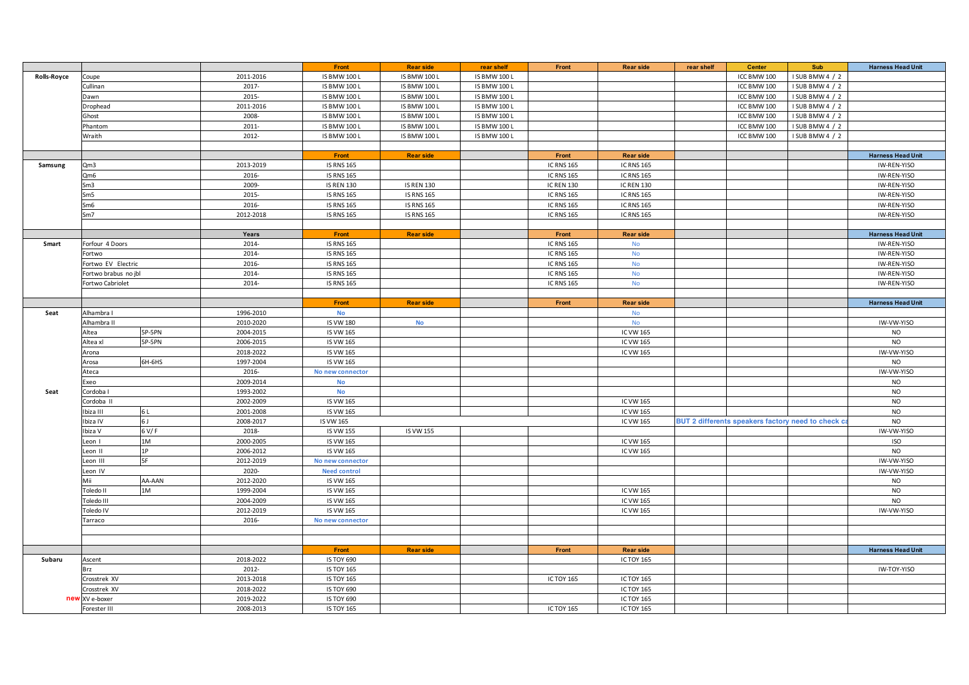|             |                      |           | Front               | <b>Rear side</b>    | rear shelf          | Front             | <b>Rear side</b>  | rear shelf | <b>Center</b>                                     | Sub             | <b>Harness Head Unit</b> |
|-------------|----------------------|-----------|---------------------|---------------------|---------------------|-------------------|-------------------|------------|---------------------------------------------------|-----------------|--------------------------|
| Rolls-Royce | Coupe                | 2011-2016 | <b>IS BMW 100 L</b> | <b>IS BMW 100 L</b> | <b>IS BMW 100 L</b> |                   |                   |            | ICC BMW 100                                       | I SUB BMW 4 / 2 |                          |
|             | Cullinan             | 2017-     | <b>IS BMW 100 L</b> | <b>IS BMW 100 L</b> | <b>IS BMW 100 L</b> |                   |                   |            | ICC BMW 100                                       | I SUB BMW 4 / 2 |                          |
|             | Dawn                 | 2015-     | <b>IS BMW 100 L</b> | <b>IS BMW 100 L</b> | <b>IS BMW 100 L</b> |                   |                   |            | ICC BMW 100                                       | I SUB BMW 4 / 2 |                          |
|             | Drophead             | 2011-2016 | <b>IS BMW 100 L</b> | <b>IS BMW 100 L</b> | <b>IS BMW 100 L</b> |                   |                   |            | ICC BMW 100                                       | I SUB BMW 4 / 2 |                          |
|             | Ghost                | 2008-     | <b>IS BMW 100 L</b> | <b>IS BMW 100 L</b> | <b>IS BMW 100 L</b> |                   |                   |            | ICC BMW 100                                       | I SUB BMW 4 / 2 |                          |
|             | Phantom              | 2011-     | <b>IS BMW 100 L</b> | <b>IS BMW 100 L</b> | <b>IS BMW 100 L</b> |                   |                   |            | ICC BMW 100                                       | I SUB BMW 4 / 2 |                          |
|             | Wraith               | 2012-     | <b>IS BMW 100 L</b> | <b>IS BMW 100 L</b> | <b>IS BMW 100 L</b> |                   |                   |            | ICC BMW 100                                       | ISUB BMW 4 / 2  |                          |
|             |                      |           |                     |                     |                     |                   |                   |            |                                                   |                 |                          |
|             |                      |           | Front               | <b>Rear side</b>    |                     | Front             | <b>Rear side</b>  |            |                                                   |                 | <b>Harness Head Unit</b> |
| Samsung     | Qm3                  | 2013-2019 | <b>IS RNS 165</b>   |                     |                     | <b>IC RNS 165</b> | <b>IC RNS 165</b> |            |                                                   |                 | IW-REN-YISO              |
|             | Qm6                  | 2016-     | <b>IS RNS 165</b>   |                     |                     | <b>IC RNS 165</b> | <b>IC RNS 165</b> |            |                                                   |                 | IW-REN-YISO              |
|             | Sm3                  | 2009-     | <b>IS REN 130</b>   | <b>IS REN 130</b>   |                     | <b>IC REN 130</b> | <b>IC REN 130</b> |            |                                                   |                 | IW-REN-YISO              |
|             | Sm5                  | 2015-     | <b>IS RNS 165</b>   | <b>IS RNS 165</b>   |                     | <b>IC RNS 165</b> | <b>IC RNS 165</b> |            |                                                   |                 | IW-REN-YISO              |
|             | Sm <sub>6</sub>      | 2016-     | <b>IS RNS 165</b>   | <b>IS RNS 165</b>   |                     | <b>IC RNS 165</b> | <b>IC RNS 165</b> |            |                                                   |                 | IW-REN-YISO              |
|             | Sm7                  | 2012-2018 | <b>IS RNS 165</b>   | <b>IS RNS 165</b>   |                     | <b>IC RNS 165</b> | <b>IC RNS 165</b> |            |                                                   |                 | IW-REN-YISO              |
|             |                      |           |                     |                     |                     |                   |                   |            |                                                   |                 |                          |
|             |                      | Years     | Front               | <b>Rear side</b>    |                     | Front             | <b>Rear side</b>  |            |                                                   |                 | <b>Harness Head Unit</b> |
| Smart       | Forfour 4 Doors      | 2014-     | <b>IS RNS 165</b>   |                     |                     | <b>IC RNS 165</b> | <b>No</b>         |            |                                                   |                 | IW-REN-YISO              |
|             | Fortwo               | 2014-     | <b>IS RNS 165</b>   |                     |                     | <b>IC RNS 165</b> | No                |            |                                                   |                 | IW-REN-YISO              |
|             | Fortwo EV Electric   | 2016-     | <b>IS RNS 165</b>   |                     |                     | <b>IC RNS 165</b> | No                |            |                                                   |                 | IW-REN-YISO              |
|             | Fortwo brabus no jbl | 2014-     | <b>IS RNS 165</b>   |                     |                     | <b>IC RNS 165</b> | No                |            |                                                   |                 | IW-REN-YISO              |
|             | Fortwo Cabriolet     | 2014-     | <b>IS RNS 165</b>   |                     |                     | <b>IC RNS 165</b> | No                |            |                                                   |                 | IW-REN-YISO              |
|             |                      |           |                     |                     |                     |                   |                   |            |                                                   |                 |                          |
|             |                      |           | Front               | <b>Rear side</b>    |                     | Front             | <b>Rear side</b>  |            |                                                   |                 | <b>Harness Head Unit</b> |
| Seat        | Alhambra I           | 1996-2010 | No                  |                     |                     |                   | No                |            |                                                   |                 |                          |
|             | Alhambra II          | 2010-2020 | <b>IS VW 180</b>    | No                  |                     |                   | <b>No</b>         |            |                                                   |                 | IW-VW-YISO               |
|             | 5P-5PN<br>Altea      | 2004-2015 | IS VW 165           |                     |                     |                   | IC VW 165         |            |                                                   |                 | <b>NO</b>                |
|             | Altea xl<br>5P-5PN   | 2006-2015 | <b>IS VW 165</b>    |                     |                     |                   | IC VW 165         |            |                                                   |                 | <b>NO</b>                |
|             | Arona                | 2018-2022 | <b>IS VW 165</b>    |                     |                     |                   | IC VW 165         |            |                                                   |                 | IW-VW-YISO               |
|             | 6H-6HS<br>Arosa      | 1997-2004 | <b>IS VW 165</b>    |                     |                     |                   |                   |            |                                                   |                 | <b>NO</b>                |
|             | Ateca                | 2016-     | No new connector    |                     |                     |                   |                   |            |                                                   |                 | IW-VW-YISO               |
|             | Exeo                 | 2009-2014 | No                  |                     |                     |                   |                   |            |                                                   |                 | <b>NO</b>                |
| Seat        | Cordoba I            | 1993-2002 | <b>No</b>           |                     |                     |                   |                   |            |                                                   |                 | <b>NO</b>                |
|             | Cordoba II           | 2002-2009 | IS VW 165           |                     |                     |                   | IC VW 165         |            |                                                   |                 | <b>NO</b>                |
|             | 6L<br>biza III       | 2001-2008 | <b>IS VW 165</b>    |                     |                     |                   | <b>IC VW 165</b>  |            |                                                   |                 | <b>NO</b>                |
|             | biza IV<br>6 J       | 2008-2017 | IS VW 165           |                     |                     |                   | IC VW 165         |            | BUT 2 differents speakers factory need to check c |                 | <b>NO</b>                |
|             | 6 V/F<br>Ibiza V     | 2018-     | <b>IS VW 155</b>    | IS VW 155           |                     |                   |                   |            |                                                   |                 | IW-VW-YISO               |
|             | 1M<br>Leon I         | 2000-2005 | <b>IS VW 165</b>    |                     |                     |                   | IC VW 165         |            |                                                   |                 | <b>ISO</b>               |
|             | 1P<br>Leon II        | 2006-2012 | <b>IS VW 165</b>    |                     |                     |                   | IC VW 165         |            |                                                   |                 | <b>NO</b>                |
|             | 5F<br>Leon III       | 2012-2019 | No new connector    |                     |                     |                   |                   |            |                                                   |                 | IW-VW-YISO               |
|             | Leon IV              | 2020-     | <b>Need control</b> |                     |                     |                   |                   |            |                                                   |                 | IW-VW-YISO               |
|             | AA-AAN<br>Mii        | 2012-2020 | <b>IS VW 165</b>    |                     |                     |                   |                   |            |                                                   |                 | <b>NO</b>                |
|             | 1M<br>Toledo II      | 1999-2004 | <b>IS VW 165</b>    |                     |                     |                   | IC VW 165         |            |                                                   |                 | <b>NO</b>                |
|             | <b>Toledo III</b>    | 2004-2009 | <b>IS VW 165</b>    |                     |                     |                   | IC VW 165         |            |                                                   |                 | <b>NO</b>                |
|             | Toledo IV            | 2012-2019 | <b>IS VW 165</b>    |                     |                     |                   | IC VW 165         |            |                                                   |                 | IW-VW-YISO               |
|             | Tarraco              | 2016-     | No new connector    |                     |                     |                   |                   |            |                                                   |                 |                          |
|             |                      |           |                     |                     |                     |                   |                   |            |                                                   |                 |                          |
|             |                      |           |                     |                     |                     |                   |                   |            |                                                   |                 |                          |
|             |                      |           | Front               | <b>Rear side</b>    |                     | Front             | <b>Rear side</b>  |            |                                                   |                 | <b>Harness Head Unit</b> |
| Subaru      | Ascent               | 2018-2022 | IS TOY 690          |                     |                     |                   | <b>IC TOY 165</b> |            |                                                   |                 |                          |
|             | Brz                  | 2012-     | <b>IS TOY 165</b>   |                     |                     |                   |                   |            |                                                   |                 | IW-TOY-YISO              |
|             | Crosstrek XV         | 2013-2018 | <b>IS TOY 165</b>   |                     |                     | ICTOY 165         | IC TOY 165        |            |                                                   |                 |                          |
|             | Crosstrek XV         | 2018-2022 | <b>IS TOY 690</b>   |                     |                     |                   | <b>IC TOY 165</b> |            |                                                   |                 |                          |
|             | new XV e-boxer       | 2019-2022 | <b>IS TOY 690</b>   |                     |                     |                   | <b>IC TOY 165</b> |            |                                                   |                 |                          |
|             | Forester III         | 2008-2013 | <b>IS TOY 165</b>   |                     |                     | <b>ICTOY 165</b>  | IC TOY 165        |            |                                                   |                 |                          |
|             |                      |           |                     |                     |                     |                   |                   |            |                                                   |                 |                          |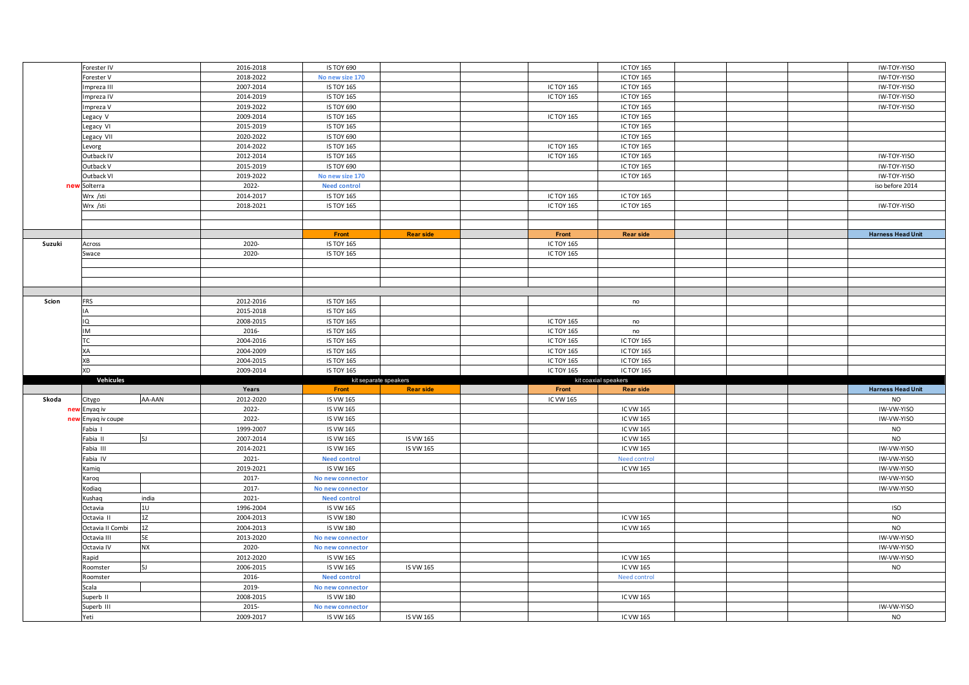|        | Forester IV      |           | 2016-2018 | <b>IS TOY 690</b>              |                  |                           | <b>IC TOY 165</b>    |  | IW-TOY-YISO              |
|--------|------------------|-----------|-----------|--------------------------------|------------------|---------------------------|----------------------|--|--------------------------|
|        | Forester V       |           | 2018-2022 | No new size 170                |                  |                           | IC TOY 165           |  | IW-TOY-YISO              |
|        | mpreza III       |           | 2007-2014 | <b>IS TOY 165</b>              |                  | ICTOY 165                 | IC TOY 165           |  | IW-TOY-YISO              |
|        | npreza IV        |           | 2014-2019 | <b>IS TOY 165</b>              |                  | <b>ICTOY 165</b>          | <b>IC TOY 165</b>    |  | IW-TOY-YISO              |
|        | mpreza V         |           | 2019-2022 | <b>IS TOY 690</b>              |                  |                           | IC TOY 165           |  | IW-TOY-YISO              |
|        | Legacy V         |           | 2009-2014 | <b>IS TOY 165</b>              |                  | <b>ICTOY 165</b>          | <b>IC TOY 165</b>    |  |                          |
|        | egacy VI         |           | 2015-2019 | <b>IS TOY 165</b>              |                  |                           | <b>IC TOY 165</b>    |  |                          |
|        | Legacy VII       |           | 2020-2022 | <b>IS TOY 690</b>              |                  |                           | <b>IC TOY 165</b>    |  |                          |
|        | evorg            |           | 2014-2022 | <b>IS TOY 165</b>              |                  | ICTOY 165                 | IC TOY 165           |  |                          |
|        | Outback IV       |           | 2012-2014 | <b>IS TOY 165</b>              |                  | ICTOY 165                 | IC TOY 165           |  | IW-TOY-YISO              |
|        | Outback V        |           | 2015-2019 | <b>IS TOY 690</b>              |                  |                           | IC TOY 165           |  | IW-TOY-YISO              |
|        |                  |           | 2019-2022 |                                |                  |                           |                      |  |                          |
|        | Outback VI       |           |           | No new size 170                |                  |                           | IC TOY 165           |  | IW-TOY-YISO              |
| new    | Solterra         |           | 2022-     | <b>Need control</b>            |                  |                           |                      |  | iso before 2014          |
|        | Wrx /sti         |           | 2014-2017 | <b>IS TOY 165</b>              |                  | <b>ICTOY 165</b>          | <b>IC TOY 165</b>    |  |                          |
|        | Wrx /sti         |           | 2018-2021 | <b>IS TOY 165</b>              |                  | ICTOY 165                 | IC TOY 165           |  | IW-TOY-YISO              |
|        |                  |           |           |                                |                  |                           |                      |  |                          |
|        |                  |           |           | Front                          |                  |                           |                      |  | <b>Harness Head Unit</b> |
| Suzuki | Across           |           | 2020-     | <b>IS TOY 165</b>              | <b>Rear side</b> | Front<br><b>ICTOY 165</b> | <b>Rear side</b>     |  |                          |
|        |                  |           | 2020-     |                                |                  |                           |                      |  |                          |
|        | Swace            |           |           | <b>IS TOY 165</b>              |                  | ICTOY 165                 |                      |  |                          |
|        |                  |           |           |                                |                  |                           |                      |  |                          |
|        |                  |           |           |                                |                  |                           |                      |  |                          |
|        |                  |           |           |                                |                  |                           |                      |  |                          |
| Scion  | <b>FRS</b>       |           | 2012-2016 | <b>IS TOY 165</b>              |                  |                           | no                   |  |                          |
|        |                  |           | 2015-2018 | <b>IS TOY 165</b>              |                  |                           |                      |  |                          |
|        |                  |           | 2008-2015 | <b>IS TOY 165</b>              |                  |                           |                      |  |                          |
|        | IQ               |           |           |                                |                  | <b>ICTOY 165</b>          | no                   |  |                          |
|        | IM               |           | 2016-     | <b>IS TOY 165</b>              |                  | <b>ICTOY 165</b>          | no                   |  |                          |
|        | т٢               |           | 2004-2016 | <b>IS TOY 165</b>              |                  | ICTOY 165                 | IC TOY 165           |  |                          |
|        | ХA               |           | 2004-2009 | <b>IS TOY 165</b>              |                  | <b>ICTOY 165</b>          | <b>IC TOY 165</b>    |  |                          |
|        | XB               |           | 2004-2015 | <b>IS TOY 165</b>              |                  | ICTOY 165                 | <b>IC TOY 165</b>    |  |                          |
|        | XD               |           | 2009-2014 | <b>IS TOY 165</b>              |                  | ICTOY 165                 | <b>IC TOY 165</b>    |  |                          |
|        | Vehicules        |           |           | kit separate speakers<br>Front | <b>Rear side</b> |                           | kit coaxial speakers |  |                          |
|        |                  |           |           |                                |                  | Front                     | <b>Rear side</b>     |  | <b>Harness Head Unit</b> |
|        |                  |           | Years     |                                |                  |                           |                      |  |                          |
| Skoda  | Citygo           | AA-AAN    | 2012-2020 | IS VW 165                      |                  | IC VW 165                 |                      |  | <b>NO</b>                |
|        | new Enyaq iv     |           | 2022-     | <b>IS VW 165</b>               |                  |                           | IC VW 165            |  | IW-VW-YISO               |
| ney    | Enyaq iv coupe   |           | 2022-     | IS VW 165                      |                  |                           | IC VW 165            |  | IW-VW-YISO               |
|        | Fabia I          |           | 1999-2007 | IS VW 165                      |                  |                           | IC VW 165            |  | <b>NO</b>                |
|        | Fabia II         | <b>5J</b> | 2007-2014 | IS VW 165                      | IS VW 165        |                           | IC VW 165            |  | <b>NO</b>                |
|        | Fabia III        |           | 2014-2021 | IS VW 165                      | IS VW 165        |                           | IC VW 165            |  | IW-VW-YISO               |
|        | Fabia IV         |           | 2021-     | <b>Need control</b>            |                  |                           | Need control         |  | IW-VW-YISO               |
|        | Kamiq            |           | 2019-2021 | IS VW 165                      |                  |                           | IC VW 165            |  | IW-VW-YISO               |
|        | Karoq            |           | 2017-     | No new connector               |                  |                           |                      |  | IW-VW-YISO               |
|        | Kodiag           |           | 2017-     | No new connector               |                  |                           |                      |  | IW-VW-YISO               |
|        | Kushaq           | india     | 2021-     | <b>Need control</b>            |                  |                           |                      |  |                          |
|        | Octavia          | 10        | 1996-2004 | IS VW 165                      |                  |                           |                      |  | <b>ISO</b>               |
|        | Octavia II       | 12        | 2004-2013 | <b>IS VW 180</b>               |                  |                           | IC VW 165            |  | <b>NO</b>                |
|        | Octavia II Combi | 1Z        | 2004-2013 | <b>IS VW 180</b>               |                  |                           | IC VW 165            |  | <b>NO</b>                |
|        | Octavia III      | 5E        | 2013-2020 | No new connector               |                  |                           |                      |  | IW-VW-YISO               |
|        | Octavia IV       | <b>NX</b> | 2020-     | No new connector               |                  |                           |                      |  | IW-VW-YISO               |
|        | Rapid            |           | 2012-2020 | IS VW 165                      |                  |                           | IC VW 165            |  | IW-VW-YISO               |
|        | Roomster         | 5J        | 2006-2015 | IS VW 165                      | IS VW 165        |                           | IC VW 165            |  | <b>NO</b>                |
|        | Roomster         |           | 2016-     | <b>Need control</b>            |                  |                           | Need control         |  |                          |
|        | Scala            |           | 2019-     | No new connector               |                  |                           |                      |  |                          |
|        | Superb II        |           | 2008-2015 | <b>IS VW 180</b>               |                  |                           | IC VW 165            |  |                          |
|        | Superb III       |           | 2015-     | No new connector               |                  |                           |                      |  | IW-VW-YISO               |
|        | Yeti             |           | 2009-2017 | IS VW 165                      | IS VW 165        |                           | IC VW 165            |  | <b>NO</b>                |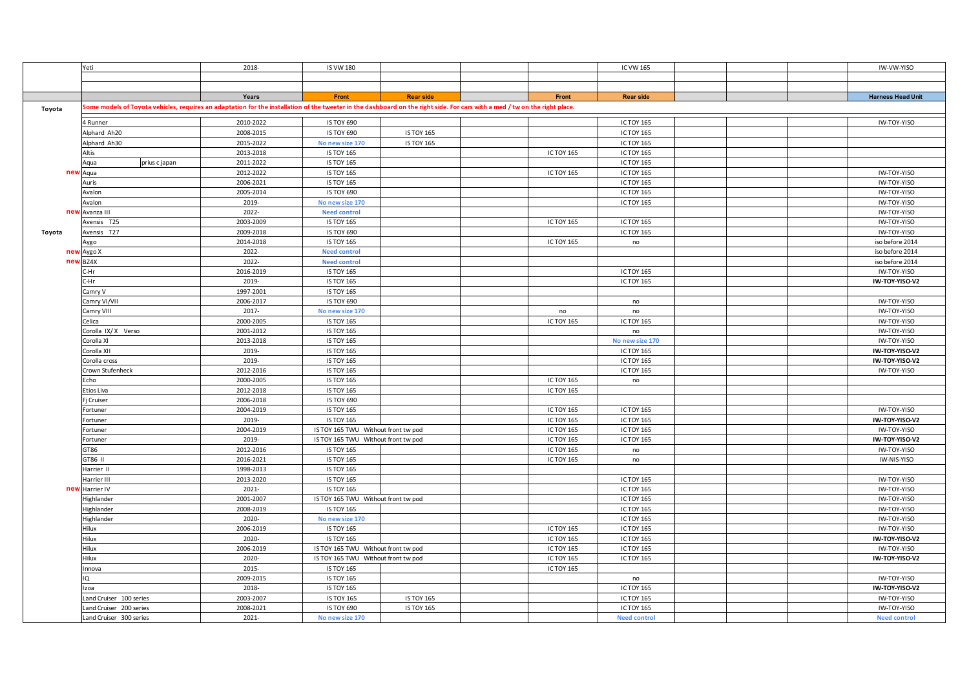|        | Yeti                                                                                                                                                                        | 2018-                  | <b>IS VW 180</b>                       |                   |                               | IC VW 165                       |  | IW-VW-YISO                    |
|--------|-----------------------------------------------------------------------------------------------------------------------------------------------------------------------------|------------------------|----------------------------------------|-------------------|-------------------------------|---------------------------------|--|-------------------------------|
|        |                                                                                                                                                                             |                        |                                        |                   |                               |                                 |  |                               |
|        |                                                                                                                                                                             |                        |                                        |                   |                               |                                 |  |                               |
|        |                                                                                                                                                                             | Years                  | Front                                  | <b>Rear side</b>  | Front                         | <b>Rear side</b>                |  | <b>Harness Head Unit</b>      |
| Toyota | Some models of Toyota vehicles, requires an adaptation for the installation of the tweeter in the dashboard on the right side. For cars with a med / tw on the right place. |                        |                                        |                   |                               |                                 |  |                               |
|        |                                                                                                                                                                             |                        |                                        |                   |                               |                                 |  |                               |
|        | 4 Runner                                                                                                                                                                    | 2010-2022              | IS TOY 690                             |                   |                               | IC TOY 165                      |  | IW-TOY-YISO                   |
|        | Alphard Ah20                                                                                                                                                                | 2008-2015              | IS TOY 690                             | <b>IS TOY 165</b> |                               | <b>IC TOY 165</b>               |  |                               |
|        | Alphard Ah30                                                                                                                                                                | 2015-2022              | No new size 170                        | <b>IS TOY 165</b> |                               | IC TOY 165                      |  |                               |
|        | Altis                                                                                                                                                                       | 2013-2018              | <b>IS TOY 165</b>                      |                   | <b>ICTOY 165</b>              | IC TOY 165                      |  |                               |
|        | prius c japan<br>Aqua                                                                                                                                                       | 2011-2022              | <b>IS TOY 165</b>                      |                   |                               | IC TOY 165                      |  |                               |
| new    | Aqua                                                                                                                                                                        | 2012-2022              | <b>IS TOY 165</b>                      |                   | <b>ICTOY 165</b>              | <b>IC TOY 165</b>               |  | IW-TOY-YISO                   |
|        | Auris                                                                                                                                                                       | 2006-2021              | <b>IS TOY 165</b>                      |                   |                               | IC TOY 165                      |  | IW-TOY-YISO                   |
|        | Avalon                                                                                                                                                                      | 2005-2014              | IS TOY 690                             |                   |                               | <b>IC TOY 165</b>               |  | IW-TOY-YISO                   |
|        | Avalon                                                                                                                                                                      | 2019-                  | No new size 170                        |                   |                               | IC TOY 165                      |  | IW-TOY-YISO                   |
|        | new Avanza III                                                                                                                                                              | 2022-                  | <b>Need control</b>                    |                   |                               |                                 |  | IW-TOY-YISO                   |
|        | Avensis T25                                                                                                                                                                 | 2003-2009              | <b>IS TOY 165</b>                      |                   | <b>ICTOY 165</b>              | <b>IC TOY 165</b>               |  | IW-TOY-YISO                   |
| Toyota | Avensis T27                                                                                                                                                                 | 2009-2018              | IS TOY 690                             |                   |                               | <b>IC TOY 165</b>               |  | IW-TOY-YISO                   |
|        | Aygo                                                                                                                                                                        | 2014-2018              | <b>IS TOY 165</b>                      |                   | <b>ICTOY 165</b>              | no                              |  | iso before 2014               |
|        | new Aygo X                                                                                                                                                                  | 2022-                  | <b>Need control</b>                    |                   |                               |                                 |  | iso before 2014               |
|        | new BZ4X                                                                                                                                                                    | 2022-                  | <b>Need control</b>                    |                   |                               |                                 |  | iso before 2014               |
|        | :-Hr                                                                                                                                                                        | 2016-2019              | <b>IS TOY 165</b>                      |                   |                               | <b>IC TOY 165</b>               |  | IW-TOY-YISO                   |
|        | -Hr                                                                                                                                                                         | 2019-                  | <b>IS TOY 165</b>                      |                   |                               | IC TOY 165                      |  | IW-TOY-YISO-V2                |
|        | Camry V                                                                                                                                                                     | 1997-2001              | <b>IS TOY 165</b>                      |                   |                               |                                 |  |                               |
|        | Camry VI/VII                                                                                                                                                                | 2006-2017              | <b>IS TOY 690</b>                      |                   |                               | no                              |  | IW-TOY-YISO                   |
|        | Camry VIII                                                                                                                                                                  | 2017-                  | No new size 170                        |                   | no                            | no                              |  | IW-TOY-YISO                   |
|        | Celica                                                                                                                                                                      | 2000-2005              | <b>IS TOY 165</b>                      |                   | ICTOY 165                     | IC TOY 165                      |  | IW-TOY-YISO                   |
|        | Corolla IX/X Verso                                                                                                                                                          | 2001-2012              | <b>IS TOY 165</b>                      |                   |                               | no                              |  | IW-TOY-YISO                   |
|        | Corolla XI                                                                                                                                                                  | 2013-2018              | <b>IS TOY 165</b>                      |                   |                               | No new size 170                 |  | IW-TOY-YISO                   |
|        | Corolla XII                                                                                                                                                                 | 2019-                  | <b>IS TOY 165</b>                      |                   |                               | IC TOY 165                      |  | IW-TOY-YISO-V2                |
|        | Corolla cross                                                                                                                                                               | 2019-                  | <b>IS TOY 165</b>                      |                   |                               | <b>IC TOY 165</b>               |  | IW-TOY-YISO-V2                |
|        | Crown Stufenheck                                                                                                                                                            | 2012-2016              | <b>IS TOY 165</b>                      |                   |                               | <b>IC TOY 165</b>               |  | IW-TOY-YISO                   |
|        | Echo<br>Etios Liva                                                                                                                                                          | 2000-2005<br>2012-2018 | <b>IS TOY 165</b><br><b>IS TOY 165</b> |                   | <b>ICTOY 165</b><br>ICTOY 165 | no                              |  |                               |
|        |                                                                                                                                                                             | 2006-2018              | <b>IS TOY 690</b>                      |                   |                               |                                 |  |                               |
|        | Fj Cruiser                                                                                                                                                                  | 2004-2019              | <b>IS TOY 165</b>                      |                   | ICTOY 165                     | IC TOY 165                      |  | IW-TOY-YISO                   |
|        | Fortuner                                                                                                                                                                    |                        | <b>IS TOY 165</b>                      |                   |                               |                                 |  |                               |
|        | Fortuner                                                                                                                                                                    | 2019-<br>2004-2019     | IS TOY 165 TWU Without front tw pod    |                   | <b>ICTOY 165</b><br>ICTOY 165 | <b>IC TOY 165</b><br>IC TOY 165 |  | IW-TOY-YISO-V2<br>IW-TOY-YISO |
|        | Fortuner                                                                                                                                                                    | 2019-                  | IS TOY 165 TWU Without front tw pod    |                   | ICTOY 165                     | IC TOY 165                      |  | IW-TOY-YISO-V2                |
|        | Fortuner<br>GT86                                                                                                                                                            | 2012-2016              | <b>IS TOY 165</b>                      |                   | <b>ICTOY 165</b>              |                                 |  | IW-TOY-YISO                   |
|        | GT86 II                                                                                                                                                                     | 2016-2021              | <b>IS TOY 165</b>                      |                   | ICTOY 165                     | no<br>no                        |  | IW-NIS-YISO                   |
|        | Harrier II                                                                                                                                                                  | 1998-2013              | <b>IS TOY 165</b>                      |                   |                               |                                 |  |                               |
|        | Harrier III                                                                                                                                                                 | 2013-2020              | <b>IS TOY 165</b>                      |                   |                               | IC TOY 165                      |  | IW-TOY-YISO                   |
| new    | Harrier IV                                                                                                                                                                  | 2021-                  | <b>IS TOY 165</b>                      |                   |                               | IC TOY 165                      |  | IW-TOY-YISO                   |
|        | Highlander                                                                                                                                                                  | 2001-2007              | IS TOY 165 TWU Without front tw pod    |                   |                               | IC TOY 165                      |  | IW-TOY-YISO                   |
|        | Highlander                                                                                                                                                                  | 2008-2019              | <b>IS TOY 165</b>                      |                   |                               | <b>IC TOY 165</b>               |  | IW-TOY-YISO                   |
|        | Highlander                                                                                                                                                                  | 2020-                  | No new size 170                        |                   |                               | IC TOY 165                      |  | IW-TOY-YISO                   |
|        | Hilux                                                                                                                                                                       | 2006-2019              | <b>IS TOY 165</b>                      |                   | ICTOY 165                     | IC TOY 165                      |  | IW-TOY-YISO                   |
|        | Hilux                                                                                                                                                                       | 2020-                  | <b>IS TOY 165</b>                      |                   | <b>ICTOY 165</b>              | IC TOY 165                      |  | IW-TOY-YISO-V2                |
|        | Hilux                                                                                                                                                                       | 2006-2019              | IS TOY 165 TWU Without front tw pod    |                   | <b>ICTOY 165</b>              | <b>IC TOY 165</b>               |  | IW-TOY-YISO                   |
|        | Hilux                                                                                                                                                                       | 2020-                  | IS TOY 165 TWU Without front tw pod    |                   | ICTOY 165                     | IC TOY 165                      |  | IW-TOY-YISO-V2                |
|        | nnova                                                                                                                                                                       | 2015-                  | <b>IS TOY 165</b>                      |                   | ICTOY 165                     |                                 |  |                               |
|        | IQ                                                                                                                                                                          | 2009-2015              | <b>IS TOY 165</b>                      |                   |                               | no                              |  | IW-TOY-YISO                   |
|        | Izoa                                                                                                                                                                        | 2018-                  | <b>IS TOY 165</b>                      |                   |                               | <b>IC TOY 165</b>               |  | IW-TOY-YISO-V2                |
|        | Land Cruiser 100 series                                                                                                                                                     | 2003-2007              | <b>IS TOY 165</b>                      | <b>IS TOY 165</b> |                               | IC TOY 165                      |  | IW-TOY-YISO                   |
|        | and Cruiser 200 series                                                                                                                                                      | 2008-2021              | <b>IS TOY 690</b>                      | <b>IS TOY 165</b> |                               | <b>IC TOY 165</b>               |  | IW-TOY-YISO                   |
|        | and Cruiser 300 series                                                                                                                                                      | 2021-                  | No new size 170                        |                   |                               | <b>Need control</b>             |  | <b>Need control</b>           |
|        |                                                                                                                                                                             |                        |                                        |                   |                               |                                 |  |                               |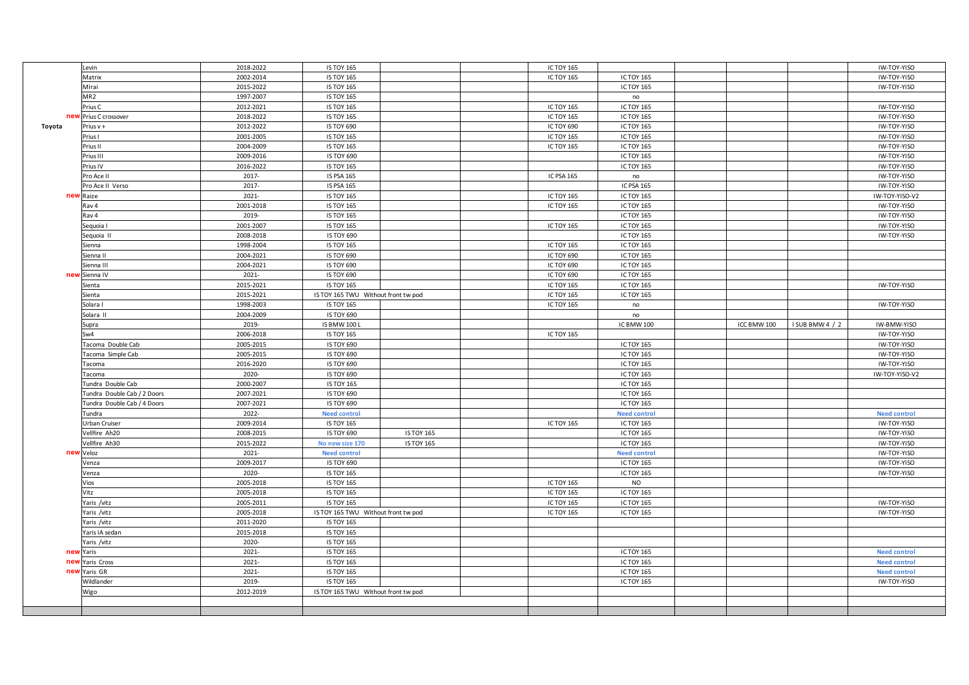|                 | Levin                       | 2018-2022 | <b>IS TOY 165</b>                        |                   | ICTOY 165        |                     |             |                 | IW-TOY-YISO                |
|-----------------|-----------------------------|-----------|------------------------------------------|-------------------|------------------|---------------------|-------------|-----------------|----------------------------|
|                 | Matrix                      | 2002-2014 | <b>IS TOY 165</b>                        |                   | <b>ICTOY 165</b> | <b>IC TOY 165</b>   |             |                 | IW-TOY-YISO                |
|                 | Mirai                       | 2015-2022 | <b>IS TOY 165</b>                        |                   |                  | <b>IC TOY 165</b>   |             |                 | IW-TOY-YISO                |
|                 | MR <sub>2</sub>             | 1997-2007 | <b>IS TOY 165</b>                        |                   |                  | no                  |             |                 |                            |
|                 | Prius C                     | 2012-2021 | <b>IS TOY 165</b>                        |                   | <b>ICTOY 165</b> | IC TOY 165          |             |                 | IW-TOY-YISO                |
| ney             | Prius C crossover           | 2018-2022 | <b>IS TOY 165</b>                        |                   | ICTOY 165        | <b>IC TOY 165</b>   |             |                 | IW-TOY-YISO                |
| Toyota          | Prius v +                   | 2012-2022 | <b>IS TOY 690</b>                        |                   | ICTOY 690        | <b>IC TOY 165</b>   |             |                 | IW-TOY-YISO                |
|                 | Prius I                     | 2001-2005 | <b>IS TOY 165</b>                        |                   | ICTOY 165        | IC TOY 165          |             |                 | IW-TOY-YISO                |
|                 | Prius II                    | 2004-2009 | <b>IS TOY 165</b>                        |                   | <b>ICTOY 165</b> | IC TOY 165          |             |                 | IW-TOY-YISO                |
|                 | Prius III                   | 2009-2016 | IS TOY 690                               |                   |                  | <b>IC TOY 165</b>   |             |                 | IW-TOY-YISO                |
|                 | Prius IV                    | 2016-2022 | <b>IS TOY 165</b>                        |                   |                  | IC TOY 165          |             |                 | IW-TOY-YISO                |
|                 | Pro Ace II                  | 2017-     | <b>IS PSA 165</b>                        |                   | IC PSA 165       | no                  |             |                 | IW-TOY-YISO                |
|                 | Pro Ace II Verso            | 2017-     | IS PSA 165                               |                   |                  | IC PSA 165          |             |                 | IW-TOY-YISO                |
| ne <sup>®</sup> | Raize                       | 2021-     | <b>IS TOY 165</b>                        |                   | <b>ICTOY 165</b> | IC TOY 165          |             |                 | IW-TOY-YISO-V2             |
|                 | Rav 4                       | 2001-2018 | <b>IS TOY 165</b>                        |                   | <b>ICTOY 165</b> | <b>IC TOY 165</b>   |             |                 | IW-TOY-YISO                |
|                 | Rav 4                       | 2019-     | <b>IS TOY 165</b>                        |                   |                  | IC TOY 165          |             |                 | IW-TOY-YISO                |
|                 | Sequoia I                   | 2001-2007 | <b>IS TOY 165</b>                        |                   | <b>ICTOY 165</b> | <b>IC TOY 165</b>   |             |                 | IW-TOY-YISO                |
|                 | Sequoia II                  | 2008-2018 | IS TOY 690                               |                   |                  | IC TOY 165          |             |                 | IW-TOY-YISO                |
|                 | Sienna                      | 1998-2004 | <b>IS TOY 165</b>                        |                   | ICTOY 165        | IC TOY 165          |             |                 |                            |
|                 | Sienna II                   | 2004-2021 | <b>IS TOY 690</b>                        |                   | ICTOY 690        | <b>IC TOY 165</b>   |             |                 |                            |
|                 | Sienna III                  | 2004-2021 | <b>IS TOY 690</b>                        |                   | ICTOY 690        | <b>IC TOY 165</b>   |             |                 |                            |
| new             | Sienna IV                   | 2021-     | IS TOY 690                               |                   | ICTOY 690        | IC TOY 165          |             |                 |                            |
|                 |                             | 2015-2021 | <b>IS TOY 165</b>                        |                   | <b>ICTOY 165</b> | <b>IC TOY 165</b>   |             |                 | IW-TOY-YISO                |
|                 | Sienta<br>Sienta            | 2015-2021 | IS TOY 165 TWU Without front tw pod      |                   | <b>ICTOY 165</b> | <b>IC TOY 165</b>   |             |                 |                            |
|                 | Solara I                    | 1998-2003 | <b>IS TOY 165</b>                        |                   | <b>ICTOY 165</b> | no                  |             |                 | IW-TOY-YISO                |
|                 | Solara II                   | 2004-2009 | IS TOY 690                               |                   |                  |                     |             |                 |                            |
|                 |                             | 2019-     |                                          |                   |                  | no                  |             |                 |                            |
|                 | Supra<br>Sw4                | 2006-2018 | <b>IS BMW 100 L</b><br><b>IS TOY 165</b> |                   | ICTOY 165        | IC BMW 100          | ICC BMW 100 | I SUB BMW 4 / 2 | IW-BMW-YISO<br>IW-TOY-YISO |
|                 |                             |           |                                          |                   |                  |                     |             |                 |                            |
|                 |                             |           |                                          |                   |                  |                     |             |                 |                            |
|                 | Tacoma Double Cab           | 2005-2015 | IS TOY 690                               |                   |                  | <b>IC TOY 165</b>   |             |                 | IW-TOY-YISO                |
|                 | Tacoma Simple Cab           | 2005-2015 | IS TOY 690                               |                   |                  | <b>IC TOY 165</b>   |             |                 | IW-TOY-YISO                |
|                 | Tacoma                      | 2016-2020 | IS TOY 690                               |                   |                  | <b>IC TOY 165</b>   |             |                 | IW-TOY-YISO                |
|                 | Tacoma                      | 2020-     | IS TOY 690                               |                   |                  | <b>IC TOY 165</b>   |             |                 | IW-TOY-YISO-V2             |
|                 | Tundra Double Cab           | 2000-2007 | <b>IS TOY 165</b>                        |                   |                  | IC TOY 165          |             |                 |                            |
|                 | Tundra Double Cab / 2 Doors | 2007-2021 | IS TOY 690                               |                   |                  | IC TOY 165          |             |                 |                            |
|                 | Tundra Double Cab / 4 Doors | 2007-2021 | IS TOY 690                               |                   |                  | <b>IC TOY 165</b>   |             |                 |                            |
|                 | undra                       | 2022-     | <b>Need control</b>                      |                   |                  | <b>Need control</b> |             |                 | <b>Need control</b>        |
|                 | <b>Jrban Cruiser</b>        | 2009-2014 | <b>IS TOY 165</b>                        |                   | <b>ICTOY 165</b> | <b>IC TOY 165</b>   |             |                 | IW-TOY-YISO                |
|                 | /ellfire Ah20               | 2008-2015 | <b>IS TOY 690</b>                        | <b>IS TOY 165</b> |                  | <b>IC TOY 165</b>   |             |                 | IW-TOY-YISO                |
|                 | Vellfire Ah30               | 2015-2022 | No new size 170                          | <b>IS TOY 165</b> |                  | <b>IC TOY 165</b>   |             |                 | IW-TOY-YISO                |
| new             | Veloz                       | 2021-     | <b>Need control</b>                      |                   |                  | <b>Need control</b> |             |                 | IW-TOY-YISO                |
|                 | Venza                       | 2009-2017 | IS TOY 690                               |                   |                  | <b>IC TOY 165</b>   |             |                 | IW-TOY-YISO                |
|                 | Venza                       | 2020-     | <b>IS TOY 165</b>                        |                   |                  | <b>IC TOY 165</b>   |             |                 | IW-TOY-YISO                |
|                 | Vios                        | 2005-2018 | <b>IS TOY 165</b>                        |                   | ICTOY 165        | <b>NO</b>           |             |                 |                            |
|                 | Vitz                        | 2005-2018 | <b>IS TOY 165</b>                        |                   | <b>ICTOY 165</b> | IC TOY 165          |             |                 |                            |
|                 | Yaris /vitz                 | 2005-2011 | <b>IS TOY 165</b>                        |                   | <b>ICTOY 165</b> | <b>IC TOY 165</b>   |             |                 | IW-TOY-YISO                |
|                 | Yaris /vitz                 | 2005-2018 | IS TOY 165 TWU Without front tw pod      |                   | ICTOY 165        | IC TOY 165          |             |                 | IW-TOY-YISO                |
|                 | Yaris /vitz                 | 2011-2020 | <b>IS TOY 165</b>                        |                   |                  |                     |             |                 |                            |
|                 | Yaris IA sedan              | 2015-2018 | <b>IS TOY 165</b>                        |                   |                  |                     |             |                 |                            |
|                 | Yaris /vitz                 | 2020-     | <b>IS TOY 165</b>                        |                   |                  |                     |             |                 |                            |
| nev             | Yaris                       | 2021-     | <b>IS TOY 165</b>                        |                   |                  | <b>IC TOY 165</b>   |             |                 | <b>Need control</b>        |
| nev             | Yaris Cross                 | 2021-     | <b>IS TOY 165</b>                        |                   |                  | <b>IC TOY 165</b>   |             |                 | <b>Need control</b>        |
| new             | Yaris GR                    | 2021-     | <b>IS TOY 165</b>                        |                   |                  | IC TOY 165          |             |                 | <b>Need control</b>        |
|                 | Wildlander                  | 2019-     | <b>IS TOY 165</b>                        |                   |                  | IC TOY 165          |             |                 | IW-TOY-YISO                |
|                 | Wigo                        | 2012-2019 | IS TOY 165 TWU Without front tw pod      |                   |                  |                     |             |                 |                            |
|                 |                             |           |                                          |                   |                  |                     |             |                 |                            |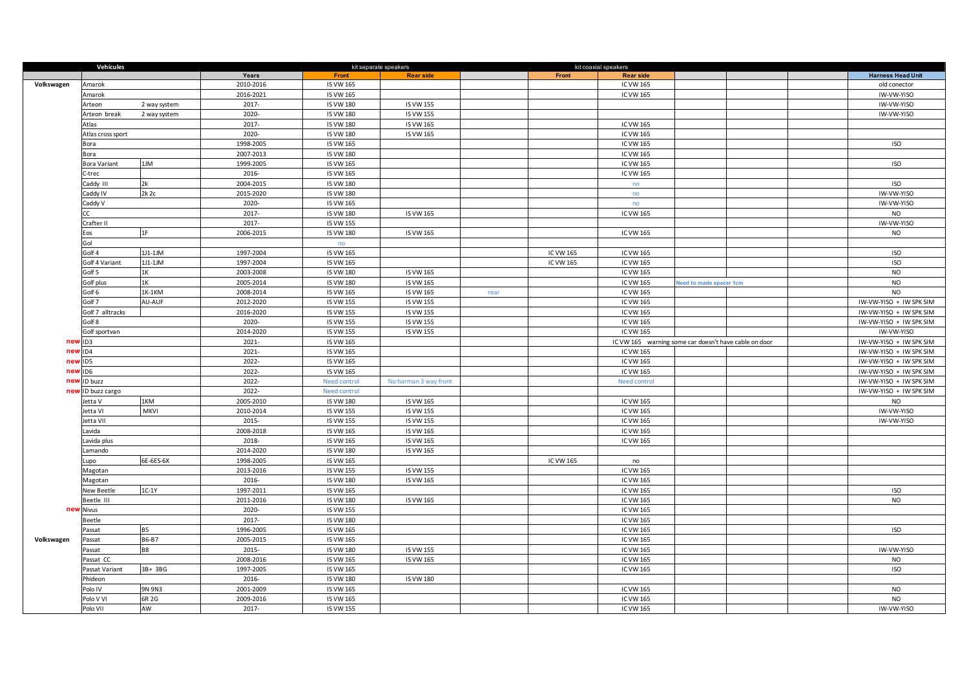|            | Vehicules           |                    |                        |                                      | kit separate speakers |      |           | kit coaxial speakers                                  |                        |  |                          |
|------------|---------------------|--------------------|------------------------|--------------------------------------|-----------------------|------|-----------|-------------------------------------------------------|------------------------|--|--------------------------|
|            |                     |                    | Years                  | Front                                | <b>Rear side</b>      |      | Front     | <b>Rear side</b>                                      |                        |  | <b>Harness Head Unit</b> |
| Volkswagen | Amarok              |                    | 2010-2016              | <b>IS VW 165</b>                     |                       |      |           | IC VW 165                                             |                        |  | old conector             |
|            | Amarok              |                    | 2016-2021              | IS VW 165                            |                       |      |           | IC VW 165                                             |                        |  | IW-VW-YISO               |
|            | Arteon              | 2 way system       | 2017-                  | <b>IS VW 180</b>                     | <b>IS VW 155</b>      |      |           |                                                       |                        |  | IW-VW-YISO               |
|            | Arteon break        | 2 way system       | 2020-                  | <b>IS VW 180</b>                     | <b>IS VW 155</b>      |      |           |                                                       |                        |  | IW-VW-YISO               |
|            | Atlas               |                    | 2017-                  | <b>IS VW 180</b>                     | IS VW 165             |      |           | IC VW 165                                             |                        |  |                          |
|            | Atlas cross sport   |                    | 2020-                  | <b>IS VW 180</b>                     | IS VW 165             |      |           | IC VW 165                                             |                        |  |                          |
|            | Bora                |                    | 1998-2005              | IS VW 165                            |                       |      |           | IC VW 165                                             |                        |  | <b>ISO</b>               |
|            | Bora                |                    | 2007-2013              | <b>IS VW 180</b>                     |                       |      |           | IC VW 165                                             |                        |  |                          |
|            | <b>Bora Variant</b> | 1JM                | 1999-2005              | <b>IS VW 165</b>                     |                       |      |           | IC VW 165                                             |                        |  | <b>ISO</b>               |
|            | -trec               |                    | 2016-                  | <b>IS VW 165</b>                     |                       |      |           | <b>IC VW 165</b>                                      |                        |  |                          |
|            | Caddy III           | 2k                 | 2004-2015              | <b>IS VW 180</b>                     |                       |      |           | no                                                    |                        |  | <b>ISO</b>               |
|            | Caddy IV            | 2k 2c              | 2015-2020              | <b>IS VW 180</b>                     |                       |      |           | no                                                    |                        |  | IW-VW-YISO               |
|            | addy V              |                    | 2020-                  | IS VW 165                            |                       |      |           | no                                                    |                        |  | IW-VW-YISO               |
|            |                     |                    | 2017-                  | <b>IS VW 180</b>                     | IS VW 165             |      |           | IC VW 165                                             |                        |  | <b>NO</b>                |
|            | Crafter II          |                    | 2017-                  | <b>IS VW 155</b>                     |                       |      |           |                                                       |                        |  | IW-VW-YISO               |
|            | os                  | 1F                 | 2006-2015              | <b>IS VW 180</b>                     | IS VW 165             |      |           | IC VW 165                                             |                        |  | NO                       |
|            | Gol                 |                    |                        | no                                   |                       |      |           |                                                       |                        |  |                          |
|            | Golf 4              | 1J1-1JM            | 1997-2004              | <b>IS VW 165</b>                     |                       |      | IC VW 165 | IC VW 165                                             |                        |  | <b>ISO</b>               |
|            | Golf 4 Variant      | 1J1-1JM            | 1997-2004              | IS VW 165                            |                       |      | IC VW 165 | IC VW 165                                             |                        |  | <b>ISO</b>               |
|            | Golf 5              | 1K                 | 2003-2008              | <b>IS VW 180</b>                     | IS VW 165             |      |           | IC VW 165                                             |                        |  | <b>NO</b>                |
|            | Golf plus           | 1K                 | 2005-2014              | <b>IS VW 180</b>                     | IS VW 165             |      |           | IC VW 165                                             | eed to made spacer 1cm |  | <b>NO</b>                |
|            | Golf 6              | 1K-1KM             | 2008-2014              | <b>IS VW 165</b>                     | IS VW 165             | rear |           | IC VW 165                                             |                        |  | <b>NO</b>                |
|            | Golf <sub>7</sub>   | AU-AUF             | 2012-2020              | <b>IS VW 155</b>                     | <b>IS VW 155</b>      |      |           | IC VW 165                                             |                        |  | IW-VW-YISO + IW SPK SIM  |
|            | Golf 7 alltracks    |                    | 2016-2020              | <b>IS VW 155</b>                     | <b>IS VW 155</b>      |      |           | IC VW 165                                             |                        |  | IW-VW-YISO + IW SPK SIM  |
|            | Golf 8              |                    | 2020-                  | <b>IS VW 155</b>                     | <b>IS VW 155</b>      |      |           | IC VW 165                                             |                        |  | IW-VW-YISO + IW SPK SIM  |
|            | Golf sportvan       |                    | 2014-2020              | <b>IS VW 155</b>                     | <b>IS VW 155</b>      |      |           | IC VW 165                                             |                        |  | IW-VW-YISO               |
| nev        | ID <sub>3</sub>     |                    | 2021-                  | <b>IS VW 165</b>                     |                       |      |           | IC VW 165 warning some car doesn't have cable on door |                        |  | IW-VW-YISO + IW SPK SIM  |
| nev        | ID4                 |                    | 2021-                  | IS VW 165                            |                       |      |           | IC VW 165                                             |                        |  | IW-VW-YISO + IW SPK SIM  |
| new        | ID5                 |                    | 2022-                  | <b>IS VW 165</b>                     |                       |      |           | IC VW 165                                             |                        |  | IW-VW-YISO + IW SPK SIM  |
| nev        | ID <sub>6</sub>     |                    | 2022-                  | IS VW 165                            |                       |      |           | IC VW 165                                             |                        |  | IW-VW-YISO + IW SPK SIM  |
| ney        | <b>ID</b> buzz      |                    | 2022-                  | <b>Need control</b>                  | No harman 3 way front |      |           | <b>Need control</b>                                   |                        |  | IW-VW-YISO + IW SPK SIM  |
| nev        | ID buzz cargo       |                    | 2022-                  | Need control                         |                       |      |           |                                                       |                        |  | IW-VW-YISO + IW SPK SIM  |
|            | letta V             | 1KM<br><b>MKVI</b> | 2005-2010              | <b>IS VW 180</b>                     | IS VW 165             |      |           | IC VW 165                                             |                        |  | <b>NO</b><br>IW-VW-YISO  |
|            | letta VI            |                    | 2010-2014              | <b>IS VW 155</b>                     | <b>IS VW 155</b>      |      |           | IC VW 165                                             |                        |  |                          |
|            | etta VII            |                    | 2015-                  | <b>IS VW 155</b>                     | <b>IS VW 155</b>      |      |           | IC VW 165                                             |                        |  | IW-VW-YISO               |
|            | avida               |                    | 2008-2018              | <b>IS VW 165</b>                     | IS VW 165             |      |           | IC VW 165                                             |                        |  |                          |
|            | avida plus          |                    | 2018-                  | <b>IS VW 165</b>                     | IS VW 165             |      |           | IC VW 165                                             |                        |  |                          |
|            | .amando             | 6E-6ES-6X          | 2014-2020<br>1998-2005 | <b>IS VW 180</b><br><b>IS VW 165</b> | IS VW 165             |      | IC VW 165 |                                                       |                        |  |                          |
|            | Lupo<br>Magotan     |                    | 2013-2016              | <b>IS VW 155</b>                     | <b>IS VW 155</b>      |      |           | no<br>IC VW 165                                       |                        |  |                          |
|            | Magotan             |                    | 2016-                  | <b>IS VW 180</b>                     | IS VW 165             |      |           | IC VW 165                                             |                        |  |                          |
|            | New Beetle          | $1C-1Y$            | 1997-2011              | <b>IS VW 165</b>                     |                       |      |           | IC VW 165                                             |                        |  | <b>ISO</b>               |
|            | Beetle III          |                    | 2011-2016              | <b>IS VW 180</b>                     | IS VW 165             |      |           | IC VW 165                                             |                        |  | <b>NO</b>                |
| new        | <b>Nivus</b>        |                    | 2020-                  | <b>IS VW 155</b>                     |                       |      |           | <b>IC VW 165</b>                                      |                        |  |                          |
|            | Beetle              |                    | 2017-                  | <b>IS VW 180</b>                     |                       |      |           | IC VW 165                                             |                        |  |                          |
|            | Passat              | <b>B5</b>          | 1996-2005              | <b>IS VW 165</b>                     |                       |      |           | IC VW 165                                             |                        |  | <b>ISO</b>               |
| Volkswagen | Passat              | <b>B6-B7</b>       | 2005-2015              | IS VW 165                            |                       |      |           | IC VW 165                                             |                        |  |                          |
|            | Passat              | <b>B8</b>          | 2015-                  | <b>IS VW 180</b>                     | IS VW 155             |      |           | IC VW 165                                             |                        |  | IW-VW-YISO               |
|            | Passat CC           |                    | 2008-2016              | <b>IS VW 165</b>                     | IS VW 165             |      |           | IC VW 165                                             |                        |  | <b>NO</b>                |
|            | Passat Variant      | 3B+ 3BG            | 1997-2005              | IS VW 165                            |                       |      |           | IC VW 165                                             |                        |  | <b>ISO</b>               |
|            | Phideon             |                    | 2016-                  | <b>IS VW 180</b>                     | <b>IS VW 180</b>      |      |           |                                                       |                        |  |                          |
|            | VI olo <sup>c</sup> | 9N 9N3             | 2001-2009              | <b>IS VW 165</b>                     |                       |      |           | IC VW 165                                             |                        |  | <b>NO</b>                |
|            | Polo V VI           | 6R 2G              | 2009-2016              | <b>IS VW 165</b>                     |                       |      |           | IC VW 165                                             |                        |  | <b>NO</b>                |
|            | Polo VII            | AW                 | 2017-                  | <b>IS VW 155</b>                     |                       |      |           | IC VW 165                                             |                        |  | IW-VW-YISO               |
|            |                     |                    |                        |                                      |                       |      |           |                                                       |                        |  |                          |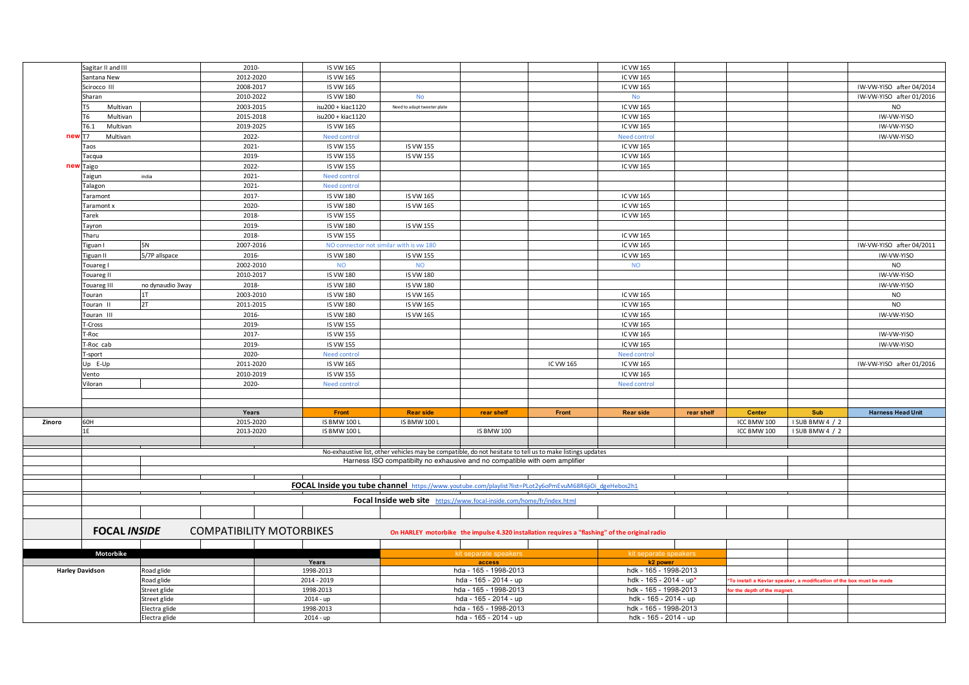|        | Sagitar II and III         |                                | 2010-                           | IS VW 165                                                                                              |                                                                                                           |                                                |           | IC VW 165                                                                                      |            |                            |                                                                      |                          |
|--------|----------------------------|--------------------------------|---------------------------------|--------------------------------------------------------------------------------------------------------|-----------------------------------------------------------------------------------------------------------|------------------------------------------------|-----------|------------------------------------------------------------------------------------------------|------------|----------------------------|----------------------------------------------------------------------|--------------------------|
|        | Santana New                |                                | 2012-2020                       | <b>IS VW 165</b>                                                                                       |                                                                                                           |                                                |           | IC VW 165                                                                                      |            |                            |                                                                      |                          |
|        | Scirocco III               |                                | 2008-2017                       | <b>IS VW 165</b>                                                                                       |                                                                                                           |                                                |           | IC VW 165                                                                                      |            |                            |                                                                      | IW-VW-YISO after 04/2014 |
|        | Sharan                     |                                | 2010-2022                       | <b>IS VW 180</b>                                                                                       | <b>No</b>                                                                                                 |                                                |           | <b>No</b>                                                                                      |            |                            |                                                                      | IW-VW-YISO after 01/2016 |
|        | Multivan<br>T <sub>5</sub> |                                | 2003-2015                       | isu200 + kiac1120                                                                                      | Need to adapt tweeter plate                                                                               |                                                |           | IC VW 165                                                                                      |            |                            |                                                                      | <b>NO</b>                |
|        | Multivan                   |                                | 2015-2018                       | isu200 + kiac1120                                                                                      |                                                                                                           |                                                |           | IC VW 165                                                                                      |            |                            |                                                                      | IW-VW-YISO               |
|        | Multivan<br>T6.1           |                                | 2019-2025                       | IS VW 165                                                                                              |                                                                                                           |                                                |           | IC VW 165                                                                                      |            |                            |                                                                      | IW-VW-YISO               |
| new    | T7<br>Multivan             |                                | 2022-                           | <b>Need control</b>                                                                                    |                                                                                                           |                                                |           | Need contro                                                                                    |            |                            |                                                                      | IW-VW-YISO               |
|        | Taos                       |                                | 2021-                           | <b>IS VW 155</b>                                                                                       | IS VW 155                                                                                                 |                                                |           | IC VW 165                                                                                      |            |                            |                                                                      |                          |
|        | Tacqua                     |                                | 2019-                           | <b>IS VW 155</b>                                                                                       | <b>IS VW 155</b>                                                                                          |                                                |           | IC VW 165                                                                                      |            |                            |                                                                      |                          |
|        | new Taigo                  |                                | 2022-                           | <b>IS VW 155</b>                                                                                       |                                                                                                           |                                                |           | IC VW 165                                                                                      |            |                            |                                                                      |                          |
|        | Taigun                     | india                          | 2021-                           | <b>Need control</b>                                                                                    |                                                                                                           |                                                |           |                                                                                                |            |                            |                                                                      |                          |
|        | Talagon                    |                                | 2021-                           | <b>Need control</b>                                                                                    |                                                                                                           |                                                |           |                                                                                                |            |                            |                                                                      |                          |
|        | Taramont                   |                                | 2017-                           | <b>IS VW 180</b>                                                                                       | IS VW 165                                                                                                 |                                                |           | IC VW 165                                                                                      |            |                            |                                                                      |                          |
|        | Taramont x                 |                                | 2020-                           | <b>IS VW 180</b>                                                                                       | IS VW 165                                                                                                 |                                                |           | IC VW 165                                                                                      |            |                            |                                                                      |                          |
|        | Tarek                      |                                | 2018-                           | <b>IS VW 155</b>                                                                                       |                                                                                                           |                                                |           | IC VW 165                                                                                      |            |                            |                                                                      |                          |
|        | Tayron                     |                                | 2019-                           | <b>IS VW 180</b>                                                                                       | IS VW 155                                                                                                 |                                                |           |                                                                                                |            |                            |                                                                      |                          |
|        | Tharu                      |                                | 2018-                           | <b>IS VW 155</b>                                                                                       |                                                                                                           |                                                |           | IC VW 165                                                                                      |            |                            |                                                                      |                          |
|        | Tiguan I                   | <b>5N</b>                      | 2007-2016                       |                                                                                                        | NO connector not similar with is vw 180                                                                   |                                                |           | IC VW 165                                                                                      |            |                            |                                                                      | IW-VW-YISO after 04/2011 |
|        | Tiguan II                  | 5/7P allspace                  | 2016-                           | <b>IS VW 180</b>                                                                                       | <b>IS VW 155</b>                                                                                          |                                                |           | IC VW 165                                                                                      |            |                            |                                                                      | IW-VW-YISO               |
|        | Touareg I                  |                                | 2002-2010                       | <b>NO</b>                                                                                              | <b>NO</b>                                                                                                 |                                                |           | <b>NO</b>                                                                                      |            |                            |                                                                      | <b>NO</b>                |
|        | Touareg II                 |                                | 2010-2017                       | <b>IS VW 180</b>                                                                                       | <b>IS VW 180</b>                                                                                          |                                                |           |                                                                                                |            |                            |                                                                      | IW-VW-YISO               |
|        | Touareg III                | no dynaudio 3way               | 2018-                           | <b>IS VW 180</b>                                                                                       | <b>IS VW 180</b>                                                                                          |                                                |           |                                                                                                |            |                            |                                                                      | IW-VW-YISO               |
|        | Touran                     | 1T                             | 2003-2010                       | <b>IS VW 180</b>                                                                                       | IS VW 165                                                                                                 |                                                |           | IC VW 165                                                                                      |            |                            |                                                                      | <b>NO</b>                |
|        | Touran II                  | 2T                             | 2011-2015                       | <b>IS VW 180</b>                                                                                       | IS VW 165                                                                                                 |                                                |           | IC VW 165                                                                                      |            |                            |                                                                      | <b>NO</b>                |
|        | Touran III                 |                                | 2016-                           | <b>IS VW 180</b>                                                                                       | IS VW 165                                                                                                 |                                                |           | IC VW 165                                                                                      |            |                            |                                                                      | IW-VW-YISO               |
|        | T-Cross                    |                                | 2019-                           | <b>IS VW 155</b>                                                                                       |                                                                                                           |                                                |           | IC VW 165                                                                                      |            |                            |                                                                      |                          |
|        | -Roc                       |                                | 2017-                           | <b>IS VW 155</b>                                                                                       |                                                                                                           |                                                |           | IC VW 165                                                                                      |            |                            |                                                                      | IW-VW-YISO               |
|        | T-Roc cab                  |                                | 2019-                           | <b>IS VW 155</b>                                                                                       |                                                                                                           |                                                |           | IC VW 165                                                                                      |            |                            |                                                                      | IW-VW-YISO               |
|        | -sport                     |                                | 2020-                           | <b>Need control</b>                                                                                    |                                                                                                           |                                                |           | Need contro                                                                                    |            |                            |                                                                      |                          |
|        | Up E-Up                    |                                | 2011-2020                       | <b>IS VW 165</b>                                                                                       |                                                                                                           |                                                | IC VW 165 | IC VW 165                                                                                      |            |                            |                                                                      | IW-VW-YISO after 01/2016 |
|        | Vento                      |                                | 2010-2019                       | <b>IS VW 155</b>                                                                                       |                                                                                                           |                                                |           | IC VW 165                                                                                      |            |                            |                                                                      |                          |
|        | Viloran                    |                                | 2020-                           | Need control                                                                                           |                                                                                                           |                                                |           | Need control                                                                                   |            |                            |                                                                      |                          |
|        |                            |                                |                                 |                                                                                                        |                                                                                                           |                                                |           |                                                                                                |            |                            |                                                                      |                          |
|        |                            |                                |                                 |                                                                                                        |                                                                                                           |                                                |           |                                                                                                |            |                            |                                                                      |                          |
|        |                            |                                | Years                           | Front                                                                                                  | <b>Rear side</b>                                                                                          | rear shelf                                     | Front     | <b>Rear side</b>                                                                               | rear shelf | <b>Center</b>              | Sub                                                                  | <b>Harness Head Unit</b> |
| Zinoro | 60H                        |                                | 2015-2020                       | <b>IS BMW 100 L</b>                                                                                    | <b>IS BMW 100 L</b>                                                                                       |                                                |           |                                                                                                |            | ICC BMW 100                | I SUB BMW 4 / 2                                                      |                          |
|        | 1F                         |                                | 2013-2020                       | <b>IS BMW 100 L</b>                                                                                    |                                                                                                           | <b>IS BMW 100</b>                              |           |                                                                                                |            | ICC BMW 100                | I SUB BMW 4 / 2                                                      |                          |
|        |                            |                                |                                 |                                                                                                        |                                                                                                           |                                                |           |                                                                                                |            |                            |                                                                      |                          |
|        |                            |                                |                                 |                                                                                                        | No-exhaustive list, other vehicles may be compatible, do not hesitate to tell us to make listings updates |                                                |           |                                                                                                |            |                            |                                                                      |                          |
|        |                            |                                |                                 |                                                                                                        | Harness ISO compatibilty no exhausive and no compatible with oem amplifier                                |                                                |           |                                                                                                |            |                            |                                                                      |                          |
|        |                            |                                |                                 |                                                                                                        |                                                                                                           |                                                |           |                                                                                                |            |                            |                                                                      |                          |
|        |                            |                                |                                 | FOCAL Inside you tube channel https://www.youtube.com/playlist?list=PLot2y6oPmEvuM68R6jiOi dgeHebos2h1 |                                                                                                           |                                                |           |                                                                                                |            |                            |                                                                      |                          |
|        |                            |                                |                                 |                                                                                                        |                                                                                                           |                                                |           |                                                                                                |            |                            |                                                                      |                          |
|        |                            |                                |                                 |                                                                                                        | Focal Inside web site https://www.focal-inside.com/home/fr/index.html                                     |                                                |           |                                                                                                |            |                            |                                                                      |                          |
|        |                            |                                |                                 |                                                                                                        |                                                                                                           |                                                |           |                                                                                                |            |                            |                                                                      |                          |
|        | <b>FOCAL INSIDE</b>        |                                | <b>COMPATIBILITY MOTORBIKES</b> |                                                                                                        |                                                                                                           |                                                |           | On HARLEY motorbike the impulse 4.320 installation requires a "flashing" of the original radio |            |                            |                                                                      |                          |
|        |                            |                                |                                 |                                                                                                        |                                                                                                           |                                                |           |                                                                                                |            |                            |                                                                      |                          |
|        | Motorbike                  |                                |                                 |                                                                                                        |                                                                                                           | kit separate speakers                          |           | kit separate speakers                                                                          |            |                            |                                                                      |                          |
|        |                            |                                |                                 | Years                                                                                                  |                                                                                                           | access                                         |           | k2 power                                                                                       |            |                            |                                                                      |                          |
|        | <b>Harley Davidson</b>     | Road glide                     |                                 | 1998-2013                                                                                              |                                                                                                           | hda - 165 - 1998-2013                          |           | hdk - 165 - 1998-2013                                                                          |            |                            |                                                                      |                          |
|        |                            | Road glide                     |                                 | 2014 - 2019                                                                                            |                                                                                                           | hda - 165 - 2014 - up                          |           | hdk - 165 - 2014 - up*                                                                         |            |                            | *To install a Kevlar speaker, a modification of the box must be made |                          |
|        |                            | Street glide                   |                                 | 1998-2013                                                                                              |                                                                                                           | hda - 165 - 1998-2013                          |           | hdk - 165 - 1998-2013                                                                          |            | or the depth of the magnet |                                                                      |                          |
|        | Street glide               |                                |                                 | $2014 - up$                                                                                            |                                                                                                           | hda - 165 - 2014 - up                          |           | hdk - 165 - 2014 - up                                                                          |            |                            |                                                                      |                          |
|        |                            |                                |                                 |                                                                                                        |                                                                                                           |                                                |           |                                                                                                |            |                            |                                                                      |                          |
|        |                            | Electra glide<br>Electra glide |                                 | 1998-2013<br>$2014 - up$                                                                               |                                                                                                           | hda - 165 - 1998-2013<br>hda - 165 - 2014 - up |           | hdk - 165 - 1998-2013<br>hdk - 165 - 2014 - up                                                 |            |                            |                                                                      |                          |